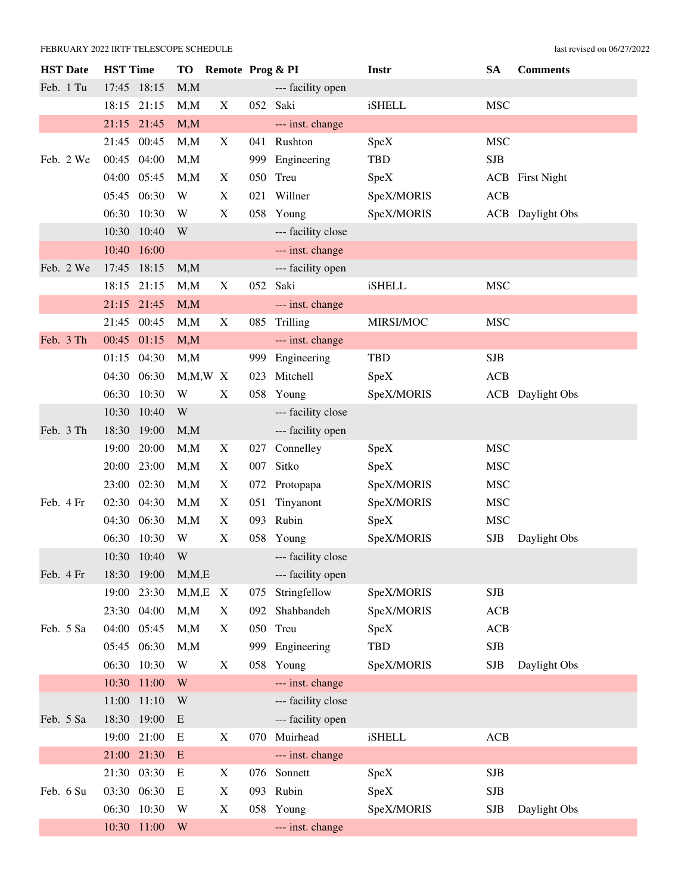| <b>HST</b> Date | <b>HST</b> Time |       | TO                      |                           |     | Remote Prog & PI   | Instr         | SA         | <b>Comments</b>         |
|-----------------|-----------------|-------|-------------------------|---------------------------|-----|--------------------|---------------|------------|-------------------------|
| Feb. 1 Tu       | 17:45 18:15     |       | M, M                    |                           |     | --- facility open  |               |            |                         |
|                 | 18:15 21:15     |       | M, M                    | X                         |     | 052 Saki           | <b>iSHELL</b> | <b>MSC</b> |                         |
|                 | 21:15 21:45     |       | M, M                    |                           |     | --- inst. change   |               |            |                         |
|                 | 21:45 00:45     |       | M, M                    | X                         |     | 041 Rushton        | SpeX          | <b>MSC</b> |                         |
| Feb. 2 We       | 00:45 04:00     |       | M, M                    |                           | 999 | Engineering        | <b>TBD</b>    | <b>SJB</b> |                         |
|                 | 04:00 05:45     |       | M, M                    | X                         | 050 | Treu               | SpeX          |            | <b>ACB</b> First Night  |
|                 | 05:45 06:30     |       | W                       | X                         |     | 021 Willner        | SpeX/MORIS    | <b>ACB</b> |                         |
|                 | 06:30           | 10:30 | W                       | $\boldsymbol{\mathrm{X}}$ |     | 058 Young          | SpeX/MORIS    |            | <b>ACB</b> Daylight Obs |
|                 | 10:30           | 10:40 | W                       |                           |     | --- facility close |               |            |                         |
|                 | 10:40           | 16:00 |                         |                           |     | --- inst. change   |               |            |                         |
| Feb. 2 We       | 17:45 18:15     |       | M, M                    |                           |     | --- facility open  |               |            |                         |
|                 | 18:15 21:15     |       | M,M                     | X                         | 052 | Saki               | <b>iSHELL</b> | <b>MSC</b> |                         |
|                 | 21:15 21:45     |       | M, M                    |                           |     | --- inst. change   |               |            |                         |
|                 | 21:45 00:45     |       | M, M                    | X                         |     | 085 Trilling       | MIRSI/MOC     | <b>MSC</b> |                         |
| Feb. 3 Th       | 00:45 01:15     |       | M, M                    |                           |     | --- inst. change   |               |            |                         |
|                 | 01:15 04:30     |       | M, M                    |                           | 999 | Engineering        | <b>TBD</b>    | <b>SJB</b> |                         |
|                 | 04:30 06:30     |       | $M, M, W$ X             |                           | 023 | Mitchell           | SpeX          | <b>ACB</b> |                         |
|                 | 06:30           | 10:30 | W                       | X                         |     | 058 Young          | SpeX/MORIS    |            | <b>ACB</b> Daylight Obs |
|                 | 10:30           | 10:40 | W                       |                           |     | --- facility close |               |            |                         |
| Feb. 3 Th       | 18:30           | 19:00 | M, M                    |                           |     | --- facility open  |               |            |                         |
|                 | 19:00           | 20:00 | M, M                    | X                         | 027 | Connelley          | SpeX          | <b>MSC</b> |                         |
|                 | 20:00           | 23:00 | M, M                    | X                         | 007 | Sitko              | SpeX          | <b>MSC</b> |                         |
|                 | 23:00           | 02:30 | M, M                    | X                         |     | 072 Protopapa      | SpeX/MORIS    | <b>MSC</b> |                         |
| Feb. 4 Fr       | 02:30 04:30     |       | M, M                    | X                         | 051 | Tinyanont          | SpeX/MORIS    | <b>MSC</b> |                         |
|                 | 04:30 06:30     |       | M, M                    | X                         |     | 093 Rubin          | SpeX          | <b>MSC</b> |                         |
|                 | 06:30           | 10:30 | W                       | $\mathbf X$               |     | 058 Young          | SpeX/MORIS    | <b>SJB</b> | Daylight Obs            |
|                 | 10:30           | 10:40 | W                       |                           |     | --- facility close |               |            |                         |
| Feb. 4 Fr       | 18:30           | 19:00 | M, M, E                 |                           |     | --- facility open  |               |            |                         |
|                 | 19:00           | 23:30 | M, M, E                 | X                         | 075 | Stringfellow       | SpeX/MORIS    | <b>SJB</b> |                         |
|                 | 23:30 04:00     |       | M, M                    | X                         | 092 | Shahbandeh         | SpeX/MORIS    | ACB        |                         |
| Feb. 5 Sa       | 04:00 05:45     |       | M, M                    | X                         | 050 | Treu               | SpeX          | ACB        |                         |
|                 | 05:45           | 06:30 | M, M                    |                           | 999 | Engineering        | <b>TBD</b>    | <b>SJB</b> |                         |
|                 | 06:30           | 10:30 | W                       | X                         | 058 | Young              | SpeX/MORIS    | <b>SJB</b> | Daylight Obs            |
|                 | 10:30           | 11:00 | W                       |                           |     | --- inst. change   |               |            |                         |
|                 | 11:00           | 11:10 | W                       |                           |     | --- facility close |               |            |                         |
| Feb. 5 Sa       | 18:30           | 19:00 | E                       |                           |     | --- facility open  |               |            |                         |
|                 | 19:00 21:00     |       | E                       | X                         | 070 | Muirhead           | <b>iSHELL</b> | ACB        |                         |
|                 | 21:00 21:30     |       | E                       |                           |     | --- inst. change   |               |            |                         |
|                 | 21:30           | 03:30 | E                       | X                         | 076 | Sonnett            | SpeX          | <b>SJB</b> |                         |
| Feb. 6 Su       | 03:30 06:30     |       | E                       | $\mathbf X$               |     | 093 Rubin          | SpeX          | SJB        |                         |
|                 | 06:30 10:30     |       | W                       | $\mathbf X$               |     | 058 Young          | SpeX/MORIS    | <b>SJB</b> | Daylight Obs            |
|                 | 10:30 11:00     |       | $\ensuremath{\text{W}}$ |                           |     | --- inst. change   |               |            |                         |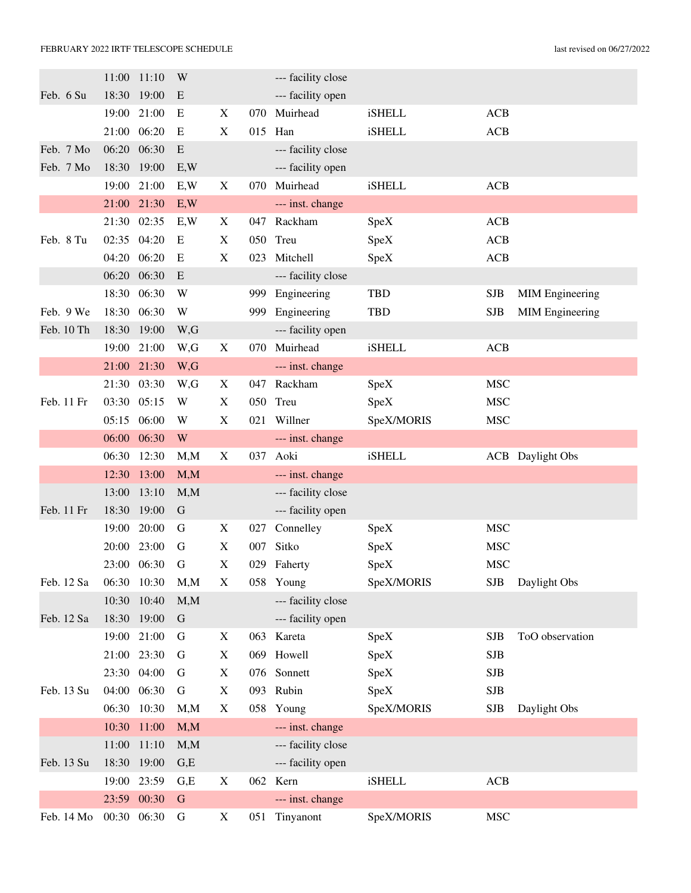|            | 11:00       | 11:10       | W           |                           |     | --- facility close |               |             |                         |
|------------|-------------|-------------|-------------|---------------------------|-----|--------------------|---------------|-------------|-------------------------|
| Feb. 6 Su  | 18:30       | 19:00       | E           |                           |     | --- facility open  |               |             |                         |
|            | 19:00       | 21:00       | E           | X                         | 070 | Muirhead           | <b>iSHELL</b> | ACB         |                         |
|            |             | 21:00 06:20 | E           | X                         | 015 | Han                | <b>iSHELL</b> | ACB         |                         |
| Feb. 7 Mo  | 06:20       | 06:30       | E           |                           |     | --- facility close |               |             |                         |
| Feb. 7 Mo  | 18:30       | 19:00       | E, W        |                           |     | --- facility open  |               |             |                         |
|            | 19:00       | 21:00       | E, W        | X                         | 070 | Muirhead           | <b>iSHELL</b> | ACB         |                         |
|            | 21:00       | 21:30       | E, W        |                           |     | --- inst. change   |               |             |                         |
|            | 21:30       | 02:35       | E, W        | X                         | 047 | Rackham            | SpeX          | ACB         |                         |
| Feb. 8 Tu  | 02:35 04:20 |             | E           | X                         | 050 | Treu               | SpeX          | ACB         |                         |
|            | 04:20       | 06:20       | E           | $\boldsymbol{\mathrm{X}}$ | 023 | Mitchell           | SpeX          | ACB         |                         |
|            | 06:20       | 06:30       | E           |                           |     | --- facility close |               |             |                         |
|            | 18:30       | 06:30       | W           |                           | 999 | Engineering        | <b>TBD</b>    | <b>SJB</b>  | <b>MIM Engineering</b>  |
| Feb. 9 We  | 18:30       | 06:30       | W           |                           | 999 | Engineering        | TBD           | <b>SJB</b>  | <b>MIM Engineering</b>  |
| Feb. 10 Th | 18:30       | 19:00       | W,G         |                           |     | --- facility open  |               |             |                         |
|            | 19:00       | 21:00       | W,G         | X                         | 070 | Muirhead           | <b>iSHELL</b> | ACB         |                         |
|            | 21:00       | 21:30       | W,G         |                           |     | --- inst. change   |               |             |                         |
|            | 21:30       | 03:30       | W,G         | X                         | 047 | Rackham            | SpeX          | <b>MSC</b>  |                         |
| Feb. 11 Fr | 03:30       | 05:15       | W           | X                         | 050 | Treu               | SpeX          | <b>MSC</b>  |                         |
|            | 05:15       | 06:00       | W           | X                         | 021 | Willner            | SpeX/MORIS    | <b>MSC</b>  |                         |
|            | 06:00       | 06:30       | W           |                           |     | --- inst. change   |               |             |                         |
|            | 06:30       | 12:30       | M, M        | X                         | 037 | Aoki               | <b>iSHELL</b> |             | <b>ACB</b> Daylight Obs |
|            | 12:30       | 13:00       | M, M        |                           |     | --- inst. change   |               |             |                         |
|            | 13:00       | 13:10       | M, M        |                           |     | --- facility close |               |             |                         |
| Feb. 11 Fr | 18:30       | 19:00       | $\mathbf G$ |                           |     | --- facility open  |               |             |                         |
|            | 19:00       | 20:00       | G           | X                         | 027 | Connelley          | SpeX          | <b>MSC</b>  |                         |
|            | 20:00       | 23:00       | G           | X                         | 007 | Sitko              | SpeX          | <b>MSC</b>  |                         |
|            |             | 23:00 06:30 | G           | $\boldsymbol{\mathrm{X}}$ | 029 | Faherty            | SpeX          | <b>MSC</b>  |                         |
| Feb. 12 Sa | 06:30       | 10:30       | M, M        | X                         |     | 058 Young          | SpeX/MORIS    | <b>SJB</b>  | Daylight Obs            |
|            | 10:30       | 10:40       | M, M        |                           |     | --- facility close |               |             |                         |
| Feb. 12 Sa |             | 18:30 19:00 | $\mathbf G$ |                           |     | --- facility open  |               |             |                         |
|            | 19:00       | 21:00       | G           | X                         |     | 063 Kareta         | SpeX          | <b>SJB</b>  | ToO observation         |
|            | 21:00       | 23:30       | G           | $\mathbf X$               |     | 069 Howell         | SpeX          | <b>SJB</b>  |                         |
|            |             | 23:30 04:00 | G           | X                         |     | 076 Sonnett        | SpeX          | <b>SJB</b>  |                         |
| Feb. 13 Su | 04:00       | 06:30       | G           | X                         |     | 093 Rubin          | SpeX          | <b>SJB</b>  |                         |
|            | 06:30       | 10:30       | M, M        | X                         |     | 058 Young          | SpeX/MORIS    | ${\rm SJB}$ | Daylight Obs            |
|            | 10:30       | 11:00       | M, M        |                           |     | --- inst. change   |               |             |                         |
|            | 11:00       | 11:10       | M, M        |                           |     | --- facility close |               |             |                         |
| Feb. 13 Su | 18:30       | 19:00       | G,E         |                           |     | --- facility open  |               |             |                         |
|            | 19:00       | 23:59       | G,E         | X                         |     | 062 Kern           | iSHELL        | ACB         |                         |
|            |             | 23:59 00:30 | $\mathbf G$ |                           |     | --- inst. change   |               |             |                         |
| Feb. 14 Mo | 00:30 06:30 |             | ${\bf G}$   | X                         | 051 | Tinyanont          | SpeX/MORIS    | <b>MSC</b>  |                         |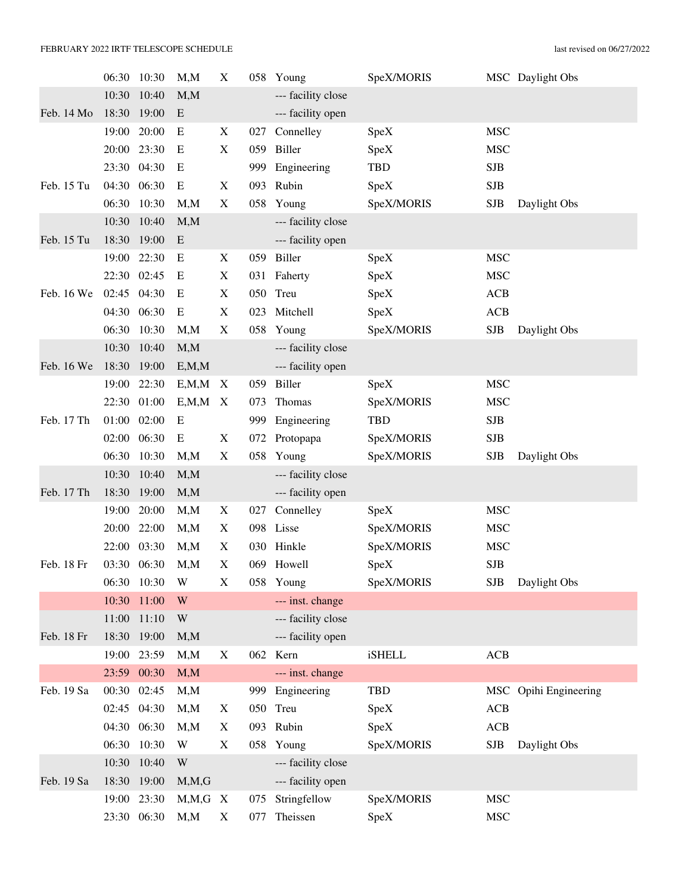### FEBRUARY 2022 IRTF TELESCOPE SCHEDULE last revised on 06/27/2022

|            |             | 06:30 10:30 | M, M    | X                         |     | 058 Young          | SpeX/MORIS    |            | MSC Daylight Obs      |
|------------|-------------|-------------|---------|---------------------------|-----|--------------------|---------------|------------|-----------------------|
|            | 10:30       | 10:40       | M, M    |                           |     | --- facility close |               |            |                       |
| Feb. 14 Mo | 18:30       | 19:00       | E       |                           |     | --- facility open  |               |            |                       |
|            | 19:00       | 20:00       | E       | X                         | 027 | Connelley          | SpeX          | <b>MSC</b> |                       |
|            | 20:00       | 23:30       | E       | X                         | 059 | Biller             | SpeX          | <b>MSC</b> |                       |
|            | 23:30       | 04:30       | E       |                           | 999 | Engineering        | <b>TBD</b>    | <b>SJB</b> |                       |
| Feb. 15 Tu | 04:30       | 06:30       | E       | X                         | 093 | Rubin              | SpeX          | <b>SJB</b> |                       |
|            | 06:30       | 10:30       | M, M    | $\boldsymbol{\mathrm{X}}$ | 058 | Young              | SpeX/MORIS    | <b>SJB</b> | Daylight Obs          |
|            | 10:30       | 10:40       | M, M    |                           |     | --- facility close |               |            |                       |
| Feb. 15 Tu | 18:30       | 19:00       | E       |                           |     | --- facility open  |               |            |                       |
|            | 19:00       | 22:30       | E       | X                         | 059 | Biller             | SpeX          | <b>MSC</b> |                       |
|            | 22:30       | 02:45       | E       | X                         |     | 031 Faherty        | SpeX          | <b>MSC</b> |                       |
| Feb. 16 We | 02:45 04:30 |             | E       | X                         |     | 050 Treu           | SpeX          | ACB        |                       |
|            | 04:30       | 06:30       | E       | X                         | 023 | Mitchell           | SpeX          | <b>ACB</b> |                       |
|            | 06:30       | 10:30       | M, M    | X                         |     | 058 Young          | SpeX/MORIS    | <b>SJB</b> | Daylight Obs          |
|            | 10:30       | 10:40       | M, M    |                           |     | --- facility close |               |            |                       |
| Feb. 16 We | 18:30       | 19:00       | E, M, M |                           |     | --- facility open  |               |            |                       |
|            | 19:00       | 22:30       | E, M, M | X                         | 059 | Biller             | <b>SpeX</b>   | <b>MSC</b> |                       |
|            |             | 22:30 01:00 | E, M, M | $\boldsymbol{\mathrm{X}}$ | 073 | Thomas             | SpeX/MORIS    | <b>MSC</b> |                       |
| Feb. 17 Th | 01:00       | 02:00       | E       |                           | 999 | Engineering        | <b>TBD</b>    | <b>SJB</b> |                       |
|            | 02:00       | 06:30       | E       | X                         |     | 072 Protopapa      | SpeX/MORIS    | <b>SJB</b> |                       |
|            | 06:30       | 10:30       | M, M    | X                         | 058 | Young              | SpeX/MORIS    | <b>SJB</b> | Daylight Obs          |
|            | 10:30       | 10:40       | M, M    |                           |     | --- facility close |               |            |                       |
| Feb. 17 Th | 18:30       | 19:00       | M, M    |                           |     | --- facility open  |               |            |                       |
|            | 19:00       | 20:00       | M, M    | X                         | 027 | Connelley          | SpeX          | <b>MSC</b> |                       |
|            | 20:00       | 22:00       | M, M    | X                         |     | 098 Lisse          | SpeX/MORIS    | <b>MSC</b> |                       |
|            | 22:00       | 03:30       | M, M    | X                         |     | 030 Hinkle         | SpeX/MORIS    | <b>MSC</b> |                       |
| Feb. 18 Fr |             | 03:30 06:30 | M, M    | X                         |     | 069 Howell         | SpeX          | <b>SJB</b> |                       |
|            | 06:30       | 10:30       | W       | X                         |     | 058 Young          | SpeX/MORIS    | <b>SJB</b> | Daylight Obs          |
|            | 10:30       | 11:00       | W       |                           |     | --- inst. change   |               |            |                       |
|            | 11:00       | 11:10       | W       |                           |     | --- facility close |               |            |                       |
| Feb. 18 Fr | 18:30       | 19:00       | M, M    |                           |     | --- facility open  |               |            |                       |
|            | 19:00       | 23:59       | M, M    | X                         |     | 062 Kern           | <b>iSHELL</b> | ACB        |                       |
|            |             | 23:59 00:30 | M, M    |                           |     | --- inst. change   |               |            |                       |
| Feb. 19 Sa | 00:30       | 02:45       | M, M    |                           | 999 | Engineering        | <b>TBD</b>    |            | MSC Opihi Engineering |
|            | 02:45       | 04:30       | M, M    | X                         |     | 050 Treu           | SpeX          | ACB        |                       |
|            |             | 04:30 06:30 | M, M    | X                         |     | 093 Rubin          | SpeX          | ACB        |                       |
|            | 06:30       | 10:30       | W       | X                         |     | 058 Young          | SpeX/MORIS    | <b>SJB</b> | Daylight Obs          |
|            | 10:30       | 10:40       | W       |                           |     | --- facility close |               |            |                       |
| Feb. 19 Sa |             | 18:30 19:00 | M, M, G |                           |     | --- facility open  |               |            |                       |
|            |             | 19:00 23:30 | M, M, G | $\mathbf{X}$              | 075 | Stringfellow       | SpeX/MORIS    | <b>MSC</b> |                       |
|            |             | 23:30 06:30 | M, M    | $\mathbf X$               | 077 | Theissen           | SpeX          | <b>MSC</b> |                       |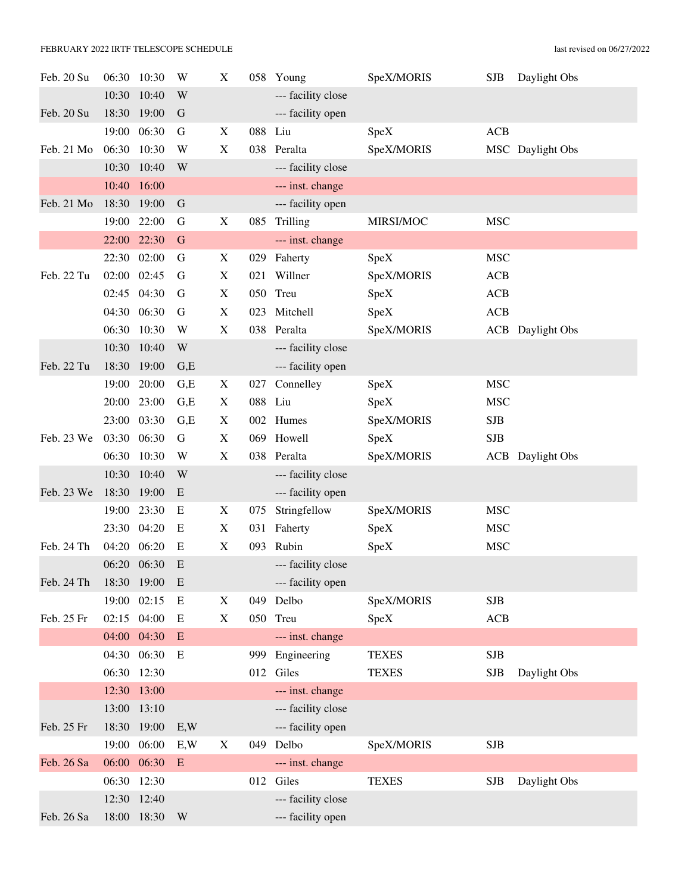### FEBRUARY 2022 IRTF TELESCOPE SCHEDULE last revised on 06/27/2022

| Feb. 20 Su | 06:30       | 10:30       | W         | X                         |         | 058 Young          | SpeX/MORIS   | <b>SJB</b> | Daylight Obs            |
|------------|-------------|-------------|-----------|---------------------------|---------|--------------------|--------------|------------|-------------------------|
|            | 10:30       | 10:40       | W         |                           |         | --- facility close |              |            |                         |
| Feb. 20 Su | 18:30       | 19:00       | G         |                           |         | --- facility open  |              |            |                         |
|            | 19:00       | 06:30       | G         | X                         | 088 Liu |                    | SpeX         | ACB        |                         |
| Feb. 21 Mo | 06:30       | 10:30       | W         | $\mathbf X$               |         | 038 Peralta        | SpeX/MORIS   |            | MSC Daylight Obs        |
|            | 10:30       | 10:40       | W         |                           |         | --- facility close |              |            |                         |
|            | 10:40       | 16:00       |           |                           |         | --- inst. change   |              |            |                         |
| Feb. 21 Mo | 18:30       | 19:00       | G         |                           |         | --- facility open  |              |            |                         |
|            | 19:00       | 22:00       | G         | X                         | 085     | Trilling           | MIRSI/MOC    | <b>MSC</b> |                         |
|            | 22:00 22:30 |             | G         |                           |         | --- inst. change   |              |            |                         |
|            | 22:30       | 02:00       | G         | $\boldsymbol{\mathrm{X}}$ |         | 029 Faherty        | SpeX         | <b>MSC</b> |                         |
| Feb. 22 Tu | 02:00       | 02:45       | G         | X                         | 021     | Willner            | SpeX/MORIS   | ACB        |                         |
|            | 02:45       | 04:30       | G         | X                         |         | 050 Treu           | SpeX         | <b>ACB</b> |                         |
|            | 04:30       | 06:30       | G         | $\mathbf X$               |         | 023 Mitchell       | SpeX         | ACB        |                         |
|            | 06:30       | 10:30       | W         | X                         |         | 038 Peralta        | SpeX/MORIS   |            | <b>ACB</b> Daylight Obs |
|            | 10:30       | 10:40       | W         |                           |         | --- facility close |              |            |                         |
| Feb. 22 Tu | 18:30       | 19:00       | G,E       |                           |         | --- facility open  |              |            |                         |
|            | 19:00       | 20:00       | G,E       | X                         | 027     | Connelley          | SpeX         | <b>MSC</b> |                         |
|            | 20:00       | 23:00       | G,E       | X                         | 088 Liu |                    | SpeX         | <b>MSC</b> |                         |
|            | 23:00       | 03:30       | G,E       | $\boldsymbol{\mathrm{X}}$ |         | 002 Humes          | SpeX/MORIS   | SJB        |                         |
| Feb. 23 We | 03:30       | 06:30       | G         | X                         |         | 069 Howell         | SpeX         | <b>SJB</b> |                         |
|            | 06:30       | 10:30       | W         | X                         |         | 038 Peralta        | SpeX/MORIS   |            | <b>ACB</b> Daylight Obs |
|            | 10:30       | 10:40       | W         |                           |         | --- facility close |              |            |                         |
| Feb. 23 We | 18:30       | 19:00       | E         |                           |         | --- facility open  |              |            |                         |
|            | 19:00       | 23:30       | E         | X                         | 075     | Stringfellow       | SpeX/MORIS   | <b>MSC</b> |                         |
|            | 23:30       | 04:20       | E         | X                         | 031     | Faherty            | SpeX         | <b>MSC</b> |                         |
| Feb. 24 Th | 04:20       | 06:20       | E         | X                         | 093     | Rubin              | SpeX         | <b>MSC</b> |                         |
|            | 06:20       | 06:30       | E         |                           |         | --- facility close |              |            |                         |
| Feb. 24 Th | 18:30       | 19:00       | E         |                           |         | --- facility open  |              |            |                         |
|            | 19:00       | 02:15       | E         | X                         |         | 049 Delbo          | SpeX/MORIS   | <b>SJB</b> |                         |
| Feb. 25 Fr | 02:15 04:00 |             | E         | X                         |         | 050 Treu           | SpeX         | ACB        |                         |
|            | 04:00 04:30 |             | ${\bf E}$ |                           |         | --- inst. change   |              |            |                         |
|            | 04:30       | 06:30       | E         |                           |         | 999 Engineering    | <b>TEXES</b> | <b>SJB</b> |                         |
|            | 06:30 12:30 |             |           |                           |         | 012 Giles          | <b>TEXES</b> | <b>SJB</b> | Daylight Obs            |
|            |             | 12:30 13:00 |           |                           |         | --- inst. change   |              |            |                         |
|            | 13:00       | 13:10       |           |                           |         | --- facility close |              |            |                         |
| Feb. 25 Fr | 18:30       | 19:00       | E, W      |                           |         | --- facility open  |              |            |                         |
|            | 19:00       | 06:00       | E, W      | $\boldsymbol{\mathrm{X}}$ |         | 049 Delbo          | SpeX/MORIS   | SJB        |                         |
| Feb. 26 Sa | 06:00       | 06:30       | $\,$ E    |                           |         | --- inst. change   |              |            |                         |
|            | 06:30 12:30 |             |           |                           |         | 012 Giles          | <b>TEXES</b> | <b>SJB</b> | Daylight Obs            |
|            | 12:30       | 12:40       |           |                           |         | --- facility close |              |            |                         |
| Feb. 26 Sa | 18:00       | 18:30       | W         |                           |         | --- facility open  |              |            |                         |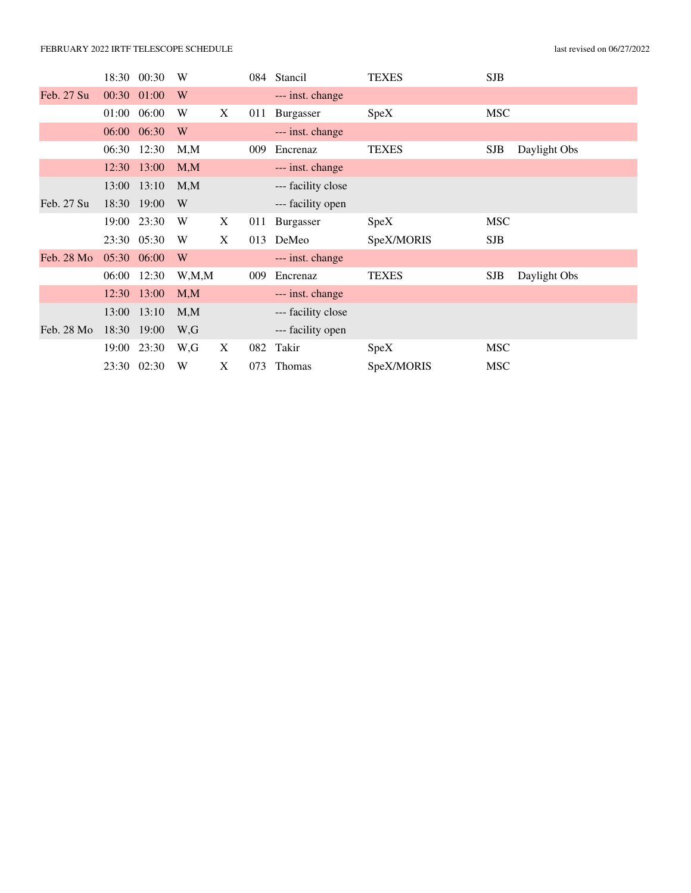### FEBRUARY 2022 IRTF TELESCOPE SCHEDULE last revised on 06/27/2022

|            |             | 18:30 00:30 | W       |   |     | 084 Stancil        | <b>TEXES</b> | <b>SJB</b> |              |
|------------|-------------|-------------|---------|---|-----|--------------------|--------------|------------|--------------|
| Feb. 27 Su | 00:30 01:00 |             | W       |   |     | --- inst. change   |              |            |              |
|            | 01:00       | 06:00       | W       | X | 011 | Burgasser          | SpeX         | <b>MSC</b> |              |
|            | 06:00 06:30 |             | W       |   |     | --- inst. change   |              |            |              |
|            |             | 06:30 12:30 | M, M    |   | 009 | Encrenaz           | <b>TEXES</b> | SJB        | Daylight Obs |
|            |             | 12:30 13:00 | M,M     |   |     | --- inst. change   |              |            |              |
|            |             | 13:00 13:10 | M, M    |   |     | --- facility close |              |            |              |
| Feb. 27 Su |             | 18:30 19:00 | W       |   |     | --- facility open  |              |            |              |
|            |             | 19:00 23:30 | W       | X | 011 | Burgasser          | SpeX         | <b>MSC</b> |              |
|            |             | 23:30 05:30 | W       | X | 013 | DeMeo              | SpeX/MORIS   | <b>SJB</b> |              |
| Feb. 28 Mo | 05:30 06:00 |             | W       |   |     | --- inst. change   |              |            |              |
|            | 06:00       | 12:30       | W, M, M |   | 009 | Encrenaz           | <b>TEXES</b> | SJB        | Daylight Obs |
|            |             | 12:30 13:00 | M, M    |   |     | --- inst. change   |              |            |              |
|            |             | 13:00 13:10 | M, M    |   |     | --- facility close |              |            |              |
| Feb. 28 Mo |             | 18:30 19:00 | W,G     |   |     | --- facility open  |              |            |              |
|            | 19:00       | 23:30       | W,G     | X | 082 | Takir              | SpeX         | <b>MSC</b> |              |
|            |             | 23:30 02:30 | W       | X | 073 | <b>Thomas</b>      | SpeX/MORIS   | <b>MSC</b> |              |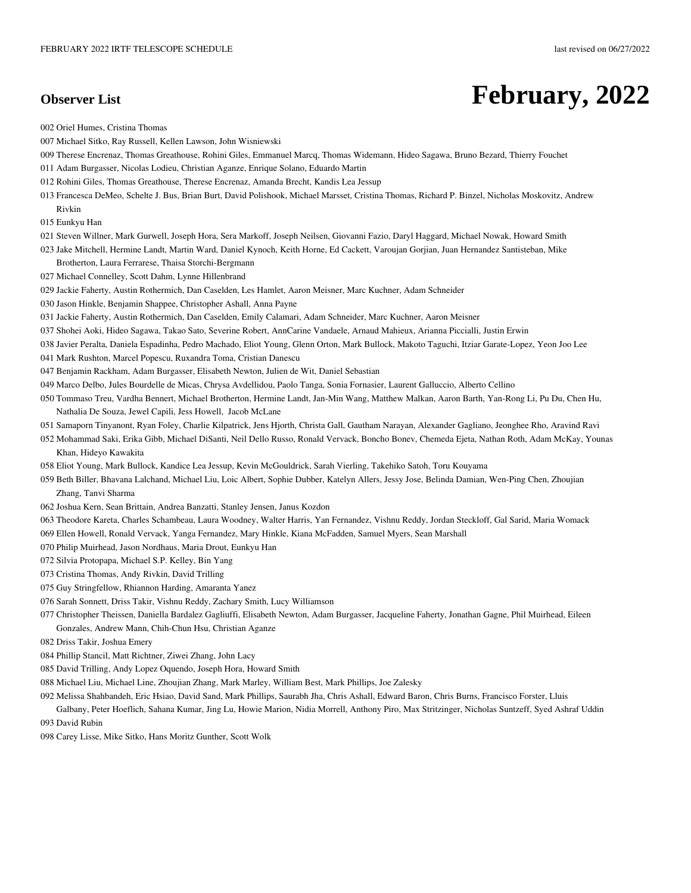## **Observer List** February, 2022

002 Oriel Humes, Cristina Thomas

- 007 Michael Sitko, Ray Russell, Kellen Lawson, John Wisniewski
- 009 Therese Encrenaz, Thomas Greathouse, Rohini Giles, Emmanuel Marcq, Thomas Widemann, Hideo Sagawa, Bruno Bezard, Thierry Fouchet
- 011 Adam Burgasser, Nicolas Lodieu, Christian Aganze, Enrique Solano, Eduardo Martin
- 012 Rohini Giles, Thomas Greathouse, Therese Encrenaz, Amanda Brecht, Kandis Lea Jessup
- 013 Francesca DeMeo, Schelte J. Bus, Brian Burt, David Polishook, Michael Marsset, Cristina Thomas, Richard P. Binzel, Nicholas Moskovitz, Andrew Rivkin
- 015 Eunkyu Han
- 021 Steven Willner, Mark Gurwell, Joseph Hora, Sera Markoff, Joseph Neilsen, Giovanni Fazio, Daryl Haggard, Michael Nowak, Howard Smith
- 023 Jake Mitchell, Hermine Landt, Martin Ward, Daniel Kynoch, Keith Horne, Ed Cackett, Varoujan Gorjian, Juan Hernandez Santisteban, Mike
- Brotherton, Laura Ferrarese, Thaisa Storchi-Bergmann
- 027 Michael Connelley, Scott Dahm, Lynne Hillenbrand
- 029 Jackie Faherty, Austin Rothermich, Dan Caselden, Les Hamlet, Aaron Meisner, Marc Kuchner, Adam Schneider
- 030 Jason Hinkle, Benjamin Shappee, Christopher Ashall, Anna Payne
- 031 Jackie Faherty, Austin Rothermich, Dan Caselden, Emily Calamari, Adam Schneider, Marc Kuchner, Aaron Meisner
- 037 Shohei Aoki, Hideo Sagawa, Takao Sato, Severine Robert, AnnCarine Vandaele, Arnaud Mahieux, Arianna Piccialli, Justin Erwin
- 038 Javier Peralta, Daniela Espadinha, Pedro Machado, Eliot Young, Glenn Orton, Mark Bullock, Makoto Taguchi, Itziar Garate-Lopez, Yeon Joo Lee
- 041 Mark Rushton, Marcel Popescu, Ruxandra Toma, Cristian Danescu
- 047 Benjamin Rackham, Adam Burgasser, Elisabeth Newton, Julien de Wit, Daniel Sebastian
- 049 Marco Delbo, Jules Bourdelle de Micas, Chrysa Avdellidou, Paolo Tanga, Sonia Fornasier, Laurent Galluccio, Alberto Cellino
- 050 Tommaso Treu, Vardha Bennert, Michael Brotherton, Hermine Landt, Jan-Min Wang, Matthew Malkan, Aaron Barth, Yan-Rong Li, Pu Du, Chen Hu, Nathalia De Souza, Jewel Capili, Jess Howell, Jacob McLane
- 051 Samaporn Tinyanont, Ryan Foley, Charlie Kilpatrick, Jens Hjorth, Christa Gall, Gautham Narayan, Alexander Gagliano, Jeonghee Rho, Aravind Ravi
- 052 Mohammad Saki, Erika Gibb, Michael DiSanti, Neil Dello Russo, Ronald Vervack, Boncho Bonev, Chemeda Ejeta, Nathan Roth, Adam McKay, Younas Khan, Hideyo Kawakita
- 058 Eliot Young, Mark Bullock, Kandice Lea Jessup, Kevin McGouldrick, Sarah Vierling, Takehiko Satoh, Toru Kouyama
- 059 Beth Biller, Bhavana Lalchand, Michael Liu, Loic Albert, Sophie Dubber, Katelyn Allers, Jessy Jose, Belinda Damian, Wen-Ping Chen, Zhoujian Zhang, Tanvi Sharma
- 062 Joshua Kern, Sean Brittain, Andrea Banzatti, Stanley Jensen, Janus Kozdon
- 063 Theodore Kareta, Charles Schambeau, Laura Woodney, Walter Harris, Yan Fernandez, Vishnu Reddy, Jordan Steckloff, Gal Sarid, Maria Womack
- 069 Ellen Howell, Ronald Vervack, Yanga Fernandez, Mary Hinkle, Kiana McFadden, Samuel Myers, Sean Marshall
- 070 Philip Muirhead, Jason Nordhaus, Maria Drout, Eunkyu Han
- 072 Silvia Protopapa, Michael S.P. Kelley, Bin Yang
- 073 Cristina Thomas, Andy Rivkin, David Trilling
- 075 Guy Stringfellow, Rhiannon Harding, Amaranta Yanez
- 076 Sarah Sonnett, Driss Takir, Vishnu Reddy, Zachary Smith, Lucy Williamson
- 077 Christopher Theissen, Daniella Bardalez Gagliuffi, Elisabeth Newton, Adam Burgasser, Jacqueline Faherty, Jonathan Gagne, Phil Muirhead, Eileen Gonzales, Andrew Mann, Chih-Chun Hsu, Christian Aganze
- 082 Driss Takir, Joshua Emery
- 084 Phillip Stancil, Matt Richtner, Ziwei Zhang, John Lacy
- 085 David Trilling, Andy Lopez Oquendo, Joseph Hora, Howard Smith
- 088 Michael Liu, Michael Line, Zhoujian Zhang, Mark Marley, William Best, Mark Phillips, Joe Zalesky
- 092 Melissa Shahbandeh, Eric Hsiao, David Sand, Mark Phillips, Saurabh Jha, Chris Ashall, Edward Baron, Chris Burns, Francisco Forster, Lluis
- Galbany, Peter Hoeflich, Sahana Kumar, Jing Lu, Howie Marion, Nidia Morrell, Anthony Piro, Max Stritzinger, Nicholas Suntzeff, Syed Ashraf Uddin 093 David Rubin
- 098 Carey Lisse, Mike Sitko, Hans Moritz Gunther, Scott Wolk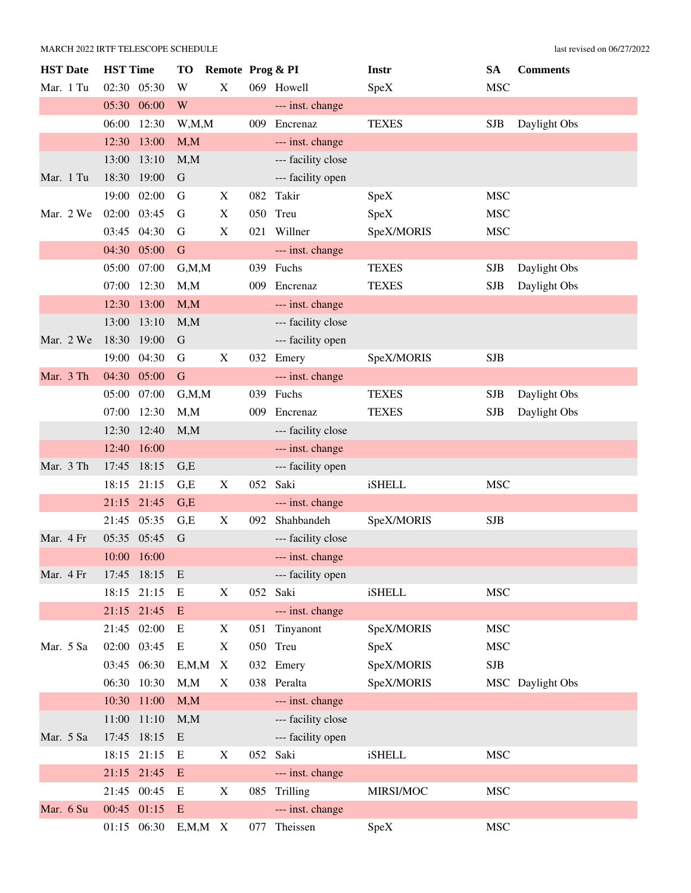### MARCH 2022 IRTF TELESCOPE SCHEDULE last revised on 06/27/2022

| <b>HST</b> Date | <b>HST</b> Time | <b>TO</b>   | Remote Prog & PI |     |                    | <b>Instr</b>  | <b>SA</b>  | <b>Comments</b>  |
|-----------------|-----------------|-------------|------------------|-----|--------------------|---------------|------------|------------------|
| Mar. 1 Tu       | 02:30 05:30     | W           | X                |     | 069 Howell         | SpeX          | <b>MSC</b> |                  |
|                 | 05:30 06:00     | W           |                  |     | --- inst. change   |               |            |                  |
|                 | 06:00<br>12:30  |             | W, M, M          | 009 | Encrenaz           | <b>TEXES</b>  | <b>SJB</b> | Daylight Obs     |
|                 | 12:30 13:00     | M, M        |                  |     | --- inst. change   |               |            |                  |
|                 | 13:00<br>13:10  | M, M        |                  |     | --- facility close |               |            |                  |
| Mar. 1 Tu       | 18:30 19:00     | $\mathbf G$ |                  |     | --- facility open  |               |            |                  |
|                 | 19:00 02:00     | G           | X                | 082 | Takir              | SpeX          | <b>MSC</b> |                  |
| Mar. 2 We       | 02:00 03:45     | G           | X                | 050 | Treu               | SpeX          | <b>MSC</b> |                  |
|                 | 03:45 04:30     | G           | X                | 021 | Willner            | SpeX/MORIS    | <b>MSC</b> |                  |
|                 | 04:30 05:00     | G           |                  |     | --- inst. change   |               |            |                  |
|                 | 05:00<br>07:00  |             | G, M, M          |     | 039 Fuchs          | <b>TEXES</b>  | <b>SJB</b> | Daylight Obs     |
|                 | 07:00 12:30     | M, M        |                  | 009 | Encrenaz           | <b>TEXES</b>  | <b>SJB</b> | Daylight Obs     |
|                 | 12:30 13:00     | M, M        |                  |     | --- inst. change   |               |            |                  |
|                 | 13:00<br>13:10  | M, M        |                  |     | --- facility close |               |            |                  |
| Mar. 2 We       | 18:30 19:00     | $\mathbf G$ |                  |     | --- facility open  |               |            |                  |
|                 | 19:00 04:30     | G           | X                |     | 032 Emery          | SpeX/MORIS    | <b>SJB</b> |                  |
| Mar. 3 Th       | 04:30 05:00     | $\mathbf G$ |                  |     | --- inst. change   |               |            |                  |
|                 | 05:00<br>07:00  |             | G, M, M          |     | 039 Fuchs          | <b>TEXES</b>  | <b>SJB</b> | Daylight Obs     |
|                 | 07:00 12:30     | M, M        |                  | 009 | Encrenaz           | <b>TEXES</b>  | <b>SJB</b> | Daylight Obs     |
|                 | 12:30<br>12:40  | M, M        |                  |     | --- facility close |               |            |                  |
|                 | 12:40<br>16:00  |             |                  |     | --- inst. change   |               |            |                  |
| Mar. 3 Th       | 17:45 18:15     | G,E         |                  |     | --- facility open  |               |            |                  |
|                 | 18:15 21:15     | G,E         | X                | 052 | Saki               | iSHELL        | <b>MSC</b> |                  |
|                 | 21:15 21:45     | G,E         |                  |     | --- inst. change   |               |            |                  |
|                 | 21:45 05:35     | G,E         | X                | 092 | Shahbandeh         | SpeX/MORIS    | <b>SJB</b> |                  |
| Mar. 4 Fr       | 05:35 05:45     | $\mathbf G$ |                  |     | --- facility close |               |            |                  |
|                 | 10:00 16:00     |             |                  |     | --- inst. change   |               |            |                  |
| Mar. 4 Fr       | 17:45<br>18:15  | E           |                  |     | --- facility open  |               |            |                  |
|                 | 18:15 21:15     | E           | X                | 052 | Saki               | iSHELL        | <b>MSC</b> |                  |
|                 | 21:15 21:45     | E           |                  |     | --- inst. change   |               |            |                  |
|                 | 21:45 02:00     | E           | X                | 051 | Tinyanont          | SpeX/MORIS    | <b>MSC</b> |                  |
| Mar. 5 Sa       | 02:00 03:45     | E           | X                | 050 | Treu               | SpeX          | <b>MSC</b> |                  |
|                 | 03:45 06:30     |             | E, M, M<br>X     |     | 032 Emery          | SpeX/MORIS    | <b>SJB</b> |                  |
|                 | 06:30 10:30     | M, M        | X                |     | 038 Peralta        | SpeX/MORIS    |            | MSC Daylight Obs |
|                 | 10:30 11:00     | M, M        |                  |     | --- inst. change   |               |            |                  |
|                 | 11:00 11:10     | M, M        |                  |     | --- facility close |               |            |                  |
| Mar. 5 Sa       | 17:45 18:15     | E           |                  |     | --- facility open  |               |            |                  |
|                 | 18:15 21:15     | E           | X                | 052 | Saki               | <b>iSHELL</b> | <b>MSC</b> |                  |
|                 | 21:15 21:45     | E           |                  |     | --- inst. change   |               |            |                  |
|                 | 21:45 00:45     | E           | X                | 085 | Trilling           | MIRSI/MOC     | <b>MSC</b> |                  |
| Mar. 6 Su       | 00:45 01:15     | E           |                  |     | --- inst. change   |               |            |                  |
|                 | 01:15 06:30     |             | $E, M, M \ X$    | 077 | Theissen           | SpeX          | <b>MSC</b> |                  |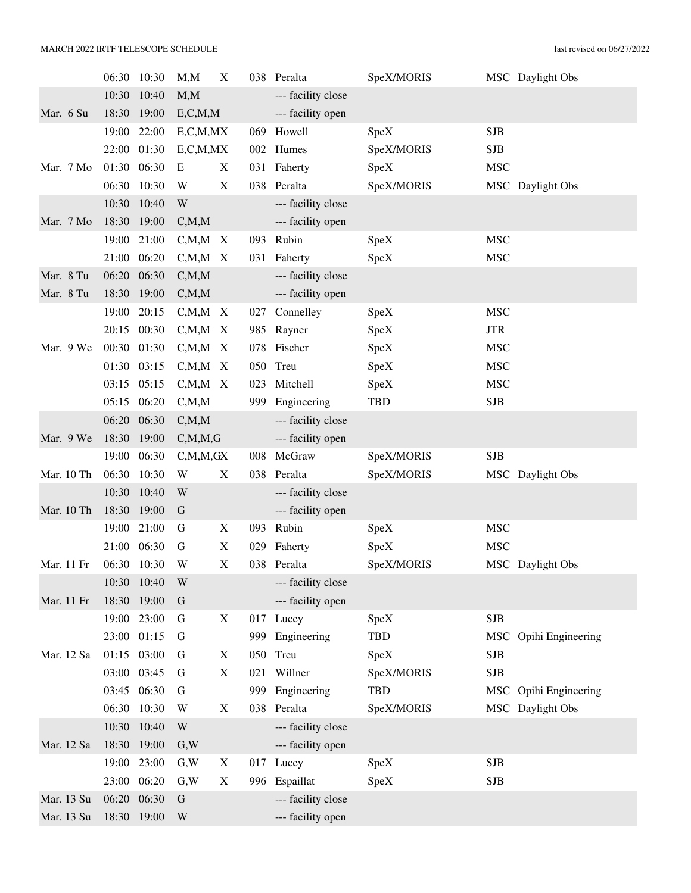|            | 06:30 | 10:30       | M, M          | X                         | 038 | Peralta            | SpeX/MORIS |            | MSC Daylight Obs      |
|------------|-------|-------------|---------------|---------------------------|-----|--------------------|------------|------------|-----------------------|
|            | 10:30 | 10:40       | M, M          |                           |     | --- facility close |            |            |                       |
| Mar. 6 Su  | 18:30 | 19:00       | E, C, M, M    |                           |     | --- facility open  |            |            |                       |
|            | 19:00 | 22:00       | E, C, M, MX   |                           |     | 069 Howell         | SpeX       | <b>SJB</b> |                       |
|            | 22:00 | 01:30       | E, C, M, MX   |                           |     | 002 Humes          | SpeX/MORIS | <b>SJB</b> |                       |
| Mar. 7 Mo  | 01:30 | 06:30       | Ε             | X                         |     | 031 Faherty        | SpeX       | <b>MSC</b> |                       |
|            | 06:30 | 10:30       | W             | X                         |     | 038 Peralta        | SpeX/MORIS |            | MSC Daylight Obs      |
|            | 10:30 | 10:40       | W             |                           |     | --- facility close |            |            |                       |
| Mar. 7 Mo  | 18:30 | 19:00       | C, M, M       |                           |     | --- facility open  |            |            |                       |
|            | 19:00 | 21:00       | $C_{,}M_{,}M$ | X                         | 093 | Rubin              | SpeX       | <b>MSC</b> |                       |
|            | 21:00 | 06:20       | $C, M, M \ X$ |                           |     | 031 Faherty        | SpeX       | <b>MSC</b> |                       |
| Mar. 8 Tu  | 06:20 | 06:30       | C, M, M       |                           |     | --- facility close |            |            |                       |
| Mar. 8 Tu  | 18:30 | 19:00       | C, M, M       |                           |     | --- facility open  |            |            |                       |
|            | 19:00 | 20:15       | $C, M, M \ X$ |                           | 027 | Connelley          | SpeX       | <b>MSC</b> |                       |
|            |       | 20:15 00:30 | $C, M, M \ X$ |                           |     | 985 Rayner         | SpeX       | <b>JTR</b> |                       |
| Mar. 9 We  | 00:30 | 01:30       | $C_{,}M_{,}M$ | $\boldsymbol{\mathrm{X}}$ | 078 | Fischer            | SpeX       | <b>MSC</b> |                       |
|            | 01:30 | 03:15       | $C, M, M \ X$ |                           |     | 050 Treu           | SpeX       | <b>MSC</b> |                       |
|            |       | 03:15 05:15 | $C, M, M \ X$ |                           | 023 | Mitchell           | SpeX       | <b>MSC</b> |                       |
|            | 05:15 | 06:20       | C, M, M       |                           | 999 | Engineering        | TBD        | <b>SJB</b> |                       |
|            | 06:20 | 06:30       | C, M, M       |                           |     | --- facility close |            |            |                       |
| Mar. 9 We  | 18:30 | 19:00       | C, M, M, G    |                           |     | --- facility open  |            |            |                       |
|            | 19:00 | 06:30       | C, M, M, GX   |                           | 008 | McGraw             | SpeX/MORIS | <b>SJB</b> |                       |
| Mar. 10 Th | 06:30 | 10:30       | W             | X                         | 038 | Peralta            | SpeX/MORIS |            | MSC Daylight Obs      |
|            | 10:30 | 10:40       | W             |                           |     | --- facility close |            |            |                       |
| Mar. 10 Th | 18:30 | 19:00       | G             |                           |     | --- facility open  |            |            |                       |
|            | 19:00 | 21:00       | G             | X                         | 093 | Rubin              | SpeX       | <b>MSC</b> |                       |
|            | 21:00 | 06:30       | G             | X                         | 029 | Faherty            | SpeX       | <b>MSC</b> |                       |
| Mar. 11 Fr | 06:30 | 10:30       | W             | X                         |     | 038 Peralta        | SpeX/MORIS |            | MSC Daylight Obs      |
|            | 10:30 | 10:40       | W             |                           |     | --- facility close |            |            |                       |
| Mar. 11 Fr | 18:30 | 19:00       | G             |                           |     | --- facility open  |            |            |                       |
|            |       | 19:00 23:00 | G             | X                         | 017 | Lucey              | SpeX       | <b>SJB</b> |                       |
|            |       | 23:00 01:15 | G             |                           |     | 999 Engineering    | <b>TBD</b> | <b>MSC</b> | Opihi Engineering     |
| Mar. 12 Sa |       | 01:15 03:00 | G             | X                         |     | 050 Treu           | SpeX       | <b>SJB</b> |                       |
|            |       | 03:00 03:45 | G             | X                         | 021 | Willner            | SpeX/MORIS | <b>SJB</b> |                       |
|            | 03:45 | 06:30       | G             |                           |     | 999 Engineering    | <b>TBD</b> |            | MSC Opihi Engineering |
|            | 06:30 | 10:30       | W             | X                         |     | 038 Peralta        | SpeX/MORIS |            | MSC Daylight Obs      |
|            | 10:30 | 10:40       | W             |                           |     | --- facility close |            |            |                       |
| Mar. 12 Sa | 18:30 | 19:00       | G,W           |                           |     | --- facility open  |            |            |                       |
|            | 19:00 | 23:00       | G,W           | X                         |     | 017 Lucey          | SpeX       | <b>SJB</b> |                       |
|            | 23:00 | 06:20       | G,W           | X                         |     | 996 Espaillat      | SpeX       | <b>SJB</b> |                       |
| Mar. 13 Su | 06:20 | 06:30       | $\mathbf G$   |                           |     | --- facility close |            |            |                       |
| Mar. 13 Su |       | 18:30 19:00 | W             |                           |     | --- facility open  |            |            |                       |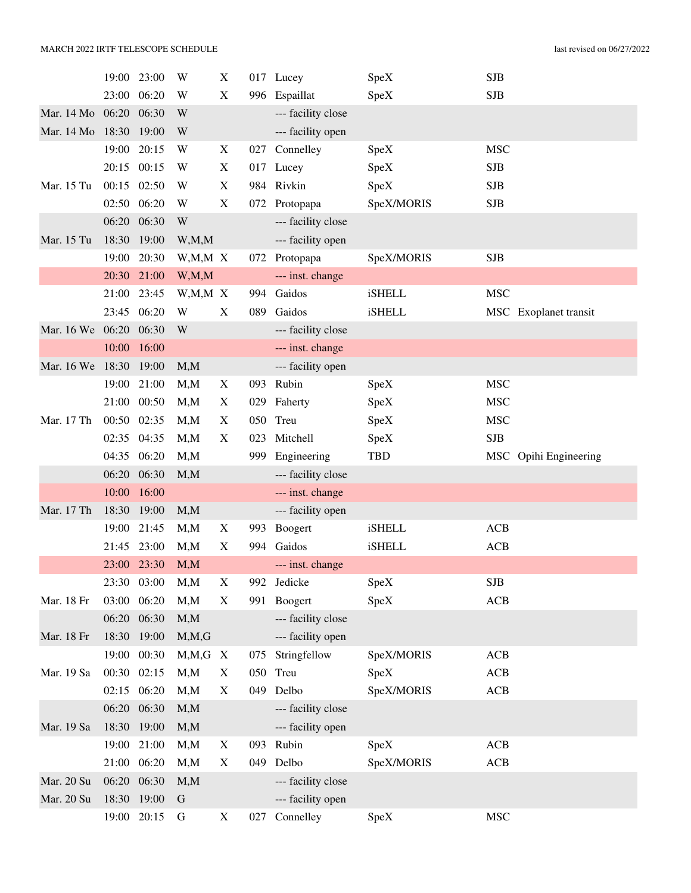|            | 19:00          | 23:00          | W                | X                         |     | 017 Lucey                      | SpeX          | <b>SJB</b> |                       |
|------------|----------------|----------------|------------------|---------------------------|-----|--------------------------------|---------------|------------|-----------------------|
|            | 23:00 06:20    |                | W                | X                         |     | 996 Espaillat                  | SpeX          | <b>SJB</b> |                       |
| Mar. 14 Mo | 06:20 06:30    |                | W                |                           |     | --- facility close             |               |            |                       |
| Mar. 14 Mo | 18:30          | 19:00          | W                |                           |     | --- facility open              |               |            |                       |
|            | 19:00          | 20:15          | W                | X                         | 027 | Connelley                      | SpeX          | <b>MSC</b> |                       |
|            | 20:15 00:15    |                | W                | X                         |     | 017 Lucey                      | SpeX          | <b>SJB</b> |                       |
| Mar. 15 Tu | 00:15 02:50    |                | W                | X                         |     | 984 Rivkin                     | SpeX          | <b>SJB</b> |                       |
|            | 02:50 06:20    |                | W                | X                         |     | 072 Protopapa                  | SpeX/MORIS    | <b>SJB</b> |                       |
|            | 06:20          | 06:30          | W                |                           |     | --- facility close             |               |            |                       |
| Mar. 15 Tu | 18:30          | 19:00          | W, M, M          |                           |     | --- facility open              |               |            |                       |
|            | 19:00          | 20:30          | W,M,M X          |                           |     | 072 Protopapa                  | SpeX/MORIS    | <b>SJB</b> |                       |
|            | 20:30 21:00    |                | W, M, M          |                           |     | --- inst. change               |               |            |                       |
|            | 21:00          | 23:45          | W,M,M X          |                           | 994 | Gaidos                         | <b>iSHELL</b> | <b>MSC</b> |                       |
|            | 23:45 06:20    |                | W                | X                         | 089 | Gaidos                         | <b>iSHELL</b> |            | MSC Exoplanet transit |
| Mar. 16 We | 06:20          | 06:30          | W                |                           |     | --- facility close             |               |            |                       |
|            | 10:00          | 16:00          |                  |                           |     | --- inst. change               |               |            |                       |
| Mar. 16 We | 18:30          | 19:00          | M, M             |                           |     | --- facility open              |               |            |                       |
|            | 19:00          | 21:00          | M, M             | X                         | 093 | Rubin                          | SpeX          | <b>MSC</b> |                       |
|            | 21:00          | 00:50          | M, M             | X                         | 029 | Faherty                        | SpeX          | <b>MSC</b> |                       |
| Mar. 17 Th | 00:50 02:35    |                | M, M             | X                         | 050 | Treu                           | SpeX          | <b>MSC</b> |                       |
|            | 02:35 04:35    |                | M, M             | X                         | 023 | Mitchell                       | SpeX          | <b>SJB</b> |                       |
|            | 04:35 06:20    |                | M, M             |                           | 999 | Engineering                    | <b>TBD</b>    |            | MSC Opihi Engineering |
|            | 06:20          | 06:30          | M, M             |                           |     | --- facility close             |               |            |                       |
|            | 10:00          | 16:00          |                  |                           |     | --- inst. change               |               |            |                       |
| Mar. 17 Th | 18:30 19:00    |                | M, M             |                           |     | --- facility open              |               |            |                       |
|            | 19:00          | 21:45          | M, M             | X                         | 993 | Boogert                        | <b>iSHELL</b> | <b>ACB</b> |                       |
|            | 21:45 23:00    |                |                  |                           |     |                                |               |            |                       |
|            |                |                | M, M             | $\boldsymbol{\mathrm{X}}$ | 994 | Gaidos                         | <b>iSHELL</b> | <b>ACB</b> |                       |
|            |                | 23:00 23:30    | M, M             |                           |     | --- inst. change               |               |            |                       |
|            | 23:30 03:00    |                | M, M             | X                         |     | 992 Jedicke                    | SpeX          | SJB        |                       |
| Mar. 18 Fr | 03:00          | 06:20          | M, M             | X                         | 991 | Boogert                        | SpeX          | <b>ACB</b> |                       |
|            |                | 06:20 06:30    | M, M             |                           |     | --- facility close             |               |            |                       |
| Mar. 18 Fr | 18:30          | 19:00          | M, M, G          |                           |     | --- facility open              |               |            |                       |
|            |                | 19:00 00:30    | $M, M, G$ X      |                           | 075 | Stringfellow                   | SpeX/MORIS    | ACB        |                       |
| Mar. 19 Sa | 00:30 02:15    |                | M, M             | X                         |     | 050 Treu                       | SpeX          | ACB        |                       |
|            |                | 02:15 06:20    | M, M             | X                         |     | 049 Delbo                      | SpeX/MORIS    | ACB        |                       |
|            | 06:20          | 06:30          | M, M             |                           |     | --- facility close             |               |            |                       |
| Mar. 19 Sa | 18:30          | 19:00          | M, M             |                           |     | --- facility open              |               |            |                       |
|            | 19:00          | 21:00          | M, M             | X                         | 093 | Rubin                          | SpeX          | ACB        |                       |
|            |                | 21:00 06:20    | M, M             | X                         | 049 | Delbo                          | SpeX/MORIS    | ACB        |                       |
| Mar. 20 Su | 06:20          | 06:30          | M, M             |                           |     | --- facility close             |               |            |                       |
| Mar. 20 Su | 18:30<br>19:00 | 19:00<br>20:15 | $\mathbf G$<br>G | X                         | 027 | --- facility open<br>Connelley | SpeX          | <b>MSC</b> |                       |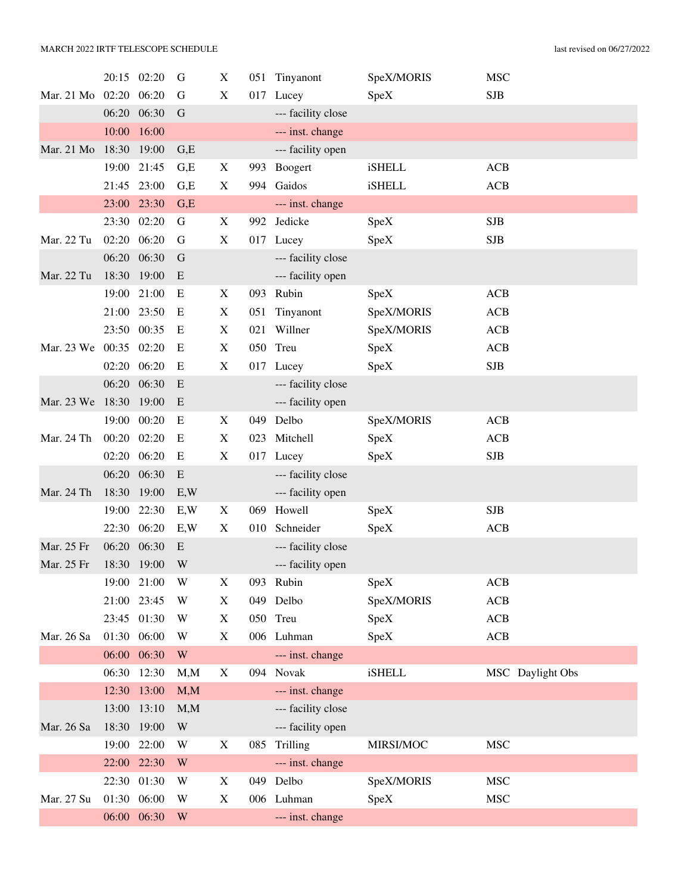|                        |             | 20:15 02:20 | G         | X           |     | 051 Tinyanont      | SpeX/MORIS    | <b>MSC</b>       |
|------------------------|-------------|-------------|-----------|-------------|-----|--------------------|---------------|------------------|
| Mar. 21 Mo 02:20 06:20 |             |             | G         | $\mathbf X$ | 017 | Lucey              | SpeX          | <b>SJB</b>       |
|                        |             | 06:20 06:30 | G         |             |     | --- facility close |               |                  |
|                        | 10:00       | 16:00       |           |             |     | --- inst. change   |               |                  |
| Mar. 21 Mo 18:30 19:00 |             |             | G,E       |             |     | --- facility open  |               |                  |
|                        |             | 19:00 21:45 | G,E       | X           | 993 | Boogert            | <b>iSHELL</b> | ACB              |
|                        | 21:45       | 23:00       | G,E       | X           |     | 994 Gaidos         | <b>iSHELL</b> | <b>ACB</b>       |
|                        | 23:00       | 23:30       | G,E       |             |     | --- inst. change   |               |                  |
|                        |             | 23:30 02:20 | G         | X           |     | 992 Jedicke        | SpeX          | <b>SJB</b>       |
| Mar. 22 Tu             |             | 02:20 06:20 | G         | X           |     | 017 Lucey          | SpeX          | <b>SJB</b>       |
|                        | 06:20       | 06:30       | G         |             |     | --- facility close |               |                  |
| Mar. 22 Tu             | 18:30       | 19:00       | E         |             |     | --- facility open  |               |                  |
|                        | 19:00       | 21:00       | E         | X           | 093 | Rubin              | SpeX          | <b>ACB</b>       |
|                        |             | 21:00 23:50 | E         | X           | 051 | Tinyanont          | SpeX/MORIS    | ACB              |
|                        |             | 23:50 00:35 | E         | X           | 021 | Willner            | SpeX/MORIS    | <b>ACB</b>       |
| Mar. 23 We 00:35 02:20 |             |             | E         | X           |     | 050 Treu           | SpeX          | <b>ACB</b>       |
|                        |             | 02:20 06:20 | E         | $\mathbf X$ |     | 017 Lucey          | SpeX          | <b>SJB</b>       |
|                        | 06:20       | 06:30       | E         |             |     | --- facility close |               |                  |
| Mar. 23 We             | 18:30 19:00 |             | E         |             |     | --- facility open  |               |                  |
|                        | 19:00       | 00:20       | E         | X           | 049 | Delbo              | SpeX/MORIS    | ACB              |
| Mar. 24 Th             |             | 00:20 02:20 | E         | X           |     | 023 Mitchell       | SpeX          | <b>ACB</b>       |
|                        |             | 02:20 06:20 | E         | X           |     | 017 Lucey          | SpeX          | SJB              |
|                        | 06:20       | 06:30       | E         |             |     | --- facility close |               |                  |
| Mar. 24 Th             | 18:30       | 19:00       | E, W      |             |     | --- facility open  |               |                  |
|                        | 19:00       | 22:30       | E,W       | X           | 069 | Howell             | SpeX          | <b>SJB</b>       |
|                        |             | 22:30 06:20 | E, W      | X           | 010 | Schneider          | SpeX          | <b>ACB</b>       |
| Mar. 25 Fr             | 06:20       | 06:30       | ${\bf E}$ |             |     | --- facility close |               |                  |
| Mar. 25 Fr             |             | 18:30 19:00 | W         |             |     | --- facility open  |               |                  |
|                        |             | 19:00 21:00 | W         | X           |     | 093 Rubin          | SpeX          | <b>ACB</b>       |
|                        |             | 21:00 23:45 | W         | X           |     | 049 Delbo          | SpeX/MORIS    | <b>ACB</b>       |
|                        |             | 23:45 01:30 | W         | X           |     | 050 Treu           | SpeX          | ACB              |
| Mar. 26 Sa             |             | 01:30 06:00 | W         | X           |     | 006 Luhman         | SpeX          | <b>ACB</b>       |
|                        |             | 06:00 06:30 | W         |             |     | --- inst. change   |               |                  |
|                        | 06:30       | 12:30       | M, M      | X           |     | 094 Novak          | <b>iSHELL</b> | MSC Daylight Obs |
|                        | 12:30       | 13:00       | M, M      |             |     | --- inst. change   |               |                  |
|                        | 13:00       | 13:10       | M, M      |             |     | --- facility close |               |                  |
| Mar. 26 Sa             | 18:30       | 19:00       | W         |             |     | --- facility open  |               |                  |
|                        |             | 19:00 22:00 | W         | $\mathbf X$ |     | 085 Trilling       | MIRSI/MOC     | <b>MSC</b>       |
|                        |             | 22:00 22:30 | W         |             |     | --- inst. change   |               |                  |
|                        |             | 22:30 01:30 | W         | X           |     | 049 Delbo          | SpeX/MORIS    | <b>MSC</b>       |
| Mar. 27 Su             |             | 01:30 06:00 | W         | X           |     | 006 Luhman         | SpeX          | <b>MSC</b>       |
|                        |             | 06:00 06:30 | W         |             |     | --- inst. change   |               |                  |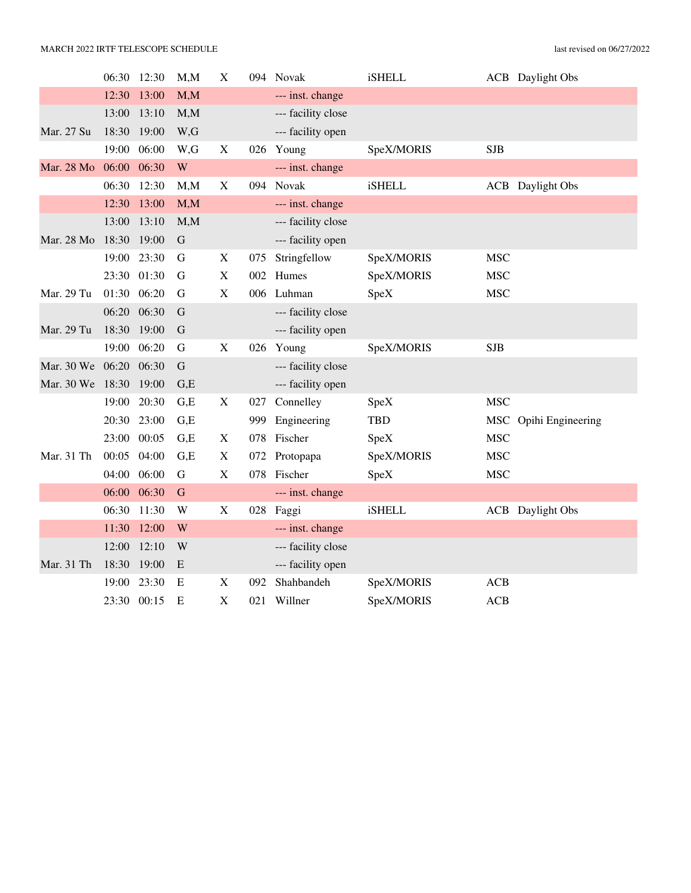|                        | 06:30       | 12:30       | M,M         | X                         |     | 094 Novak          | <b>iSHELL</b> |            | <b>ACB</b> Daylight Obs |
|------------------------|-------------|-------------|-------------|---------------------------|-----|--------------------|---------------|------------|-------------------------|
|                        | 12:30       | 13:00       | M, M        |                           |     | --- inst. change   |               |            |                         |
|                        | 13:00       | 13:10       | M, M        |                           |     | --- facility close |               |            |                         |
| Mar. 27 Su             | 18:30       | 19:00       | W,G         |                           |     | --- facility open  |               |            |                         |
|                        | 19:00       | 06:00       | W,G         | X                         |     | 026 Young          | SpeX/MORIS    | <b>SJB</b> |                         |
| Mar. 28 Mo             | 06:00 06:30 |             | W           |                           |     | --- inst. change   |               |            |                         |
|                        | 06:30       | 12:30       | M, M        | $\mathbf X$               |     | 094 Novak          | <b>iSHELL</b> |            | <b>ACB</b> Daylight Obs |
|                        | 12:30       | 13:00       | M,M         |                           |     | --- inst. change   |               |            |                         |
|                        | 13:00       | 13:10       | M, M        |                           |     | --- facility close |               |            |                         |
| Mar. 28 Mo             | 18:30       | 19:00       | $\mathbf G$ |                           |     | --- facility open  |               |            |                         |
|                        | 19:00       | 23:30       | G           | X                         | 075 | Stringfellow       | SpeX/MORIS    | <b>MSC</b> |                         |
|                        |             | 23:30 01:30 | G           | X                         |     | 002 Humes          | SpeX/MORIS    | <b>MSC</b> |                         |
| Mar. 29 Tu             | 01:30 06:20 |             | G           | X                         |     | 006 Luhman         | SpeX          | <b>MSC</b> |                         |
|                        | 06:20       | 06:30       | G           |                           |     | --- facility close |               |            |                         |
| Mar. 29 Tu             | 18:30       | 19:00       | G           |                           |     | --- facility open  |               |            |                         |
|                        | 19:00       | 06:20       | $\mathbf G$ | $\mathbf X$               |     | 026 Young          | SpeX/MORIS    | <b>SJB</b> |                         |
| Mar. 30 We 06:20       |             | 06:30       | G           |                           |     | --- facility close |               |            |                         |
| Mar. 30 We 18:30 19:00 |             |             | G,E         |                           |     | --- facility open  |               |            |                         |
|                        | 19:00       | 20:30       | G.E         | X                         | 027 | Connelley          | SpeX          | <b>MSC</b> |                         |
|                        | 20:30       | 23:00       | G.E         |                           |     | 999 Engineering    | <b>TBD</b>    |            | MSC Opihi Engineering   |
|                        | 23:00       | 00:05       | G.E         | X                         |     | 078 Fischer        | SpeX          | <b>MSC</b> |                         |
| Mar. 31 Th             | 00:05       | 04:00       | G.E         | $\mathbf X$               |     | 072 Protopapa      | SpeX/MORIS    | <b>MSC</b> |                         |
|                        | 04:00       | 06:00       | G           | X                         |     | 078 Fischer        | SpeX          | <b>MSC</b> |                         |
|                        |             | 06:00 06:30 | G           |                           |     | --- inst. change   |               |            |                         |
|                        | 06:30       | 11:30       | W           | X                         |     | 028 Faggi          | <b>iSHELL</b> |            | <b>ACB</b> Daylight Obs |
|                        | 11:30       | 12:00       | W           |                           |     | --- inst. change   |               |            |                         |
|                        | 12:00       | 12:10       | W           |                           |     | --- facility close |               |            |                         |
| Mar. 31 Th             | 18:30 19:00 |             | E           |                           |     | --- facility open  |               |            |                         |
|                        | 19:00       | 23:30       | E           | X                         | 092 | Shahbandeh         | SpeX/MORIS    | <b>ACB</b> |                         |
|                        | 23:30 00:15 |             | E           | $\boldsymbol{\mathrm{X}}$ | 021 | Willner            | SpeX/MORIS    | <b>ACB</b> |                         |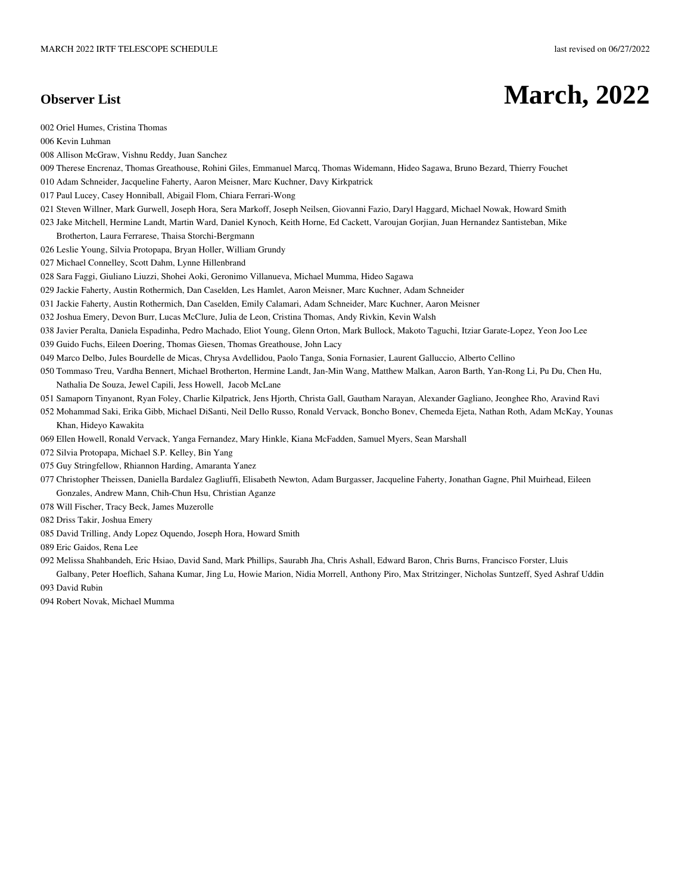## **Observer List March, 2022**

- 002 Oriel Humes, Cristina Thomas
- 006 Kevin Luhman
- 008 Allison McGraw, Vishnu Reddy, Juan Sanchez
- 009 Therese Encrenaz, Thomas Greathouse, Rohini Giles, Emmanuel Marcq, Thomas Widemann, Hideo Sagawa, Bruno Bezard, Thierry Fouchet
- 010 Adam Schneider, Jacqueline Faherty, Aaron Meisner, Marc Kuchner, Davy Kirkpatrick
- 017 Paul Lucey, Casey Honniball, Abigail Flom, Chiara Ferrari-Wong
- 021 Steven Willner, Mark Gurwell, Joseph Hora, Sera Markoff, Joseph Neilsen, Giovanni Fazio, Daryl Haggard, Michael Nowak, Howard Smith
- 023 Jake Mitchell, Hermine Landt, Martin Ward, Daniel Kynoch, Keith Horne, Ed Cackett, Varoujan Gorjian, Juan Hernandez Santisteban, Mike Brotherton, Laura Ferrarese, Thaisa Storchi-Bergmann
- 026 Leslie Young, Silvia Protopapa, Bryan Holler, William Grundy
- 027 Michael Connelley, Scott Dahm, Lynne Hillenbrand
- 028 Sara Faggi, Giuliano Liuzzi, Shohei Aoki, Geronimo Villanueva, Michael Mumma, Hideo Sagawa
- 029 Jackie Faherty, Austin Rothermich, Dan Caselden, Les Hamlet, Aaron Meisner, Marc Kuchner, Adam Schneider
- 031 Jackie Faherty, Austin Rothermich, Dan Caselden, Emily Calamari, Adam Schneider, Marc Kuchner, Aaron Meisner
- 032 Joshua Emery, Devon Burr, Lucas McClure, Julia de Leon, Cristina Thomas, Andy Rivkin, Kevin Walsh
- 038 Javier Peralta, Daniela Espadinha, Pedro Machado, Eliot Young, Glenn Orton, Mark Bullock, Makoto Taguchi, Itziar Garate-Lopez, Yeon Joo Lee
- 039 Guido Fuchs, Eileen Doering, Thomas Giesen, Thomas Greathouse, John Lacy
- 049 Marco Delbo, Jules Bourdelle de Micas, Chrysa Avdellidou, Paolo Tanga, Sonia Fornasier, Laurent Galluccio, Alberto Cellino
- 050 Tommaso Treu, Vardha Bennert, Michael Brotherton, Hermine Landt, Jan-Min Wang, Matthew Malkan, Aaron Barth, Yan-Rong Li, Pu Du, Chen Hu, Nathalia De Souza, Jewel Capili, Jess Howell, Jacob McLane
- 051 Samaporn Tinyanont, Ryan Foley, Charlie Kilpatrick, Jens Hjorth, Christa Gall, Gautham Narayan, Alexander Gagliano, Jeonghee Rho, Aravind Ravi
- 052 Mohammad Saki, Erika Gibb, Michael DiSanti, Neil Dello Russo, Ronald Vervack, Boncho Bonev, Chemeda Ejeta, Nathan Roth, Adam McKay, Younas Khan, Hideyo Kawakita
- 069 Ellen Howell, Ronald Vervack, Yanga Fernandez, Mary Hinkle, Kiana McFadden, Samuel Myers, Sean Marshall
- 072 Silvia Protopapa, Michael S.P. Kelley, Bin Yang
- 075 Guy Stringfellow, Rhiannon Harding, Amaranta Yanez
- 077 Christopher Theissen, Daniella Bardalez Gagliuffi, Elisabeth Newton, Adam Burgasser, Jacqueline Faherty, Jonathan Gagne, Phil Muirhead, Eileen Gonzales, Andrew Mann, Chih-Chun Hsu, Christian Aganze
- 078 Will Fischer, Tracy Beck, James Muzerolle
- 082 Driss Takir, Joshua Emery
- 085 David Trilling, Andy Lopez Oquendo, Joseph Hora, Howard Smith
- 089 Eric Gaidos, Rena Lee
- 092 Melissa Shahbandeh, Eric Hsiao, David Sand, Mark Phillips, Saurabh Jha, Chris Ashall, Edward Baron, Chris Burns, Francisco Forster, Lluis
- Galbany, Peter Hoeflich, Sahana Kumar, Jing Lu, Howie Marion, Nidia Morrell, Anthony Piro, Max Stritzinger, Nicholas Suntzeff, Syed Ashraf Uddin 093 David Rubin
- 094 Robert Novak, Michael Mumma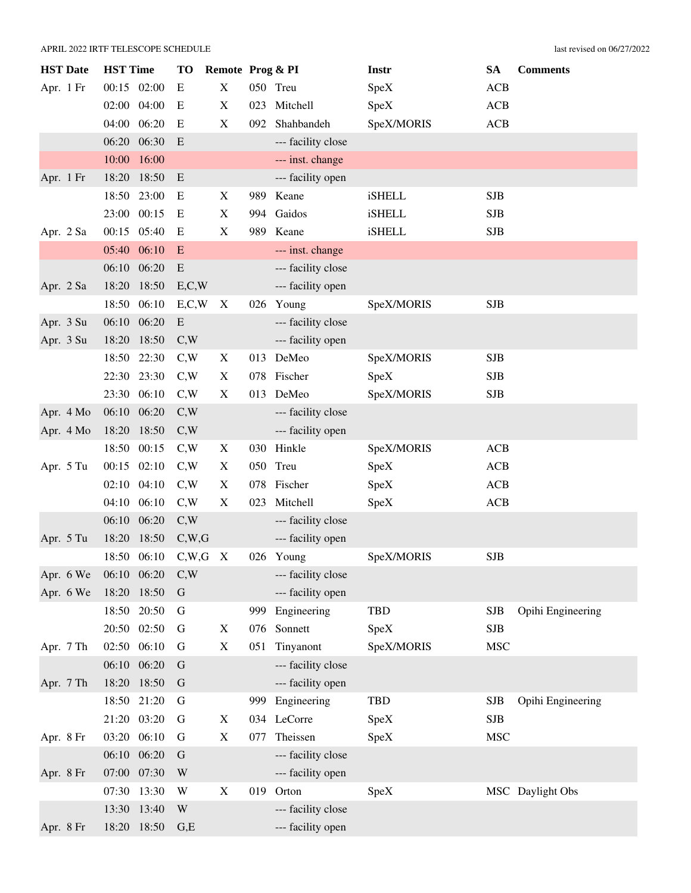| <b>HST</b> Date | <b>HST Time</b> | <b>TO</b>   | Remote Prog & PI          |     |                    | Instr      | <b>SA</b>  | <b>Comments</b>   |
|-----------------|-----------------|-------------|---------------------------|-----|--------------------|------------|------------|-------------------|
| Apr. 1 Fr       | 00:15 02:00     | E           | X                         |     | 050 Treu           | SpeX       | <b>ACB</b> |                   |
|                 | 04:00<br>02:00  | E           | $\boldsymbol{\mathrm{X}}$ | 023 | Mitchell           | SpeX       | ACB        |                   |
|                 | 04:00<br>06:20  | E           | X                         | 092 | Shahbandeh         | SpeX/MORIS | <b>ACB</b> |                   |
|                 | 06:20<br>06:30  | E           |                           |     | --- facility close |            |            |                   |
|                 | 10:00<br>16:00  |             |                           |     | --- inst. change   |            |            |                   |
| Apr. 1 Fr       | 18:20<br>18:50  | E           |                           |     | --- facility open  |            |            |                   |
|                 | 18:50<br>23:00  | E           | X                         |     | 989 Keane          | iSHELL     | <b>SJB</b> |                   |
|                 | 00:15<br>23:00  | E           | X                         | 994 | Gaidos             | iSHELL     | <b>SJB</b> |                   |
| Apr. 2 Sa       | 00:15 05:40     | E           | X                         |     | 989 Keane          | iSHELL     | <b>SJB</b> |                   |
|                 | 05:40<br>06:10  | E           |                           |     | --- inst. change   |            |            |                   |
|                 | 06:10<br>06:20  | E           |                           |     | --- facility close |            |            |                   |
| Apr. 2 Sa       | 18:20<br>18:50  | E, C, W     |                           |     | --- facility open  |            |            |                   |
|                 | 18:50<br>06:10  | E, C, W     | X                         |     | 026 Young          | SpeX/MORIS | <b>SJB</b> |                   |
| Apr. 3 Su       | 06:10<br>06:20  | E           |                           |     | --- facility close |            |            |                   |
| Apr. 3 Su       | 18:20<br>18:50  | C,W         |                           |     | --- facility open  |            |            |                   |
|                 | 18:50<br>22:30  | C,W         | X                         |     | 013 DeMeo          | SpeX/MORIS | <b>SJB</b> |                   |
|                 | 23:30<br>22:30  | C,W         | X                         |     | 078 Fischer        | SpeX       | <b>SJB</b> |                   |
|                 | 23:30<br>06:10  | C,W         | X                         |     | 013 DeMeo          | SpeX/MORIS | <b>SJB</b> |                   |
| Apr. 4 Mo       | 06:10 06:20     | C,W         |                           |     | --- facility close |            |            |                   |
| Apr. 4 Mo       | 18:50<br>18:20  | C,W         |                           |     | --- facility open  |            |            |                   |
|                 | 18:50<br>00:15  | C,W         | $\mathbf X$               | 030 | Hinkle             | SpeX/MORIS | <b>ACB</b> |                   |
| Apr. 5 Tu       | 00:15 02:10     | C,W         | X                         |     | 050 Treu           | SpeX       | <b>ACB</b> |                   |
|                 | 02:10<br>04:10  | C,W         | X                         | 078 | Fischer            | SpeX       | ACB        |                   |
|                 | 04:10 06:10     | C,W         | X                         | 023 | Mitchell           | SpeX       | <b>ACB</b> |                   |
|                 | 06:10 06:20     | C,W         |                           |     | --- facility close |            |            |                   |
| Apr. 5 Tu       | 18:50<br>18:20  | C,W,G       |                           |     | --- facility open  |            |            |                   |
|                 | 18:50 06:10     | C,W,G       | $\boldsymbol{\mathrm{X}}$ |     | 026 Young          | SpeX/MORIS | <b>SJB</b> |                   |
| Apr. 6 We       | 06:10 06:20     | C,W         |                           |     | --- facility close |            |            |                   |
| Apr. 6 We       | 18:20<br>18:50  | $\mathbf G$ |                           |     | --- facility open  |            |            |                   |
|                 | 20:50<br>18:50  | G           |                           | 999 | Engineering        | <b>TBD</b> | <b>SJB</b> | Opihi Engineering |
|                 | 20:50 02:50     | G           | X                         |     | 076 Sonnett        | SpeX       | <b>SJB</b> |                   |
| Apr. 7 Th       | 06:10<br>02:50  | G           | $\boldsymbol{\mathrm{X}}$ | 051 | Tinyanont          | SpeX/MORIS | <b>MSC</b> |                   |
|                 | 06:10 06:20     | $\mathbf G$ |                           |     | --- facility close |            |            |                   |
| Apr. 7 Th       | 18:50<br>18:20  | $\mathbf G$ |                           |     | --- facility open  |            |            |                   |
|                 | 21:20<br>18:50  | G           |                           | 999 | Engineering        | TBD        | <b>SJB</b> | Opihi Engineering |
|                 | 21:20 03:20     | G           | X                         |     | 034 LeCorre        | SpeX       | <b>SJB</b> |                   |
| Apr. 8 Fr       | 03:20<br>06:10  | G           | $\mathbf X$               | 077 | Theissen           | SpeX       | <b>MSC</b> |                   |
|                 | 06:10<br>06:20  | $\mathbf G$ |                           |     | --- facility close |            |            |                   |
| Apr. 8 Fr       | 07:00 07:30     | W           |                           |     | --- facility open  |            |            |                   |
|                 | 07:30<br>13:30  | W           | X                         | 019 | Orton              | SpeX       |            | MSC Daylight Obs  |
|                 | 13:40<br>13:30  | W           |                           |     | --- facility close |            |            |                   |
| Apr. 8 Fr       | 18:20 18:50     | G,E         |                           |     | --- facility open  |            |            |                   |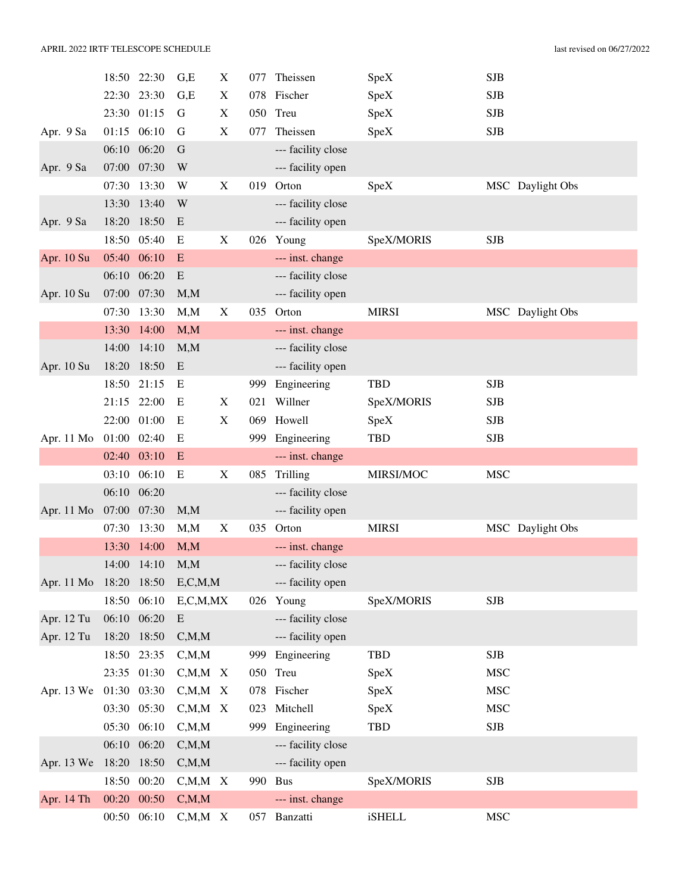|                        |       | 18:50 22:30 | G,E           | X                         | 077 | Theissen           | SpeX          | <b>SJB</b>       |
|------------------------|-------|-------------|---------------|---------------------------|-----|--------------------|---------------|------------------|
|                        | 22:30 | 23:30       | G,E           | $\boldsymbol{\mathrm{X}}$ | 078 | Fischer            | SpeX          | <b>SJB</b>       |
|                        | 23:30 | 01:15       | G             | X                         |     | 050 Treu           | SpeX          | <b>SJB</b>       |
| Apr. 9 Sa              | 01:15 | 06:10       | G             | X                         | 077 | Theissen           | SpeX          | SJB              |
|                        | 06:10 | 06:20       | G             |                           |     | --- facility close |               |                  |
| Apr. 9 Sa              | 07:00 | 07:30       | W             |                           |     | --- facility open  |               |                  |
|                        | 07:30 | 13:30       | W             | X                         | 019 | Orton              | SpeX          | MSC Daylight Obs |
|                        | 13:30 | 13:40       | W             |                           |     | --- facility close |               |                  |
| Apr. 9 Sa              | 18:20 | 18:50       | E             |                           |     | --- facility open  |               |                  |
|                        | 18:50 | 05:40       | E             | X                         |     | 026 Young          | SpeX/MORIS    | <b>SJB</b>       |
| Apr. 10 Su             | 05:40 | 06:10       | E             |                           |     | --- inst. change   |               |                  |
|                        | 06:10 | 06:20       | E             |                           |     | --- facility close |               |                  |
| Apr. 10 Su             |       | 07:00 07:30 | M, M          |                           |     | --- facility open  |               |                  |
|                        | 07:30 | 13:30       | M, M          | $\mathbf X$               | 035 | Orton              | <b>MIRSI</b>  | MSC Daylight Obs |
|                        | 13:30 | 14:00       | M, M          |                           |     | --- inst. change   |               |                  |
|                        | 14:00 | 14:10       | M, M          |                           |     | --- facility close |               |                  |
| Apr. 10 Su             | 18:20 | 18:50       | E             |                           |     | --- facility open  |               |                  |
|                        | 18:50 | 21:15       | E             |                           | 999 | Engineering        | <b>TBD</b>    | <b>SJB</b>       |
|                        |       | 21:15 22:00 | E             | X                         | 021 | Willner            | SpeX/MORIS    | <b>SJB</b>       |
|                        | 22:00 | 01:00       | E             | $\boldsymbol{\mathrm{X}}$ | 069 | Howell             | SpeX          | <b>SJB</b>       |
| Apr. 11 Mo             | 01:00 | 02:40       | E             |                           |     | 999 Engineering    | <b>TBD</b>    | <b>SJB</b>       |
|                        | 02:40 | 03:10       | E             |                           |     | --- inst. change   |               |                  |
|                        | 03:10 | 06:10       | E             | X                         | 085 | Trilling           | MIRSI/MOC     | <b>MSC</b>       |
|                        | 06:10 | 06:20       |               |                           |     | --- facility close |               |                  |
| Apr. 11 Mo             |       | 07:00 07:30 | M, M          |                           |     | --- facility open  |               |                  |
|                        | 07:30 | 13:30       | M, M          | X                         | 035 | Orton              | <b>MIRSI</b>  | MSC Daylight Obs |
|                        | 13:30 | 14:00       | M, M          |                           |     | --- inst. change   |               |                  |
|                        |       | 14:00 14:10 | M, M          |                           |     | --- facility close |               |                  |
| Apr. 11 Mo 18:20 18:50 |       |             | E, C, M, M    |                           |     | --- facility open  |               |                  |
|                        | 18:50 | 06:10       | E, C, M, MX   |                           |     | 026 Young          | SpeX/MORIS    | <b>SJB</b>       |
| Apr. 12 Tu             | 06:10 | 06:20       | E             |                           |     | --- facility close |               |                  |
| Apr. 12 Tu             | 18:20 | 18:50       | C, M, M       |                           |     | --- facility open  |               |                  |
|                        | 18:50 | 23:35       | C, M, M       |                           |     | 999 Engineering    | <b>TBD</b>    | SJB              |
|                        | 23:35 | 01:30       | $C, M, M \ X$ |                           |     | 050 Treu           | SpeX          | <b>MSC</b>       |
| Apr. 13 We 01:30       |       | 03:30       | $C, M, M \ X$ |                           |     | 078 Fischer        | SpeX          | <b>MSC</b>       |
|                        | 03:30 | 05:30       | $C, M, M \ X$ |                           | 023 | Mitchell           | SpeX          | <b>MSC</b>       |
|                        | 05:30 | 06:10       | C, M, M       |                           | 999 | Engineering        | TBD           | SJB              |
|                        | 06:10 | 06:20       | C, M, M       |                           |     | --- facility close |               |                  |
| Apr. 13 We             | 18:20 | 18:50       | C, M, M       |                           |     | --- facility open  |               |                  |
|                        | 18:50 | 00:20       | $C, M, M \ X$ |                           |     | 990 Bus            | SpeX/MORIS    | <b>SJB</b>       |
| Apr. 14 Th             | 00:20 | 00:50       | C, M, M       |                           |     | --- inst. change   |               |                  |
|                        | 00:50 | 06:10       | $C, M, M \ X$ |                           |     | 057 Banzatti       | <b>iSHELL</b> | <b>MSC</b>       |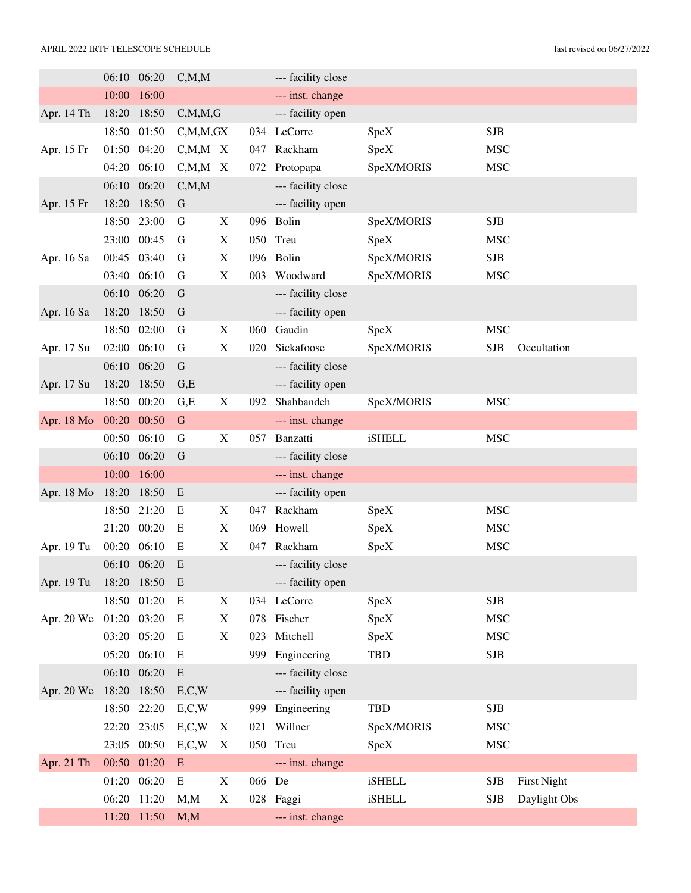|            |             | 06:10 06:20 | C, M, M       |                           |        | --- facility close |               |            |                    |
|------------|-------------|-------------|---------------|---------------------------|--------|--------------------|---------------|------------|--------------------|
|            | 10:00       | 16:00       |               |                           |        | --- inst. change   |               |            |                    |
| Apr. 14 Th | 18:20       | 18:50       | C, M, M, G    |                           |        | --- facility open  |               |            |                    |
|            | 18:50       | 01:50       | C, M, M, GX   |                           |        | 034 LeCorre        | SpeX          | <b>SJB</b> |                    |
| Apr. 15 Fr | 01:50       | 04:20       | $C, M, M \ X$ |                           | 047    | Rackham            | SpeX          | <b>MSC</b> |                    |
|            | 04:20       | 06:10       | $C, M, M$ X   |                           | 072    | Protopapa          | SpeX/MORIS    | <b>MSC</b> |                    |
|            | 06:10       | 06:20       | C, M, M       |                           |        | --- facility close |               |            |                    |
| Apr. 15 Fr | 18:20       | 18:50       | $\mathbf G$   |                           |        | --- facility open  |               |            |                    |
|            | 18:50       | 23:00       | G             | X                         |        | 096 Bolin          | SpeX/MORIS    | <b>SJB</b> |                    |
|            | 23:00       | 00:45       | G             | $\boldsymbol{\mathrm{X}}$ |        | 050 Treu           | SpeX          | <b>MSC</b> |                    |
| Apr. 16 Sa | 00:45       | 03:40       | G             | X                         |        | 096 Bolin          | SpeX/MORIS    | <b>SJB</b> |                    |
|            | 03:40       | 06:10       | G             | $\boldsymbol{\mathrm{X}}$ | 003    | Woodward           | SpeX/MORIS    | <b>MSC</b> |                    |
|            | 06:10       | 06:20       | G             |                           |        | --- facility close |               |            |                    |
| Apr. 16 Sa | 18:20       | 18:50       | $\mathbf G$   |                           |        | --- facility open  |               |            |                    |
|            | 18:50       | 02:00       | G             | X                         | 060    | Gaudin             | SpeX          | <b>MSC</b> |                    |
| Apr. 17 Su | 02:00       | 06:10       | G             | X                         | 020    | Sickafoose         | SpeX/MORIS    | <b>SJB</b> | Occultation        |
|            | 06:10       | 06:20       | G             |                           |        | --- facility close |               |            |                    |
| Apr. 17 Su | 18:20       | 18:50       | G,E           |                           |        | --- facility open  |               |            |                    |
|            | 18:50       | 00:20       | G,E           | $\boldsymbol{\mathrm{X}}$ | 092    | Shahbandeh         | SpeX/MORIS    | <b>MSC</b> |                    |
| Apr. 18 Mo | 00:20       | 00:50       | $\mathbf G$   |                           |        | --- inst. change   |               |            |                    |
|            | 00:50       | 06:10       | G             | $\boldsymbol{\mathrm{X}}$ | 057    | Banzatti           | iSHELL        | <b>MSC</b> |                    |
|            | 06:10       | 06:20       | G             |                           |        | --- facility close |               |            |                    |
|            | 10:00       | 16:00       |               |                           |        | --- inst. change   |               |            |                    |
| Apr. 18 Mo | 18:20       | 18:50       | E             |                           |        | --- facility open  |               |            |                    |
|            | 18:50       | 21:20       | E             | X                         | 047    | Rackham            | SpeX          | <b>MSC</b> |                    |
|            | 21:20       | 00:20       | E             | X                         | 069    | Howell             | SpeX          | <b>MSC</b> |                    |
| Apr. 19 Tu | 00:20       | 06:10       | E             | X                         | 047    | Rackham            | SpeX          | <b>MSC</b> |                    |
|            |             | 06:10 06:20 | E             |                           |        | --- facility close |               |            |                    |
| Apr. 19 Tu | 18:20 18:50 |             | E             |                           |        | --- facility open  |               |            |                    |
|            |             | 18:50 01:20 | E             | X                         |        | 034 LeCorre        | SpeX          | <b>SJB</b> |                    |
| Apr. 20 We | 01:20 03:20 |             | E             | X                         |        | 078 Fischer        | SpeX          | <b>MSC</b> |                    |
|            |             | 03:20 05:20 | E             | X                         | 023    | Mitchell           | SpeX          | <b>MSC</b> |                    |
|            |             | 05:20 06:10 | Ε             |                           | 999    | Engineering        | <b>TBD</b>    | SJB        |                    |
|            |             | 06:10 06:20 | E             |                           |        | --- facility close |               |            |                    |
| Apr. 20 We | 18:20       | 18:50       | E, C, W       |                           |        | --- facility open  |               |            |                    |
|            | 18:50       | 22:20       | E, C, W       |                           | 999    | Engineering        | <b>TBD</b>    | <b>SJB</b> |                    |
|            | 22:20       | 23:05       | E, C, W       | X                         | 021    | Willner            | SpeX/MORIS    | <b>MSC</b> |                    |
|            | 23:05       | 00:50       | E, C, W       | X                         |        | 050 Treu           | SpeX          | <b>MSC</b> |                    |
| Apr. 21 Th | 00:50       | 01:20       | E             |                           |        | --- inst. change   |               |            |                    |
|            |             | 01:20 06:20 | E             | X                         | 066 De |                    | <b>iSHELL</b> | <b>SJB</b> | <b>First Night</b> |
|            |             | 06:20 11:20 | M, M          | X                         |        | 028 Faggi          | <b>iSHELL</b> | <b>SJB</b> | Daylight Obs       |
|            |             | 11:20 11:50 | M, M          |                           |        | --- inst. change   |               |            |                    |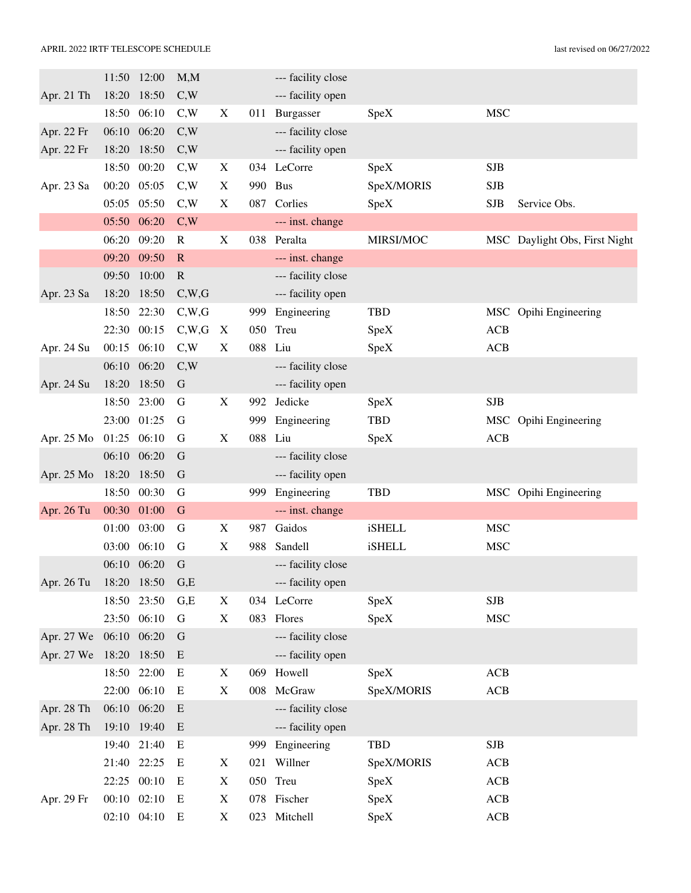|                  | 11:50          | 12:00          | M, M         |                           |     | --- facility close               |               |             |                               |
|------------------|----------------|----------------|--------------|---------------------------|-----|----------------------------------|---------------|-------------|-------------------------------|
| Apr. 21 Th       | 18:20          | 18:50          | C,W          |                           |     | --- facility open                |               |             |                               |
|                  | 18:50          | 06:10          | C,W          | X                         |     | 011 Burgasser                    | SpeX          | <b>MSC</b>  |                               |
| Apr. 22 Fr       |                | 06:10 06:20    | C,W          |                           |     | --- facility close               |               |             |                               |
| Apr. 22 Fr       | 18:20          | 18:50          | C,W          |                           |     | --- facility open                |               |             |                               |
|                  | 18:50          | 00:20          | C,W          | X                         |     | 034 LeCorre                      | SpeX          | <b>SJB</b>  |                               |
| Apr. 23 Sa       | 00:20          | 05:05          | C,W          | X                         |     | 990 Bus                          | SpeX/MORIS    | <b>SJB</b>  |                               |
|                  | 05:05          | 05:50          | C,W          | X                         | 087 | Corlies                          | SpeX          | <b>SJB</b>  | Service Obs.                  |
|                  | 05:50          | 06:20          | C,W          |                           |     | --- inst. change                 |               |             |                               |
|                  | 06:20          | 09:20          | $\mathbb{R}$ | X                         |     | 038 Peralta                      | MIRSI/MOC     |             | MSC Daylight Obs, First Night |
|                  | 09:20          | 09:50          | $\mathbb{R}$ |                           |     | --- inst. change                 |               |             |                               |
|                  | 09:50          | 10:00          | $\mathbf R$  |                           |     | --- facility close               |               |             |                               |
| Apr. 23 Sa       | 18:20          | 18:50          | C,W,G        |                           |     | --- facility open                |               |             |                               |
|                  | 18:50          | 22:30          | C,W,G        |                           | 999 | Engineering                      | <b>TBD</b>    | <b>MSC</b>  | Opihi Engineering             |
|                  | 22:30          | 00:15          | C,W,G        | X                         | 050 | Treu                             | SpeX          | ACB         |                               |
| Apr. 24 Su       | 00:15          | 06:10          | C,W          | $\boldsymbol{\mathrm{X}}$ | 088 | Liu                              | SpeX          | ACB         |                               |
|                  | 06:10          | 06:20          | C,W          |                           |     | --- facility close               |               |             |                               |
| Apr. 24 Su       | 18:20          | 18:50          | G            |                           |     | --- facility open                |               |             |                               |
|                  | 18:50          | 23:00          | G            | X                         | 992 | Jedicke                          | SpeX          | <b>SJB</b>  |                               |
|                  | 23:00          | 01:25          | G            |                           | 999 | Engineering                      | <b>TBD</b>    | <b>MSC</b>  | Opihi Engineering             |
| Apr. 25 Mo       | 01:25          | 06:10          | G            | X                         | 088 | Liu                              | SpeX          | ACB         |                               |
|                  | 06:10          | 06:20          | G            |                           |     | --- facility close               |               |             |                               |
| Apr. 25 Mo       | 18:20          | 18:50          | G            |                           |     | --- facility open                |               |             |                               |
|                  | 18:50          | 00:30          | $\mathbf G$  |                           | 999 | Engineering                      | <b>TBD</b>    |             | MSC Opihi Engineering         |
| Apr. 26 Tu       | 00:30          | 01:00          | $\mathbf G$  |                           |     | --- inst. change                 |               |             |                               |
|                  | 01:00          | 03:00          | G            | $\mathbf X$               | 987 | Gaidos                           | <b>iSHELL</b> | <b>MSC</b>  |                               |
|                  | 03:00          | 06:10          | $\mathbf G$  | $\boldsymbol{\mathrm{X}}$ | 988 | Sandell                          | <b>iSHELL</b> | <b>MSC</b>  |                               |
|                  |                | 06:10 06:20    | G            |                           |     | --- facility close               |               |             |                               |
| Apr. 26 Tu       | 18:20<br>18:50 | 18:50<br>23:50 | G,E<br>G.E   | X                         |     | --- facility open<br>034 LeCorre | SpeX          | ${\bf SJB}$ |                               |
|                  |                | 23:50 06:10    | $\mathbf G$  | $\mathbf X$               |     | 083 Flores                       | SpeX          | <b>MSC</b>  |                               |
| Apr. 27 We       | 06:10          | 06:20          | $\mathbf G$  |                           |     | --- facility close               |               |             |                               |
| Apr. 27 We 18:20 |                | 18:50          | E            |                           |     | --- facility open                |               |             |                               |
|                  |                | 18:50 22:00    | Ε            | X                         |     | 069 Howell                       | SpeX          | ACB         |                               |
|                  | 22:00          | 06:10          | E            | $\mathbf X$               | 008 | McGraw                           | SpeX/MORIS    | ACB         |                               |
| Apr. 28 Th       |                | 06:10 06:20    | E            |                           |     | --- facility close               |               |             |                               |
| Apr. 28 Th       | 19:10          | 19:40          | E            |                           |     | --- facility open                |               |             |                               |
|                  | 19:40          | 21:40          | E            |                           | 999 | Engineering                      | <b>TBD</b>    | ${\bf SJB}$ |                               |
|                  | 21:40          | 22:25          | E            | X                         | 021 | Willner                          | SpeX/MORIS    | ACB         |                               |
|                  |                | 22:25 00:10    | E            | X                         |     | 050 Treu                         | SpeX          | ACB         |                               |
| Apr. 29 Fr       |                | 00:10 02:10    | Ε            | X                         |     | 078 Fischer                      | SpeX          | ACB         |                               |
|                  |                | 02:10 04:10    | E            | $\mathbf X$               |     | 023 Mitchell                     | SpeX          | $\bf ACB$   |                               |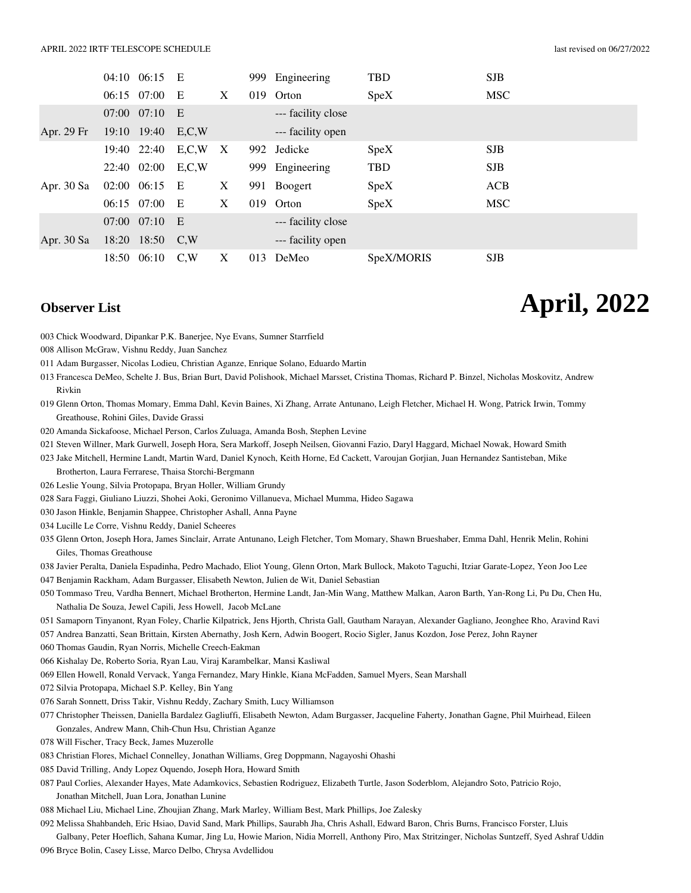|              |                 | 04:10 06:15     | E       |              | 999 | Engineering        | <b>TBD</b> | <b>SJB</b> |
|--------------|-----------------|-----------------|---------|--------------|-----|--------------------|------------|------------|
|              | 06:15 07:00     |                 | E       | X            |     | 019 Orton          | SpeX       | <b>MSC</b> |
|              | $07:00$ $07:10$ |                 | E       |              |     | --- facility close |            |            |
| Apr. 29 Fr   | 19:10 19:40     |                 | E, C, W |              |     | --- facility open  |            |            |
|              |                 | 19:40 22:40     | E, C, W | $\mathbf{X}$ |     | 992 Jedicke        | SpeX       | <b>SJB</b> |
|              |                 | 22:40 02:00     | E, C, W |              |     | 999 Engineering    | TBD        | <b>SJB</b> |
| Apr. $30$ Sa |                 | 02:00 06:15     | E       | X            |     | 991 Boogert        | SpeX       | <b>ACB</b> |
|              | 06:15 07:00     |                 | E       | X            |     | 019 Orton          | SpeX       | <b>MSC</b> |
|              |                 | $07:00$ $07:10$ | E       |              |     | --- facility close |            |            |
| Apr. $30$ Sa |                 | 18:20 18:50     | C.W     |              |     | --- facility open  |            |            |
|              |                 | 18:50 06:10     | C.W     | X            |     | 013 DeMeo          | SpeX/MORIS | <b>SJB</b> |

**Observer List April, 2022**

- 003 Chick Woodward, Dipankar P.K. Banerjee, Nye Evans, Sumner Starrfield
- 008 Allison McGraw, Vishnu Reddy, Juan Sanchez
- 011 Adam Burgasser, Nicolas Lodieu, Christian Aganze, Enrique Solano, Eduardo Martin
- 013 Francesca DeMeo, Schelte J. Bus, Brian Burt, David Polishook, Michael Marsset, Cristina Thomas, Richard P. Binzel, Nicholas Moskovitz, Andrew Rivkin
- 019 Glenn Orton, Thomas Momary, Emma Dahl, Kevin Baines, Xi Zhang, Arrate Antunano, Leigh Fletcher, Michael H. Wong, Patrick Irwin, Tommy Greathouse, Rohini Giles, Davide Grassi
- 020 Amanda Sickafoose, Michael Person, Carlos Zuluaga, Amanda Bosh, Stephen Levine
- 021 Steven Willner, Mark Gurwell, Joseph Hora, Sera Markoff, Joseph Neilsen, Giovanni Fazio, Daryl Haggard, Michael Nowak, Howard Smith
- 023 Jake Mitchell, Hermine Landt, Martin Ward, Daniel Kynoch, Keith Horne, Ed Cackett, Varoujan Gorjian, Juan Hernandez Santisteban, Mike

Brotherton, Laura Ferrarese, Thaisa Storchi-Bergmann

- 026 Leslie Young, Silvia Protopapa, Bryan Holler, William Grundy
- 028 Sara Faggi, Giuliano Liuzzi, Shohei Aoki, Geronimo Villanueva, Michael Mumma, Hideo Sagawa
- 030 Jason Hinkle, Benjamin Shappee, Christopher Ashall, Anna Payne
- 034 Lucille Le Corre, Vishnu Reddy, Daniel Scheeres

035 Glenn Orton, Joseph Hora, James Sinclair, Arrate Antunano, Leigh Fletcher, Tom Momary, Shawn Brueshaber, Emma Dahl, Henrik Melin, Rohini Giles, Thomas Greathouse

- 038 Javier Peralta, Daniela Espadinha, Pedro Machado, Eliot Young, Glenn Orton, Mark Bullock, Makoto Taguchi, Itziar Garate-Lopez, Yeon Joo Lee
- 047 Benjamin Rackham, Adam Burgasser, Elisabeth Newton, Julien de Wit, Daniel Sebastian
- 050 Tommaso Treu, Vardha Bennert, Michael Brotherton, Hermine Landt, Jan-Min Wang, Matthew Malkan, Aaron Barth, Yan-Rong Li, Pu Du, Chen Hu, Nathalia De Souza, Jewel Capili, Jess Howell, Jacob McLane
- 051 Samaporn Tinyanont, Ryan Foley, Charlie Kilpatrick, Jens Hjorth, Christa Gall, Gautham Narayan, Alexander Gagliano, Jeonghee Rho, Aravind Ravi
- 057 Andrea Banzatti, Sean Brittain, Kirsten Abernathy, Josh Kern, Adwin Boogert, Rocio Sigler, Janus Kozdon, Jose Perez, John Rayner
- 060 Thomas Gaudin, Ryan Norris, Michelle Creech-Eakman
- 066 Kishalay De, Roberto Soria, Ryan Lau, Viraj Karambelkar, Mansi Kasliwal
- 069 Ellen Howell, Ronald Vervack, Yanga Fernandez, Mary Hinkle, Kiana McFadden, Samuel Myers, Sean Marshall
- 072 Silvia Protopapa, Michael S.P. Kelley, Bin Yang
- 076 Sarah Sonnett, Driss Takir, Vishnu Reddy, Zachary Smith, Lucy Williamson
- 077 Christopher Theissen, Daniella Bardalez Gagliuffi, Elisabeth Newton, Adam Burgasser, Jacqueline Faherty, Jonathan Gagne, Phil Muirhead, Eileen Gonzales, Andrew Mann, Chih-Chun Hsu, Christian Aganze
- 078 Will Fischer, Tracy Beck, James Muzerolle
- 083 Christian Flores, Michael Connelley, Jonathan Williams, Greg Doppmann, Nagayoshi Ohashi
- 085 David Trilling, Andy Lopez Oquendo, Joseph Hora, Howard Smith
- 087 Paul Corlies, Alexander Hayes, Mate Adamkovics, Sebastien Rodriguez, Elizabeth Turtle, Jason Soderblom, Alejandro Soto, Patricio Rojo, Jonathan Mitchell, Juan Lora, Jonathan Lunine
- 088 Michael Liu, Michael Line, Zhoujian Zhang, Mark Marley, William Best, Mark Phillips, Joe Zalesky
- 092 Melissa Shahbandeh, Eric Hsiao, David Sand, Mark Phillips, Saurabh Jha, Chris Ashall, Edward Baron, Chris Burns, Francisco Forster, Lluis

Galbany, Peter Hoeflich, Sahana Kumar, Jing Lu, Howie Marion, Nidia Morrell, Anthony Piro, Max Stritzinger, Nicholas Suntzeff, Syed Ashraf Uddin 096 Bryce Bolin, Casey Lisse, Marco Delbo, Chrysa Avdellidou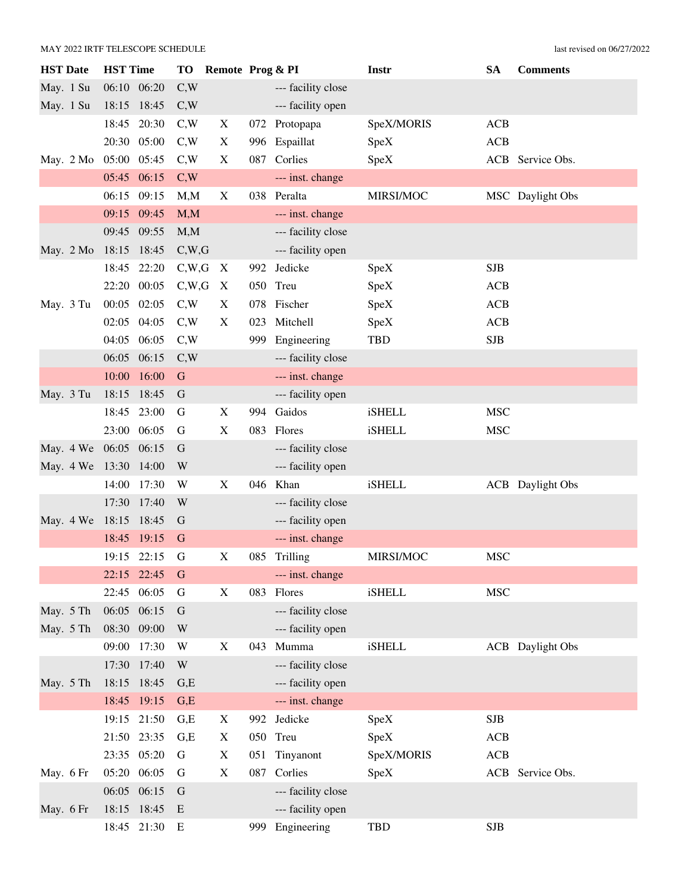| <b>HST</b> Date       | <b>HST Time</b> |       | <b>TO</b>   | Remote Prog & PI          |     |                    | Instr         | <b>SA</b>  | <b>Comments</b>         |
|-----------------------|-----------------|-------|-------------|---------------------------|-----|--------------------|---------------|------------|-------------------------|
| May. 1 Su             | 06:10 06:20     |       | C,W         |                           |     | --- facility close |               |            |                         |
| May. 1 Su             | 18:15 18:45     |       | C,W         |                           |     | --- facility open  |               |            |                         |
|                       | 18:45           | 20:30 | C,W         | X                         |     | 072 Protopapa      | SpeX/MORIS    | <b>ACB</b> |                         |
|                       | 20:30 05:00     |       | C,W         | X                         |     | 996 Espaillat      | SpeX          | <b>ACB</b> |                         |
| May. 2 Mo             | 05:00 05:45     |       | C,W         | X                         | 087 | Corlies            | SpeX          |            | ACB Service Obs.        |
|                       | 05:45 06:15     |       | C,W         |                           |     | --- inst. change   |               |            |                         |
|                       | 06:15           | 09:15 | M, M        | X                         |     | 038 Peralta        | MIRSI/MOC     |            | MSC Daylight Obs        |
|                       | 09:15 09:45     |       | M, M        |                           |     | --- inst. change   |               |            |                         |
|                       | 09:45 09:55     |       | M, M        |                           |     | --- facility close |               |            |                         |
| May. 2 Mo             | 18:15           | 18:45 | C,W,G       |                           |     | --- facility open  |               |            |                         |
|                       | 18:45           | 22:20 | C,W,G       | X                         | 992 | Jedicke            | SpeX          | <b>SJB</b> |                         |
|                       | 22:20           | 00:05 | C,W,G       | X                         |     | 050 Treu           | SpeX          | <b>ACB</b> |                         |
| May. 3 Tu             | 00:05           | 02:05 | C,W         | X                         | 078 | Fischer            | SpeX          | <b>ACB</b> |                         |
|                       | 02:05           | 04:05 | C,W         | $\boldsymbol{\mathrm{X}}$ | 023 | Mitchell           | SpeX          | <b>ACB</b> |                         |
|                       | 04:05           | 06:05 | C,W         |                           | 999 | Engineering        | <b>TBD</b>    | <b>SJB</b> |                         |
|                       | 06:05           | 06:15 | C,W         |                           |     | --- facility close |               |            |                         |
|                       | 10:00           | 16:00 | $\mathbf G$ |                           |     | --- inst. change   |               |            |                         |
| May. 3 Tu             | 18:15           | 18:45 | $\mathbf G$ |                           |     | --- facility open  |               |            |                         |
|                       | 18:45           | 23:00 | G           | X                         | 994 | Gaidos             | <b>iSHELL</b> | <b>MSC</b> |                         |
|                       | 23:00 06:05     |       | G           | $\mathbf X$               | 083 | Flores             | <b>iSHELL</b> | <b>MSC</b> |                         |
| May. 4 We 06:05 06:15 |                 |       | G           |                           |     | --- facility close |               |            |                         |
| May. 4 We 13:30       |                 | 14:00 | W           |                           |     | --- facility open  |               |            |                         |
|                       | 14:00           | 17:30 | W           | X                         |     | 046 Khan           | <b>iSHELL</b> |            | <b>ACB</b> Daylight Obs |
|                       | 17:30           | 17:40 | W           |                           |     | --- facility close |               |            |                         |
| May. 4 We             | 18:15           | 18:45 | G           |                           |     | --- facility open  |               |            |                         |
|                       | 18:45           | 19:15 | $\mathbf G$ |                           |     | --- inst. change   |               |            |                         |
|                       | 19:15 22:15     |       | G           | X                         |     | 085 Trilling       | MIRSI/MOC     | <b>MSC</b> |                         |
|                       | 22:15 22:45     |       | G           |                           |     | --- inst. change   |               |            |                         |
|                       | 22:45           | 06:05 | G           | X                         | 083 | Flores             | <b>iSHELL</b> | <b>MSC</b> |                         |
| May. 5 Th             | 06:05           | 06:15 | $\mathbf G$ |                           |     | --- facility close |               |            |                         |
| May. 5 Th             | 08:30 09:00     |       | W           |                           |     | --- facility open  |               |            |                         |
|                       | 09:00           | 17:30 | W           | X                         | 043 | Mumma              | <b>iSHELL</b> |            | <b>ACB</b> Daylight Obs |
|                       | 17:30           | 17:40 | W           |                           |     | --- facility close |               |            |                         |
| May. 5 Th             | 18:15           | 18:45 | G,E         |                           |     | --- facility open  |               |            |                         |
|                       | 18:45           | 19:15 | G,E         |                           |     | --- inst. change   |               |            |                         |
|                       | 19:15 21:50     |       | G,E         | X                         |     | 992 Jedicke        | SpeX          | <b>SJB</b> |                         |
|                       | 21:50 23:35     |       | G,E         | X                         |     | 050 Treu           | SpeX          | <b>ACB</b> |                         |
|                       | 23:35 05:20     |       | G           | X                         | 051 | Tinyanont          | SpeX/MORIS    | <b>ACB</b> |                         |
| May. 6 Fr             | 05:20 06:05     |       | G           | X                         | 087 | Corlies            | SpeX          |            | ACB Service Obs.        |
|                       | 06:05 06:15     |       | $\mathbf G$ |                           |     | --- facility close |               |            |                         |
| May. 6 Fr             | 18:15 18:45     |       | E           |                           |     | --- facility open  |               |            |                         |
|                       | 18:45 21:30     |       | E           |                           |     | 999 Engineering    | <b>TBD</b>    | <b>SJB</b> |                         |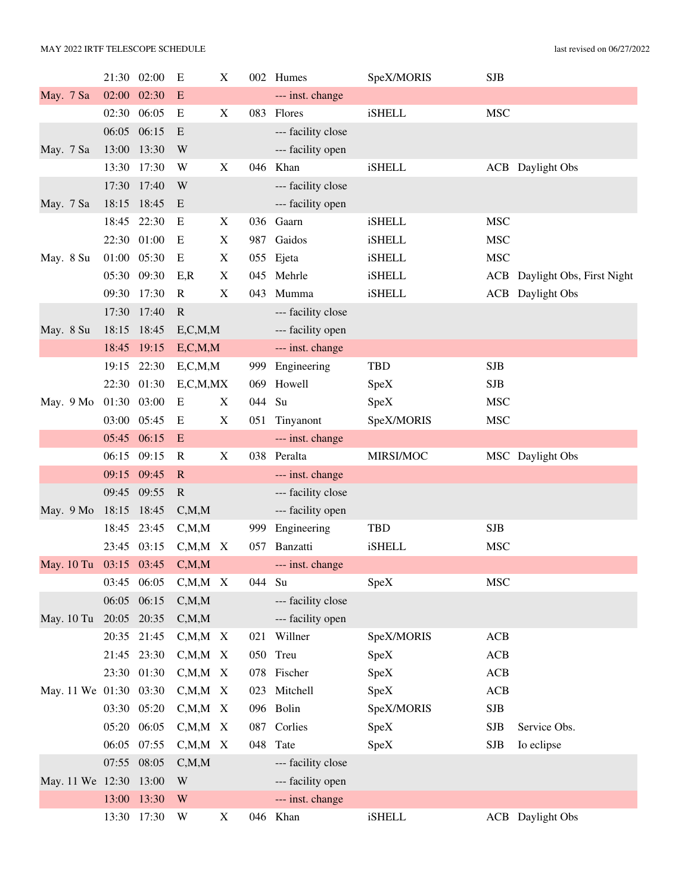|                        |             | 21:30 02:00 | E             | X |        | 002 Humes          | SpeX/MORIS    | <b>SJB</b> |                               |
|------------------------|-------------|-------------|---------------|---|--------|--------------------|---------------|------------|-------------------------------|
| May. 7 Sa              | 02:00       | 02:30       | E             |   |        | --- inst. change   |               |            |                               |
|                        |             | 02:30 06:05 | E             | X | 083    | Flores             | <b>iSHELL</b> | <b>MSC</b> |                               |
|                        | 06:05       | 06:15       | E             |   |        | --- facility close |               |            |                               |
| May. 7 Sa              | 13:00       | 13:30       | W             |   |        | --- facility open  |               |            |                               |
|                        | 13:30       | 17:30       | W             | X | 046    | Khan               | <b>iSHELL</b> |            | <b>ACB</b> Daylight Obs       |
|                        | 17:30       | 17:40       | W             |   |        | --- facility close |               |            |                               |
| May. 7 Sa              | 18:15       | 18:45       | E             |   |        | --- facility open  |               |            |                               |
|                        |             | 18:45 22:30 | E             | X |        | 036 Gaarn          | <b>iSHELL</b> | <b>MSC</b> |                               |
|                        |             | 22:30 01:00 | E             | X | 987    | Gaidos             | <b>iSHELL</b> | <b>MSC</b> |                               |
| May. 8 Su              | 01:00       | 05:30       | E             | X |        | 055 Ejeta          | <b>iSHELL</b> | <b>MSC</b> |                               |
|                        |             | 05:30 09:30 | E, R          | X |        | 045 Mehrle         | <b>iSHELL</b> |            | ACB Daylight Obs, First Night |
|                        | 09:30       | 17:30       | $\mathbf R$   | X | 043    | Mumma              | <b>iSHELL</b> |            | <b>ACB</b> Daylight Obs       |
|                        | 17:30       | 17:40       | $\mathbb{R}$  |   |        | --- facility close |               |            |                               |
| May. 8 Su              |             | 18:15 18:45 | E, C, M, M    |   |        | --- facility open  |               |            |                               |
|                        | 18:45       | 19:15       | E, C, M, M    |   |        | --- inst. change   |               |            |                               |
|                        | 19:15       | 22:30       | E, C, M, M    |   | 999    | Engineering        | <b>TBD</b>    | <b>SJB</b> |                               |
|                        |             | 22:30 01:30 | E, C, M, MX   |   | 069    | Howell             | SpeX          | <b>SJB</b> |                               |
| May. 9 Mo              | 01:30 03:00 |             | E             | X | 044 Su |                    | SpeX          | <b>MSC</b> |                               |
|                        | 03:00       | 05:45       | E             | X | 051    | Tinyanont          | SpeX/MORIS    | <b>MSC</b> |                               |
|                        | 05:45 06:15 |             | ${\bf E}$     |   |        | --- inst. change   |               |            |                               |
|                        | 06:15       | 09:15       | $\mathbf R$   | X |        | 038 Peralta        | MIRSI/MOC     |            | MSC Daylight Obs              |
|                        | 09:15       | 09:45       | $\mathbf R$   |   |        | --- inst. change   |               |            |                               |
|                        |             | 09:45 09:55 | $\mathbf R$   |   |        | --- facility close |               |            |                               |
| May. 9 Mo              | 18:15       | 18:45       | C, M, M       |   |        | --- facility open  |               |            |                               |
|                        | 18:45       | 23:45       | C, M, M       |   | 999    | Engineering        | <b>TBD</b>    | <b>SJB</b> |                               |
|                        |             | 23:45 03:15 | $C, M, M$ X   |   | 057    | Banzatti           | <b>iSHELL</b> | <b>MSC</b> |                               |
| May. 10 Tu 03:15 03:45 |             |             | C, M, M       |   |        | --- inst. change   |               |            |                               |
|                        |             | 03:45 06:05 | $C, M, M$ X   |   | 044 Su |                    | SpeX          | <b>MSC</b> |                               |
|                        | 06:05       | 06:15       | C, M, M       |   |        | --- facility close |               |            |                               |
| May. 10 Tu             | 20:05 20:35 |             | C, M, M       |   |        | --- facility open  |               |            |                               |
|                        | 20:35       | 21:45       | $C, M, M \ X$ |   |        | 021 Willner        | SpeX/MORIS    | ACB        |                               |
|                        |             | 21:45 23:30 | $C, M, M \ X$ |   |        | 050 Treu           | SpeX          | <b>ACB</b> |                               |
|                        |             | 23:30 01:30 | $C, M, M \ X$ |   |        | 078 Fischer        | SpeX          | ACB        |                               |
| May. 11 We 01:30 03:30 |             |             | $C, M, M \ X$ |   |        | 023 Mitchell       | SpeX          | ACB        |                               |
|                        |             | 03:30 05:20 | $C, M, M \ X$ |   |        | 096 Bolin          | SpeX/MORIS    | <b>SJB</b> |                               |
|                        |             | 05:20 06:05 | $C, M, M$ X   |   |        | 087 Corlies        | SpeX          | <b>SJB</b> | Service Obs.                  |
|                        | 06:05       | 07:55       | $C, M, M \ X$ |   |        | 048 Tate           | SpeX          | <b>SJB</b> | Io eclipse                    |
|                        |             | 07:55 08:05 | C, M, M       |   |        | --- facility close |               |            |                               |
| May. 11 We 12:30       |             | 13:00       | W             |   |        | --- facility open  |               |            |                               |
|                        | 13:00       | 13:30       | W             |   |        | --- inst. change   |               |            |                               |
|                        |             | 13:30 17:30 | W             | X |        | 046 Khan           | iSHELL        |            | <b>ACB</b> Daylight Obs       |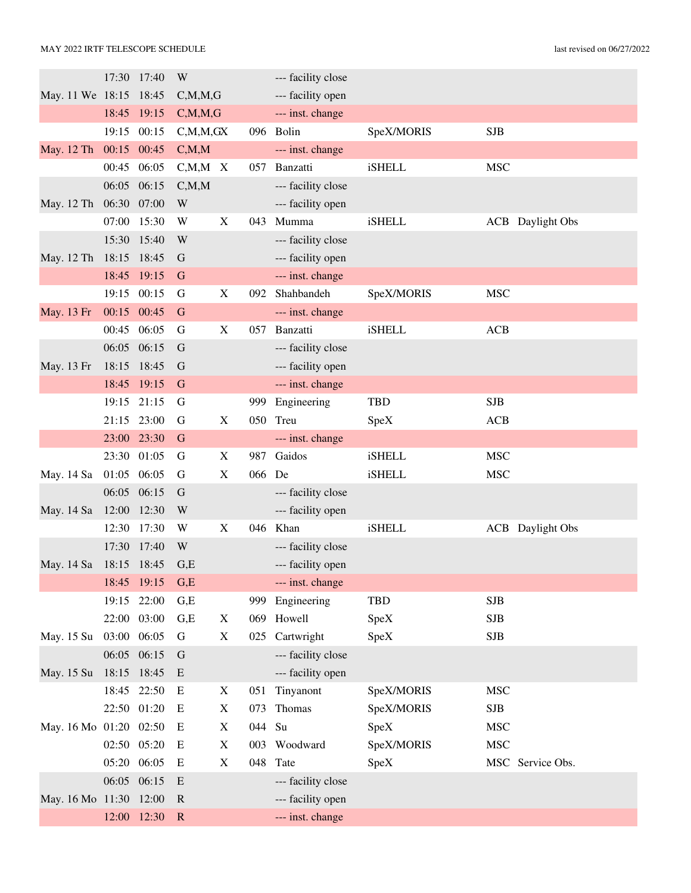|                        |             | 17:30 17:40 | W             |                           |     | --- facility close |               |            |                         |
|------------------------|-------------|-------------|---------------|---------------------------|-----|--------------------|---------------|------------|-------------------------|
| May. 11 We 18:15 18:45 |             |             | C, M, M, G    |                           |     | --- facility open  |               |            |                         |
|                        |             | 18:45 19:15 | C, M, M, G    |                           |     | --- inst. change   |               |            |                         |
|                        |             | 19:15 00:15 | C, M, M, GX   |                           |     | 096 Bolin          | SpeX/MORIS    | <b>SJB</b> |                         |
| May. 12 Th             | 00:15 00:45 |             | C, M, M       |                           |     | --- inst. change   |               |            |                         |
|                        | 00:45       | 06:05       | $C, M, M \ X$ |                           | 057 | Banzatti           | iSHELL        | <b>MSC</b> |                         |
|                        | 06:05 06:15 |             | C, M, M       |                           |     | --- facility close |               |            |                         |
| May. 12 Th             | 06:30 07:00 |             | W             |                           |     | --- facility open  |               |            |                         |
|                        | 07:00 15:30 |             | W             | X                         | 043 | Mumma              | <b>iSHELL</b> |            | <b>ACB</b> Daylight Obs |
|                        |             | 15:30 15:40 | W             |                           |     | --- facility close |               |            |                         |
| May. 12 Th             | 18:15 18:45 |             | G             |                           |     | --- facility open  |               |            |                         |
|                        |             | 18:45 19:15 | G             |                           |     | --- inst. change   |               |            |                         |
|                        |             | 19:15 00:15 | G             | X                         | 092 | Shahbandeh         | SpeX/MORIS    | <b>MSC</b> |                         |
| May. 13 Fr             | 00:15 00:45 |             | $\mathbf G$   |                           |     | --- inst. change   |               |            |                         |
|                        | 00:45 06:05 |             | G             | $\boldsymbol{\mathrm{X}}$ | 057 | Banzatti           | <b>iSHELL</b> | ACB        |                         |
|                        |             | 06:05 06:15 | G             |                           |     | --- facility close |               |            |                         |
| May. 13 Fr             | 18:15 18:45 |             | G             |                           |     | --- facility open  |               |            |                         |
|                        |             | 18:45 19:15 | G             |                           |     | --- inst. change   |               |            |                         |
|                        |             | 19:15 21:15 | G             |                           | 999 | Engineering        | <b>TBD</b>    | <b>SJB</b> |                         |
|                        | 21:15 23:00 |             | G             | X                         | 050 | Treu               | SpeX          | <b>ACB</b> |                         |
|                        |             | 23:00 23:30 | G             |                           |     | --- inst. change   |               |            |                         |
|                        | 23:30 01:05 |             | G             | X                         | 987 | Gaidos             | <b>iSHELL</b> | <b>MSC</b> |                         |
| May. 14 Sa             | 01:05 06:05 |             | G             | $\mathbf X$               | 066 | De                 | <b>iSHELL</b> | <b>MSC</b> |                         |
|                        | 06:05 06:15 |             | $\mathbf G$   |                           |     | --- facility close |               |            |                         |
| May. 14 Sa             | 12:00 12:30 |             | W             |                           |     | --- facility open  |               |            |                         |
|                        | 12:30       | 17:30       | W             | $\boldsymbol{\mathrm{X}}$ |     | 046 Khan           | <b>iSHELL</b> |            | <b>ACB</b> Daylight Obs |
|                        | 17:30       | 17:40       | W             |                           |     | --- facility close |               |            |                         |
| May. 14 Sa 18:15 18:45 |             |             | G,E           |                           |     | --- facility open  |               |            |                         |
|                        |             | 18:45 19:15 | G,E           |                           |     | --- inst. change   |               |            |                         |
|                        | 19:15       | 22:00       | G,E           |                           |     | 999 Engineering    | <b>TBD</b>    | <b>SJB</b> |                         |
|                        |             | 22:00 03:00 | G,E           | X                         | 069 | Howell             | SpeX          | <b>SJB</b> |                         |
| May. 15 Su             | 03:00 06:05 |             | G             | $\boldsymbol{\mathrm{X}}$ |     | 025 Cartwright     | SpeX          | <b>SJB</b> |                         |
|                        | 06:05 06:15 |             | G             |                           |     | --- facility close |               |            |                         |
| May. 15 Su             | 18:15 18:45 |             | E             |                           |     | --- facility open  |               |            |                         |
|                        |             | 18:45 22:50 | E             | X                         | 051 | Tinyanont          | SpeX/MORIS    | <b>MSC</b> |                         |
|                        |             | 22:50 01:20 | E             | X                         | 073 | Thomas             | SpeX/MORIS    | <b>SJB</b> |                         |
| May. 16 Mo 01:20 02:50 |             |             | E             | X                         | 044 | Su                 | SpeX          | <b>MSC</b> |                         |
|                        | 02:50 05:20 |             | E             | X                         |     | 003 Woodward       | SpeX/MORIS    | <b>MSC</b> |                         |
|                        | 05:20 06:05 |             | E             | $\mathbf X$               | 048 | Tate               | SpeX          |            | MSC Service Obs.        |
|                        | 06:05 06:15 |             | E             |                           |     | --- facility close |               |            |                         |
| May. 16 Mo 11:30 12:00 |             |             | $\mathbb{R}$  |                           |     | --- facility open  |               |            |                         |
|                        |             | 12:00 12:30 | $\mathbf R$   |                           |     | --- inst. change   |               |            |                         |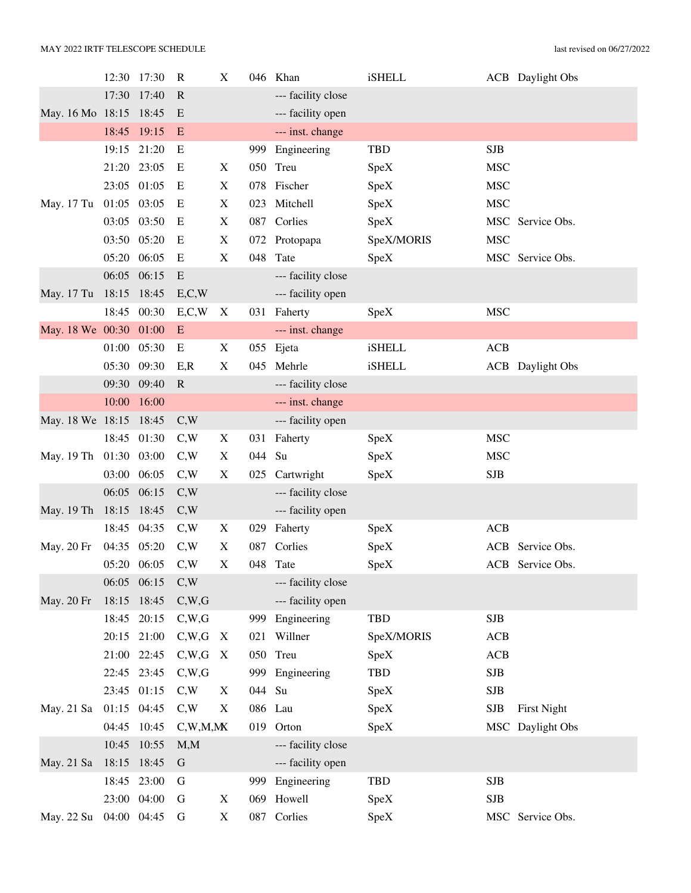|                        | 12:30 | 17:30       | $\mathbb{R}$ | $\mathbf X$               |        | 046 Khan           | <b>iSHELL</b> |            | <b>ACB</b> Daylight Obs |
|------------------------|-------|-------------|--------------|---------------------------|--------|--------------------|---------------|------------|-------------------------|
|                        | 17:30 | 17:40       | $\mathbf R$  |                           |        | --- facility close |               |            |                         |
| May. 16 Mo 18:15 18:45 |       |             | E            |                           |        | --- facility open  |               |            |                         |
|                        | 18:45 | 19:15       | E            |                           |        | --- inst. change   |               |            |                         |
|                        |       | 19:15 21:20 | E            |                           |        | 999 Engineering    | <b>TBD</b>    | <b>SJB</b> |                         |
|                        |       | 21:20 23:05 | E            | X                         |        | 050 Treu           | SpeX          | <b>MSC</b> |                         |
|                        | 23:05 | 01:05       | E            | X                         |        | 078 Fischer        | SpeX          | <b>MSC</b> |                         |
| May. 17 Tu             | 01:05 | 03:05       | E            | X                         | 023    | Mitchell           | SpeX          | <b>MSC</b> |                         |
|                        | 03:05 | 03:50       | Ε            | X                         |        | 087 Corlies        | SpeX          |            | MSC Service Obs.        |
|                        | 03:50 | 05:20       | E            | X                         |        | 072 Protopapa      | SpeX/MORIS    | <b>MSC</b> |                         |
|                        | 05:20 | 06:05       | E            | X                         | 048    | Tate               | SpeX          |            | MSC Service Obs.        |
|                        | 06:05 | 06:15       | E            |                           |        | --- facility close |               |            |                         |
| May. 17 Tu 18:15 18:45 |       |             | E, C, W      |                           |        | --- facility open  |               |            |                         |
|                        | 18:45 | 00:30       | E, C, W      | X                         | 031    | Faherty            | SpeX          | <b>MSC</b> |                         |
| May. 18 We 00:30       |       | 01:00       | E            |                           |        | --- inst. change   |               |            |                         |
|                        | 01:00 | 05:30       | E            | $\boldsymbol{\mathrm{X}}$ |        | 055 Ejeta          | <b>iSHELL</b> | <b>ACB</b> |                         |
|                        | 05:30 | 09:30       | E, R         | X                         | 045    | Mehrle             | <b>iSHELL</b> |            | <b>ACB</b> Daylight Obs |
|                        | 09:30 | 09:40       | $\mathbf R$  |                           |        | --- facility close |               |            |                         |
|                        | 10:00 | 16:00       |              |                           |        | --- inst. change   |               |            |                         |
| May. 18 We 18:15       |       | 18:45       | C,W          |                           |        | --- facility open  |               |            |                         |
|                        | 18:45 | 01:30       | C,W          | X                         |        | 031 Faherty        | SpeX          | <b>MSC</b> |                         |
| May. 19 Th 01:30       |       | 03:00       | C,W          | X                         | 044 Su |                    | SpeX          | <b>MSC</b> |                         |
|                        | 03:00 | 06:05       | C,W          | X                         | 025    | Cartwright         | SpeX          | SJB        |                         |
|                        | 06:05 | 06:15       | C,W          |                           |        | --- facility close |               |            |                         |
| May. 19 Th 18:15 18:45 |       |             | C,W          |                           |        | --- facility open  |               |            |                         |
|                        | 18:45 | 04:35       | C,W          | X                         | 029    | Faherty            | SpeX          | <b>ACB</b> |                         |
| May. 20 Fr             | 04:35 | 05:20       | C,W          | X                         | 087    | Corlies            | SpeX          |            | ACB Service Obs.        |
|                        |       | 05:20 06:05 | C,W          | X                         |        | 048 Tate           | SpeX          |            | ACB Service Obs.        |
|                        |       | 06:05 06:15 | C,W          |                           |        | --- facility close |               |            |                         |
| May. 20 Fr             | 18:15 | 18:45       | C,W,G        |                           |        | --- facility open  |               |            |                         |
|                        | 18:45 | 20:15       | C,W,G        |                           | 999    | Engineering        | TBD           | <b>SJB</b> |                         |
|                        |       | 20:15 21:00 | C,W,G        | $\boldsymbol{\mathrm{X}}$ | 021    | Willner            | SpeX/MORIS    | <b>ACB</b> |                         |
|                        |       | 21:00 22:45 | C,W,G        | X                         |        | 050 Treu           | SpeX          | <b>ACB</b> |                         |
|                        |       | 22:45 23:45 | C,W,G        |                           |        | 999 Engineering    | TBD           | <b>SJB</b> |                         |
|                        | 23:45 | 01:15       | C,W          | X                         | 044 Su |                    | SpeX          | SJB        |                         |
| May. 21 Sa             |       | 01:15 04:45 | C,W          | X                         |        | 086 Lau            | SpeX          | SJB        | <b>First Night</b>      |
|                        | 04:45 | 10:45       | C,W,M,M      |                           |        | 019 Orton          | SpeX          |            | MSC Daylight Obs        |
|                        | 10:45 | 10:55       | M, M         |                           |        | --- facility close |               |            |                         |
| May. 21 Sa             |       | 18:15 18:45 | G            |                           |        | --- facility open  |               |            |                         |
|                        | 18:45 | 23:00       | G            |                           |        | 999 Engineering    | TBD           | <b>SJB</b> |                         |
|                        | 23:00 | 04:00       | G            | X                         | 069    | Howell             | SpeX          | <b>SJB</b> |                         |
| May. 22 Su 04:00       |       | 04:45       | G            | $\mathbf X$               |        | 087 Corlies        | SpeX          |            | MSC Service Obs.        |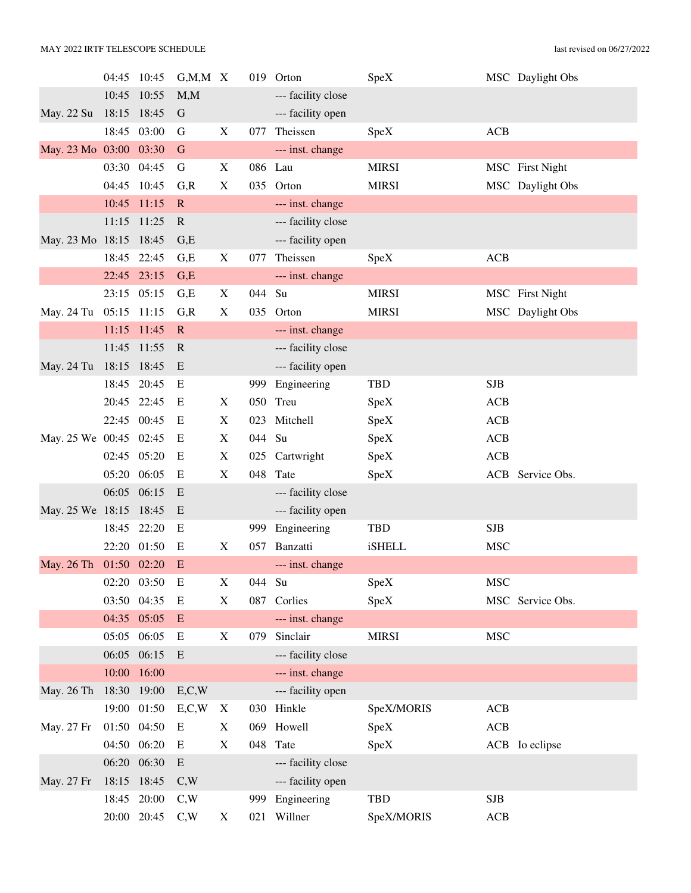|                        | 04:45       | 10:45       | $G, M, M \ X$ |             |         | 019 Orton          | SpeX          |            | MSC Daylight Obs |
|------------------------|-------------|-------------|---------------|-------------|---------|--------------------|---------------|------------|------------------|
|                        | 10:45       | 10:55       | M, M          |             |         | --- facility close |               |            |                  |
| May. 22 Su             | 18:15 18:45 |             | G             |             |         | --- facility open  |               |            |                  |
|                        | 18:45       | 03:00       | G             | X           | 077     | Theissen           | SpeX          | ACB        |                  |
| May. 23 Mo 03:00       |             | 03:30       | $\mathbf G$   |             |         | --- inst. change   |               |            |                  |
|                        | 03:30       | 04:45       | G             | X           | 086 Lau |                    | <b>MIRSI</b>  |            | MSC First Night  |
|                        | 04:45       | 10:45       | G, R          | X           | 035     | Orton              | <b>MIRSI</b>  |            | MSC Daylight Obs |
|                        | 10:45       | 11:15       | $\mathbf R$   |             |         | --- inst. change   |               |            |                  |
|                        | 11:15       | 11:25       | $\mathbf R$   |             |         | --- facility close |               |            |                  |
| May. 23 Mo 18:15 18:45 |             |             | G,E           |             |         | --- facility open  |               |            |                  |
|                        |             | 18:45 22:45 | G,E           | X           | 077     | Theissen           | SpeX          | ACB        |                  |
|                        |             | 22:45 23:15 | G,E           |             |         | --- inst. change   |               |            |                  |
|                        |             | 23:15 05:15 | G,E           | X           | 044     | Su                 | <b>MIRSI</b>  |            | MSC First Night  |
| May. 24 Tu             | 05:15 11:15 |             | G, R          | X           | 035     | Orton              | <b>MIRSI</b>  |            | MSC Daylight Obs |
|                        | 11:15       | 11:45       | $\mathbf R$   |             |         | --- inst. change   |               |            |                  |
|                        | 11:45       | 11:55       | $\mathbf R$   |             |         | --- facility close |               |            |                  |
| May. 24 Tu             | 18:15 18:45 |             | E             |             |         | --- facility open  |               |            |                  |
|                        | 18:45       | 20:45       | E             |             | 999     | Engineering        | <b>TBD</b>    | <b>SJB</b> |                  |
|                        |             | 20:45 22:45 | E             | X           |         | 050 Treu           | SpeX          | <b>ACB</b> |                  |
|                        | 22:45       | 00:45       | E             | X           | 023     | Mitchell           | SpeX          | <b>ACB</b> |                  |
| May. 25 We 00:45 02:45 |             |             | E             | X           | 044     | Su                 | SpeX          | ACB        |                  |
|                        |             | 02:45 05:20 | E             | X           |         | 025 Cartwright     | SpeX          | <b>ACB</b> |                  |
|                        | 05:20 06:05 |             | E             | X           | 048     | Tate               | SpeX          |            | ACB Service Obs. |
|                        |             | 06:05 06:15 | E             |             |         | --- facility close |               |            |                  |
| May. 25 We 18:15 18:45 |             |             | E             |             |         | --- facility open  |               |            |                  |
|                        | 18:45       | 22:20       | E             |             | 999     | Engineering        | <b>TBD</b>    | SJB        |                  |
|                        |             | 22:20 01:50 | E             | X           | 057     | Banzatti           | <b>iSHELL</b> | <b>MSC</b> |                  |
| May. 26 Th 01:50 02:20 |             |             | E             |             |         | --- inst. change   |               |            |                  |
|                        |             | 02:20 03:50 | Ε             | X           | 044     | Su                 | SpeX          | <b>MSC</b> |                  |
|                        | 03:50 04:35 |             | E             | X           |         | 087 Corlies        | SpeX          |            | MSC Service Obs. |
|                        |             | 04:35 05:05 | E             |             |         | --- inst. change   |               |            |                  |
|                        | 05:05 06:05 |             | E             | $\mathbf X$ | 079     | Sinclair           | <b>MIRSI</b>  | <b>MSC</b> |                  |
|                        |             | 06:05 06:15 | E             |             |         | --- facility close |               |            |                  |
|                        | 10:00       | 16:00       |               |             |         | --- inst. change   |               |            |                  |
| May. 26 Th             | 18:30 19:00 |             | E, C, W       |             |         | --- facility open  |               |            |                  |
|                        |             | 19:00 01:50 | E, C, W       | X           |         | 030 Hinkle         | SpeX/MORIS    | <b>ACB</b> |                  |
| May. 27 Fr             | 01:50 04:50 |             | E             | X           |         | 069 Howell         | SpeX          | ACB        |                  |
|                        |             | 04:50 06:20 | E             | X           |         | 048 Tate           | SpeX          |            | ACB Io eclipse   |
|                        |             | 06:20 06:30 | E             |             |         | --- facility close |               |            |                  |
| May. 27 Fr             | 18:15 18:45 |             | C,W           |             |         | --- facility open  |               |            |                  |
|                        |             | 18:45 20:00 | C,W           |             | 999     | Engineering        | <b>TBD</b>    | <b>SJB</b> |                  |
|                        |             | 20:00 20:45 | C,W           | X           |         | 021 Willner        | SpeX/MORIS    | ACB        |                  |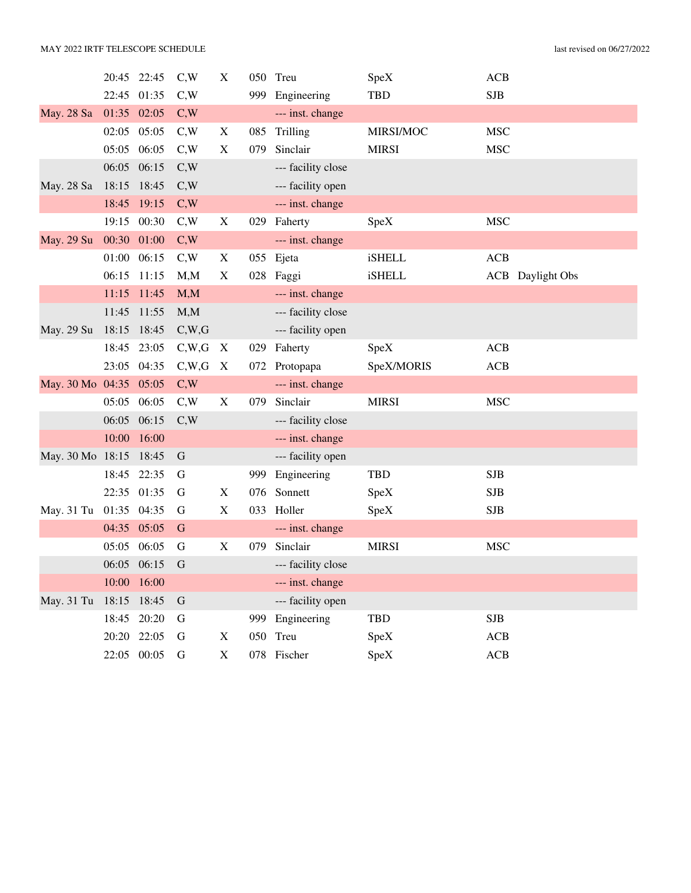|                        |             | 20:45 22:45 | C,W   | X                         | 050 | Treu               | SpeX          | <b>ACB</b> |                         |
|------------------------|-------------|-------------|-------|---------------------------|-----|--------------------|---------------|------------|-------------------------|
|                        | 22:45 01:35 |             | C,W   |                           |     | 999 Engineering    | TBD           | <b>SJB</b> |                         |
| May. 28 Sa             | 01:35 02:05 |             | C,W   |                           |     | --- inst. change   |               |            |                         |
|                        | 02:05       | 05:05       | C,W   | X                         | 085 | Trilling           | MIRSI/MOC     | <b>MSC</b> |                         |
|                        | 05:05 06:05 |             | C,W   | X                         | 079 | Sinclair           | <b>MIRSI</b>  | <b>MSC</b> |                         |
|                        | 06:05 06:15 |             | C,W   |                           |     | --- facility close |               |            |                         |
| May. 28 Sa             | 18:15 18:45 |             | C,W   |                           |     | --- facility open  |               |            |                         |
|                        | 18:45       | 19:15       | C,W   |                           |     | --- inst. change   |               |            |                         |
|                        | 19:15       | 00:30       | C,W   | X                         |     | 029 Faherty        | SpeX          | <b>MSC</b> |                         |
| May. 29 Su             | 00:30 01:00 |             | C,W   |                           |     | --- inst. change   |               |            |                         |
|                        | 01:00       | 06:15       | C,W   | $\mathbf X$               |     | 055 Ejeta          | <b>iSHELL</b> | <b>ACB</b> |                         |
|                        | 06:15 11:15 |             | M, M  | X                         |     | 028 Faggi          | <b>iSHELL</b> |            | <b>ACB</b> Daylight Obs |
|                        |             | 11:15 11:45 | M, M  |                           |     | --- inst. change   |               |            |                         |
|                        | 11:45       | 11:55       | M, M  |                           |     | --- facility close |               |            |                         |
| May. 29 Su             | 18:15 18:45 |             | C,W,G |                           |     | --- facility open  |               |            |                         |
|                        | 18:45       | 23:05       | C,W,G | X                         |     | 029 Faherty        | SpeX          | ACB        |                         |
|                        | 23:05 04:35 |             | C,W,G | $\boldsymbol{\mathrm{X}}$ |     | 072 Protopapa      | SpeX/MORIS    | ACB        |                         |
| May. 30 Mo 04:35 05:05 |             |             | C,W   |                           |     | --- inst. change   |               |            |                         |
|                        | 05:05 06:05 |             | C,W   | X                         | 079 | Sinclair           | <b>MIRSI</b>  | <b>MSC</b> |                         |
|                        | 06:05 06:15 |             | C,W   |                           |     | --- facility close |               |            |                         |
|                        | 10:00       | 16:00       |       |                           |     | --- inst. change   |               |            |                         |
| May. 30 Mo 18:15 18:45 |             |             | G     |                           |     | --- facility open  |               |            |                         |
|                        | 18:45       | 22:35       | G     |                           | 999 | Engineering        | TBD           | <b>SJB</b> |                         |
|                        | 22:35 01:35 |             | G     | X                         | 076 | Sonnett            | SpeX          | <b>SJB</b> |                         |
| May. 31 Tu             | 01:35 04:35 |             | G     | $\mathbf X$               | 033 | Holler             | SpeX          | <b>SJB</b> |                         |
|                        | 04:35 05:05 |             | G     |                           |     | --- inst. change   |               |            |                         |
|                        | 05:05 06:05 |             | G     | X                         | 079 | Sinclair           | <b>MIRSI</b>  | <b>MSC</b> |                         |
|                        | 06:05 06:15 |             | G     |                           |     | --- facility close |               |            |                         |
|                        | 10:00       | 16:00       |       |                           |     | --- inst. change   |               |            |                         |
| May. 31 Tu             | 18:15       | 18:45       | G     |                           |     | --- facility open  |               |            |                         |
|                        | 18:45       | 20:20       | G     |                           |     | 999 Engineering    | TBD           | <b>SJB</b> |                         |
|                        | 20:20       | 22:05       | G     | X                         | 050 | Treu               | SpeX          | <b>ACB</b> |                         |
|                        |             | 22:05 00:05 | G     | X                         | 078 | Fischer            | SpeX          | <b>ACB</b> |                         |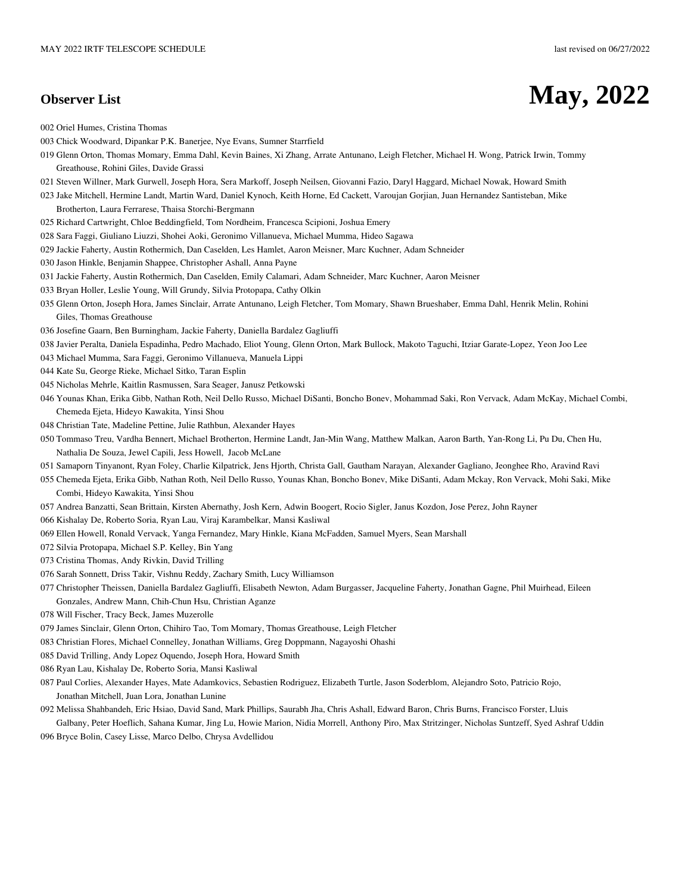## **Observer List May, 2022**

002 Oriel Humes, Cristina Thomas

- 003 Chick Woodward, Dipankar P.K. Banerjee, Nye Evans, Sumner Starrfield
- 019 Glenn Orton, Thomas Momary, Emma Dahl, Kevin Baines, Xi Zhang, Arrate Antunano, Leigh Fletcher, Michael H. Wong, Patrick Irwin, Tommy Greathouse, Rohini Giles, Davide Grassi
- 021 Steven Willner, Mark Gurwell, Joseph Hora, Sera Markoff, Joseph Neilsen, Giovanni Fazio, Daryl Haggard, Michael Nowak, Howard Smith
- 023 Jake Mitchell, Hermine Landt, Martin Ward, Daniel Kynoch, Keith Horne, Ed Cackett, Varoujan Gorjian, Juan Hernandez Santisteban, Mike Brotherton, Laura Ferrarese, Thaisa Storchi-Bergmann
- 025 Richard Cartwright, Chloe Beddingfield, Tom Nordheim, Francesca Scipioni, Joshua Emery
- 028 Sara Faggi, Giuliano Liuzzi, Shohei Aoki, Geronimo Villanueva, Michael Mumma, Hideo Sagawa
- 029 Jackie Faherty, Austin Rothermich, Dan Caselden, Les Hamlet, Aaron Meisner, Marc Kuchner, Adam Schneider
- 030 Jason Hinkle, Benjamin Shappee, Christopher Ashall, Anna Payne
- 031 Jackie Faherty, Austin Rothermich, Dan Caselden, Emily Calamari, Adam Schneider, Marc Kuchner, Aaron Meisner
- 033 Bryan Holler, Leslie Young, Will Grundy, Silvia Protopapa, Cathy Olkin
- 035 Glenn Orton, Joseph Hora, James Sinclair, Arrate Antunano, Leigh Fletcher, Tom Momary, Shawn Brueshaber, Emma Dahl, Henrik Melin, Rohini Giles, Thomas Greathouse
- 036 Josefine Gaarn, Ben Burningham, Jackie Faherty, Daniella Bardalez Gagliuffi
- 038 Javier Peralta, Daniela Espadinha, Pedro Machado, Eliot Young, Glenn Orton, Mark Bullock, Makoto Taguchi, Itziar Garate-Lopez, Yeon Joo Lee
- 043 Michael Mumma, Sara Faggi, Geronimo Villanueva, Manuela Lippi
- 044 Kate Su, George Rieke, Michael Sitko, Taran Esplin
- 045 Nicholas Mehrle, Kaitlin Rasmussen, Sara Seager, Janusz Petkowski
- 046 Younas Khan, Erika Gibb, Nathan Roth, Neil Dello Russo, Michael DiSanti, Boncho Bonev, Mohammad Saki, Ron Vervack, Adam McKay, Michael Combi, Chemeda Ejeta, Hideyo Kawakita, Yinsi Shou
- 048 Christian Tate, Madeline Pettine, Julie Rathbun, Alexander Hayes
- 050 Tommaso Treu, Vardha Bennert, Michael Brotherton, Hermine Landt, Jan-Min Wang, Matthew Malkan, Aaron Barth, Yan-Rong Li, Pu Du, Chen Hu, Nathalia De Souza, Jewel Capili, Jess Howell, Jacob McLane
- 051 Samaporn Tinyanont, Ryan Foley, Charlie Kilpatrick, Jens Hjorth, Christa Gall, Gautham Narayan, Alexander Gagliano, Jeonghee Rho, Aravind Ravi
- 055 Chemeda Ejeta, Erika Gibb, Nathan Roth, Neil Dello Russo, Younas Khan, Boncho Bonev, Mike DiSanti, Adam Mckay, Ron Vervack, Mohi Saki, Mike Combi, Hideyo Kawakita, Yinsi Shou
- 057 Andrea Banzatti, Sean Brittain, Kirsten Abernathy, Josh Kern, Adwin Boogert, Rocio Sigler, Janus Kozdon, Jose Perez, John Rayner
- 066 Kishalay De, Roberto Soria, Ryan Lau, Viraj Karambelkar, Mansi Kasliwal
- 069 Ellen Howell, Ronald Vervack, Yanga Fernandez, Mary Hinkle, Kiana McFadden, Samuel Myers, Sean Marshall
- 072 Silvia Protopapa, Michael S.P. Kelley, Bin Yang
- 073 Cristina Thomas, Andy Rivkin, David Trilling
- 076 Sarah Sonnett, Driss Takir, Vishnu Reddy, Zachary Smith, Lucy Williamson
- 077 Christopher Theissen, Daniella Bardalez Gagliuffi, Elisabeth Newton, Adam Burgasser, Jacqueline Faherty, Jonathan Gagne, Phil Muirhead, Eileen
- Gonzales, Andrew Mann, Chih-Chun Hsu, Christian Aganze
- 078 Will Fischer, Tracy Beck, James Muzerolle
- 079 James Sinclair, Glenn Orton, Chihiro Tao, Tom Momary, Thomas Greathouse, Leigh Fletcher
- 083 Christian Flores, Michael Connelley, Jonathan Williams, Greg Doppmann, Nagayoshi Ohashi
- 085 David Trilling, Andy Lopez Oquendo, Joseph Hora, Howard Smith
- 086 Ryan Lau, Kishalay De, Roberto Soria, Mansi Kasliwal
- 087 Paul Corlies, Alexander Hayes, Mate Adamkovics, Sebastien Rodriguez, Elizabeth Turtle, Jason Soderblom, Alejandro Soto, Patricio Rojo, Jonathan Mitchell, Juan Lora, Jonathan Lunine
- 092 Melissa Shahbandeh, Eric Hsiao, David Sand, Mark Phillips, Saurabh Jha, Chris Ashall, Edward Baron, Chris Burns, Francisco Forster, Lluis Galbany, Peter Hoeflich, Sahana Kumar, Jing Lu, Howie Marion, Nidia Morrell, Anthony Piro, Max Stritzinger, Nicholas Suntzeff, Syed Ashraf Uddin
- 096 Bryce Bolin, Casey Lisse, Marco Delbo, Chrysa Avdellidou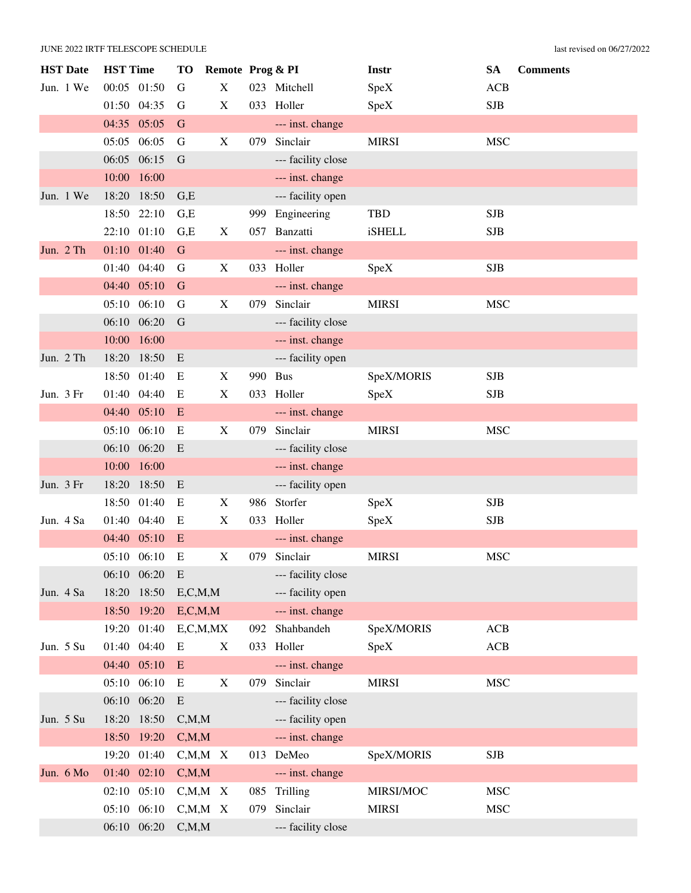| <b>HST</b> Date | <b>HST Time</b> |       | TО            | Remote Prog & PI          |     |                    | Instr         | <b>SA</b>  | <b>Comments</b> |
|-----------------|-----------------|-------|---------------|---------------------------|-----|--------------------|---------------|------------|-----------------|
| Jun. 1 We       | 00:05 01:50     |       | G             | $\boldsymbol{\mathrm{X}}$ |     | 023 Mitchell       | SpeX          | <b>ACB</b> |                 |
|                 | 01:50 04:35     |       | G             | X                         |     | 033 Holler         | SpeX          | <b>SJB</b> |                 |
|                 | 04:35 05:05     |       | G             |                           |     | --- inst. change   |               |            |                 |
|                 | 05:05           | 06:05 | G             | X                         | 079 | Sinclair           | <b>MIRSI</b>  | <b>MSC</b> |                 |
|                 | 06:05           | 06:15 | G             |                           |     | --- facility close |               |            |                 |
|                 | 10:00           | 16:00 |               |                           |     | --- inst. change   |               |            |                 |
| Jun. 1 We       | 18:20           | 18:50 | G,E           |                           |     | --- facility open  |               |            |                 |
|                 | 18:50           | 22:10 | G,E           |                           | 999 | Engineering        | <b>TBD</b>    | <b>SJB</b> |                 |
|                 | 22:10 01:10     |       | G,E           | X                         | 057 | Banzatti           | <b>iSHELL</b> | <b>SJB</b> |                 |
| Jun. 2 Th       | 01:10 01:40     |       | G             |                           |     | --- inst. change   |               |            |                 |
|                 | 01:40 04:40     |       | G             | X                         |     | 033 Holler         | SpeX          | <b>SJB</b> |                 |
|                 | 04:40 05:10     |       | G             |                           |     | --- inst. change   |               |            |                 |
|                 | 05:10 06:10     |       | G             | X                         | 079 | Sinclair           | <b>MIRSI</b>  | <b>MSC</b> |                 |
|                 | 06:10           | 06:20 | G             |                           |     | --- facility close |               |            |                 |
|                 | 10:00           | 16:00 |               |                           |     | --- inst. change   |               |            |                 |
| Jun. 2 Th       | 18:20           | 18:50 | E             |                           |     | --- facility open  |               |            |                 |
|                 | 18:50           | 01:40 | E             | X                         | 990 | <b>Bus</b>         | SpeX/MORIS    | <b>SJB</b> |                 |
| Jun. 3 Fr       | 01:40 04:40     |       | E             | $\boldsymbol{\mathrm{X}}$ |     | 033 Holler         | <b>SpeX</b>   | <b>SJB</b> |                 |
|                 | 04:40 05:10     |       | E             |                           |     | --- inst. change   |               |            |                 |
|                 | 05:10           | 06:10 | E             | X                         | 079 | Sinclair           | <b>MIRSI</b>  | <b>MSC</b> |                 |
|                 | 06:10 06:20     |       | E             |                           |     | --- facility close |               |            |                 |
|                 | 10:00 16:00     |       |               |                           |     | --- inst. change   |               |            |                 |
| Jun. 3 Fr       | 18:20           | 18:50 | E             |                           |     | --- facility open  |               |            |                 |
|                 | 18:50 01:40     |       | E             | X                         |     | 986 Storfer        | SpeX          | <b>SJB</b> |                 |
| Jun. 4 Sa       | 01:40 04:40     |       | Ε             | X                         | 033 | Holler             | SpeX          | <b>SJB</b> |                 |
|                 | 04:40 05:10     |       | E             |                           |     | --- inst. change   |               |            |                 |
|                 | 05:10 06:10     |       | E             | $\boldsymbol{\mathrm{X}}$ | 079 | Sinclair           | <b>MIRSI</b>  | <b>MSC</b> |                 |
|                 | 06:10 06:20     |       | E             |                           |     | --- facility close |               |            |                 |
| Jun. 4 Sa       | 18:20           | 18:50 | E, C, M, M    |                           |     | --- facility open  |               |            |                 |
|                 | 18:50 19:20     |       | E, C, M, M    |                           |     | --- inst. change   |               |            |                 |
|                 | 19:20           | 01:40 | E, C, M, MX   |                           | 092 | Shahbandeh         | SpeX/MORIS    | ACB        |                 |
| Jun. 5 Su       | 01:40 04:40     |       | E             | X                         | 033 | Holler             | SpeX          | ACB        |                 |
|                 | 04:40 05:10     |       | E             |                           |     | --- inst. change   |               |            |                 |
|                 | 05:10           | 06:10 | E             | X                         | 079 | Sinclair           | <b>MIRSI</b>  | <b>MSC</b> |                 |
|                 | 06:10 06:20     |       | E             |                           |     | --- facility close |               |            |                 |
| Jun. 5 Su       | 18:20           | 18:50 | C, M, M       |                           |     | --- facility open  |               |            |                 |
|                 | 18:50 19:20     |       | C, M, M       |                           |     | --- inst. change   |               |            |                 |
|                 | 19:20           | 01:40 | $C, M, M \ X$ |                           |     | 013 DeMeo          | SpeX/MORIS    | <b>SJB</b> |                 |
| Jun. 6 Mo       | 01:40 02:10     |       | C, M, M       |                           |     | --- inst. change   |               |            |                 |
|                 | 02:10           | 05:10 | $C, M, M$ X   |                           | 085 | Trilling           | MIRSI/MOC     | <b>MSC</b> |                 |
|                 | 05:10           | 06:10 | $C, M, M \ X$ |                           | 079 | Sinclair           | <b>MIRSI</b>  | <b>MSC</b> |                 |
|                 | 06:10 06:20     |       | C, M, M       |                           |     | --- facility close |               |            |                 |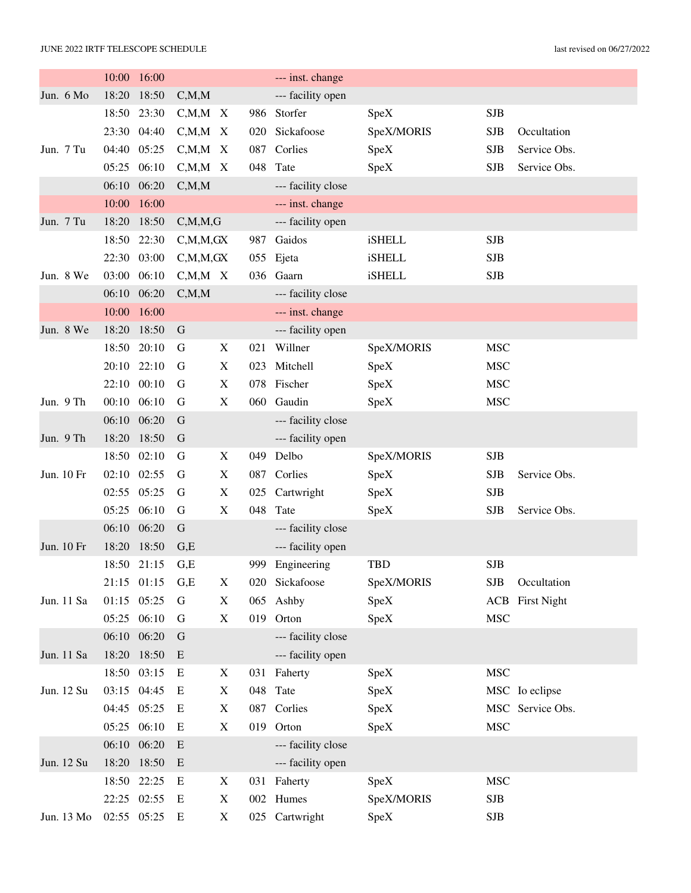|            | 10:00 | 16:00       |               |                           |     | --- inst. change   |               |            |                        |
|------------|-------|-------------|---------------|---------------------------|-----|--------------------|---------------|------------|------------------------|
| Jun. 6 Mo  | 18:20 | 18:50       | C, M, M       |                           |     | --- facility open  |               |            |                        |
|            | 18:50 | 23:30       | $C, M, M \ X$ |                           | 986 | Storfer            | SpeX          | <b>SJB</b> |                        |
|            |       | 23:30 04:40 | $C, M, M \ X$ |                           | 020 | Sickafoose         | SpeX/MORIS    | <b>SJB</b> | Occultation            |
| Jun. 7 Tu  | 04:40 | 05:25       | C, M, M       | $\boldsymbol{\mathrm{X}}$ | 087 | Corlies            | SpeX          | <b>SJB</b> | Service Obs.           |
|            | 05:25 | 06:10       | $C_{,}M_{,}M$ | X                         | 048 | Tate               | SpeX          | <b>SJB</b> | Service Obs.           |
|            | 06:10 | 06:20       | C, M, M       |                           |     | --- facility close |               |            |                        |
|            | 10:00 | 16:00       |               |                           |     | --- inst. change   |               |            |                        |
| Jun. 7 Tu  | 18:20 | 18:50       | C, M, M, G    |                           |     | --- facility open  |               |            |                        |
|            | 18:50 | 22:30       | C, M, M, GX   |                           | 987 | Gaidos             | <b>iSHELL</b> | <b>SJB</b> |                        |
|            | 22:30 | 03:00       | C, M, M, GX   |                           | 055 | Ejeta              | iSHELL        | <b>SJB</b> |                        |
| Jun. 8 We  | 03:00 | 06:10       | $C, M, M$ X   |                           |     | 036 Gaarn          | <b>iSHELL</b> | <b>SJB</b> |                        |
|            | 06:10 | 06:20       | C, M, M       |                           |     | --- facility close |               |            |                        |
|            | 10:00 | 16:00       |               |                           |     | --- inst. change   |               |            |                        |
| Jun. 8 We  | 18:20 | 18:50       | G             |                           |     | --- facility open  |               |            |                        |
|            | 18:50 | 20:10       | G             | X                         | 021 | Willner            | SpeX/MORIS    | <b>MSC</b> |                        |
|            | 20:10 | 22:10       | G             | $\boldsymbol{\mathrm{X}}$ | 023 | Mitchell           | SpeX          | <b>MSC</b> |                        |
|            | 22:10 | 00:10       | G             | X                         | 078 | Fischer            | SpeX          | <b>MSC</b> |                        |
| Jun. 9 Th  |       | 00:10 06:10 | G             | X                         |     | 060 Gaudin         | SpeX          | <b>MSC</b> |                        |
|            | 06:10 | 06:20       | G             |                           |     | --- facility close |               |            |                        |
| Jun. 9 Th  | 18:20 | 18:50       | G             |                           |     | --- facility open  |               |            |                        |
|            | 18:50 | 02:10       | G             | X                         | 049 | Delbo              | SpeX/MORIS    | <b>SJB</b> |                        |
| Jun. 10 Fr | 02:10 | 02:55       | G             | $\boldsymbol{\mathrm{X}}$ | 087 | Corlies            | SpeX          | <b>SJB</b> | Service Obs.           |
|            | 02:55 | 05:25       | G             | X                         |     | 025 Cartwright     | SpeX          | <b>SJB</b> |                        |
|            | 05:25 | 06:10       | G             | X                         | 048 | Tate               | SpeX          | <b>SJB</b> | Service Obs.           |
|            | 06:10 | 06:20       | $\mathsf G$   |                           |     | --- facility close |               |            |                        |
| Jun. 10 Fr | 18:20 | 18:50       | G,E           |                           |     | --- facility open  |               |            |                        |
|            |       | 18:50 21:15 | G,E           |                           | 999 | Engineering        | <b>TBD</b>    | <b>SJB</b> |                        |
|            |       | 21:15 01:15 | G,E           | X                         |     | 020 Sickafoose     | SpeX/MORIS    | <b>SJB</b> | Occultation            |
| Jun. 11 Sa |       | 01:15 05:25 | G             | X                         |     | 065 Ashby          | SpeX          |            | <b>ACB</b> First Night |
|            |       | 05:25 06:10 | G             | $\mathbf X$               |     | 019 Orton          | SpeX          | <b>MSC</b> |                        |
|            |       | 06:10 06:20 | $\mathbf G$   |                           |     | --- facility close |               |            |                        |
| Jun. 11 Sa |       | 18:20 18:50 | E             |                           |     | --- facility open  |               |            |                        |
|            |       | 18:50 03:15 | E             | X                         |     | 031 Faherty        | SpeX          | <b>MSC</b> |                        |
| Jun. 12 Su |       | 03:15 04:45 | Ε             | X                         |     | 048 Tate           | SpeX          |            | MSC Io eclipse         |
|            |       | 04:45 05:25 | E             | X                         |     | 087 Corlies        | SpeX          |            | MSC Service Obs.       |
|            |       | 05:25 06:10 | E             | X                         |     | 019 Orton          | SpeX          | <b>MSC</b> |                        |
|            |       | 06:10 06:20 | E             |                           |     | --- facility close |               |            |                        |
| Jun. 12 Su |       | 18:20 18:50 | E             |                           |     | --- facility open  |               |            |                        |
|            |       | 18:50 22:25 | E             | X                         |     | 031 Faherty        | SpeX          | <b>MSC</b> |                        |
|            |       | 22:25 02:55 | Е             | X                         |     | 002 Humes          | SpeX/MORIS    | <b>SJB</b> |                        |
| Jun. 13 Mo |       | 02:55 05:25 | E             | X                         |     | 025 Cartwright     | SpeX          | SJB        |                        |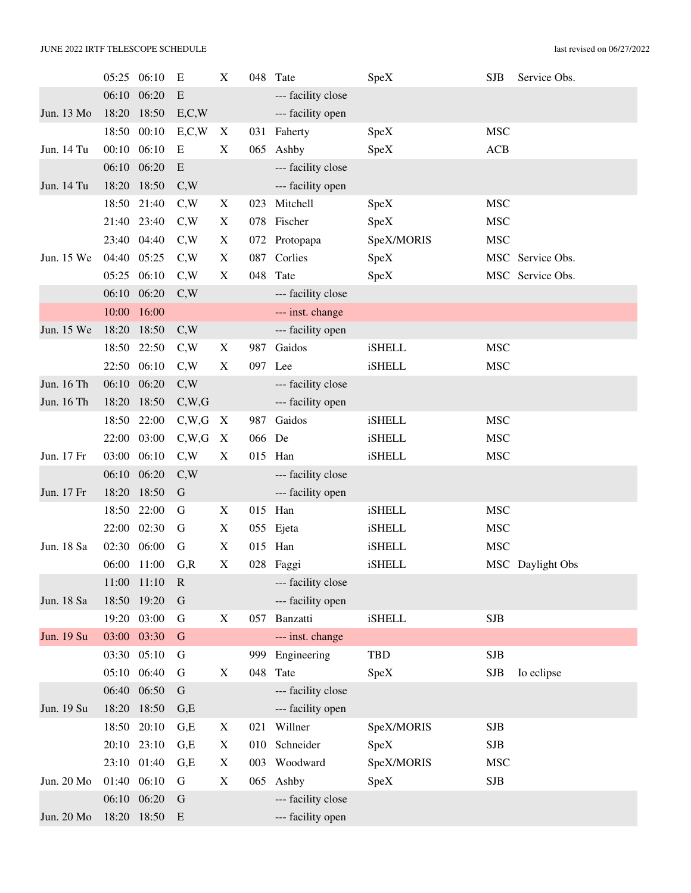|            | 05:25 | 06:10       | Е            | X           | 048    | Tate               | SpeX          | <b>SJB</b> | Service Obs.     |
|------------|-------|-------------|--------------|-------------|--------|--------------------|---------------|------------|------------------|
|            | 06:10 | 06:20       | E            |             |        | --- facility close |               |            |                  |
| Jun. 13 Mo | 18:20 | 18:50       | E, C, W      |             |        | --- facility open  |               |            |                  |
|            | 18:50 | 00:10       | E, C, W      | X           | 031    | Faherty            | SpeX          | <b>MSC</b> |                  |
| Jun. 14 Tu | 00:10 | 06:10       | E            | X           |        | 065 Ashby          | SpeX          | ACB        |                  |
|            | 06:10 | 06:20       | ${\bf E}$    |             |        | --- facility close |               |            |                  |
| Jun. 14 Tu | 18:20 | 18:50       | C,W          |             |        | --- facility open  |               |            |                  |
|            | 18:50 | 21:40       | C,W          | X           | 023    | Mitchell           | SpeX          | <b>MSC</b> |                  |
|            | 21:40 | 23:40       | C,W          | X           |        | 078 Fischer        | SpeX          | <b>MSC</b> |                  |
|            | 23:40 | 04:40       | C,W          | X           |        | 072 Protopapa      | SpeX/MORIS    | <b>MSC</b> |                  |
| Jun. 15 We | 04:40 | 05:25       | C,W          | X           | 087    | Corlies            | SpeX          |            | MSC Service Obs. |
|            | 05:25 | 06:10       | C,W          | X           | 048    | Tate               | SpeX          |            | MSC Service Obs. |
|            | 06:10 | 06:20       | C,W          |             |        | --- facility close |               |            |                  |
|            | 10:00 | 16:00       |              |             |        | --- inst. change   |               |            |                  |
| Jun. 15 We | 18:20 | 18:50       | C,W          |             |        | --- facility open  |               |            |                  |
|            | 18:50 | 22:50       | C,W          | X           | 987    | Gaidos             | <b>iSHELL</b> | <b>MSC</b> |                  |
|            | 22:50 | 06:10       | C,W          | X           | 097    | Lee                | <b>iSHELL</b> | <b>MSC</b> |                  |
| Jun. 16 Th | 06:10 | 06:20       | C,W          |             |        | --- facility close |               |            |                  |
| Jun. 16 Th | 18:20 | 18:50       | C,W,G        |             |        | --- facility open  |               |            |                  |
|            | 18:50 | 22:00       | C,W,G        | X           | 987    | Gaidos             | <b>iSHELL</b> | <b>MSC</b> |                  |
|            |       | 22:00 03:00 | C,W,G        | $\mathbf X$ | 066 De |                    | <b>iSHELL</b> | <b>MSC</b> |                  |
| Jun. 17 Fr | 03:00 | 06:10       | C,W          | X           |        | 015 Han            | iSHELL        | <b>MSC</b> |                  |
|            | 06:10 | 06:20       | C,W          |             |        | --- facility close |               |            |                  |
| Jun. 17 Fr | 18:20 | 18:50       | $\mathbf G$  |             |        | --- facility open  |               |            |                  |
|            | 18:50 | 22:00       | G            | X           | 015    | Han                | <b>iSHELL</b> | <b>MSC</b> |                  |
|            | 22:00 | 02:30       | G            | X           |        | 055 Ejeta          | <b>iSHELL</b> | <b>MSC</b> |                  |
| Jun. 18 Sa | 02:30 | 06:00       | G            | X           |        | 015 Han            | <b>iSHELL</b> | <b>MSC</b> |                  |
|            |       | 06:00 11:00 | G, R         | X           |        | 028 Faggi          | <b>iSHELL</b> |            | MSC Daylight Obs |
|            |       | 11:00 11:10 | $\mathbb{R}$ |             |        | --- facility close |               |            |                  |
| Jun. 18 Sa |       | 18:50 19:20 | $\mathbf G$  |             |        | --- facility open  |               |            |                  |
|            |       | 19:20 03:00 | G            | X           |        | 057 Banzatti       | <b>iSHELL</b> | <b>SJB</b> |                  |
| Jun. 19 Su |       | 03:00 03:30 | $\mathbf G$  |             |        | --- inst. change   |               |            |                  |
|            |       | 03:30 05:10 | G            |             | 999    | Engineering        | <b>TBD</b>    | <b>SJB</b> |                  |
|            |       | 05:10 06:40 | G            | X           | 048    | Tate               | SpeX          | <b>SJB</b> | Io eclipse       |
|            |       | 06:40 06:50 | ${\bf G}$    |             |        | --- facility close |               |            |                  |
| Jun. 19 Su |       | 18:20 18:50 | G,E          |             |        | --- facility open  |               |            |                  |
|            | 18:50 | 20:10       | G,E          | X           | 021    | Willner            | SpeX/MORIS    | <b>SJB</b> |                  |
|            | 20:10 | 23:10       | G,E          | X           |        | 010 Schneider      | SpeX          | <b>SJB</b> |                  |
|            |       | 23:10 01:40 | G.E          | X           | 003    | Woodward           | SpeX/MORIS    | <b>MSC</b> |                  |
| Jun. 20 Mo | 01:40 | 06:10       | G            | X           | 065    | Ashby              | SpeX          | SJB        |                  |
|            |       | 06:10 06:20 | $\mathbf G$  |             |        | --- facility close |               |            |                  |
| Jun. 20 Mo |       | 18:20 18:50 | ${\bf E}$    |             |        | --- facility open  |               |            |                  |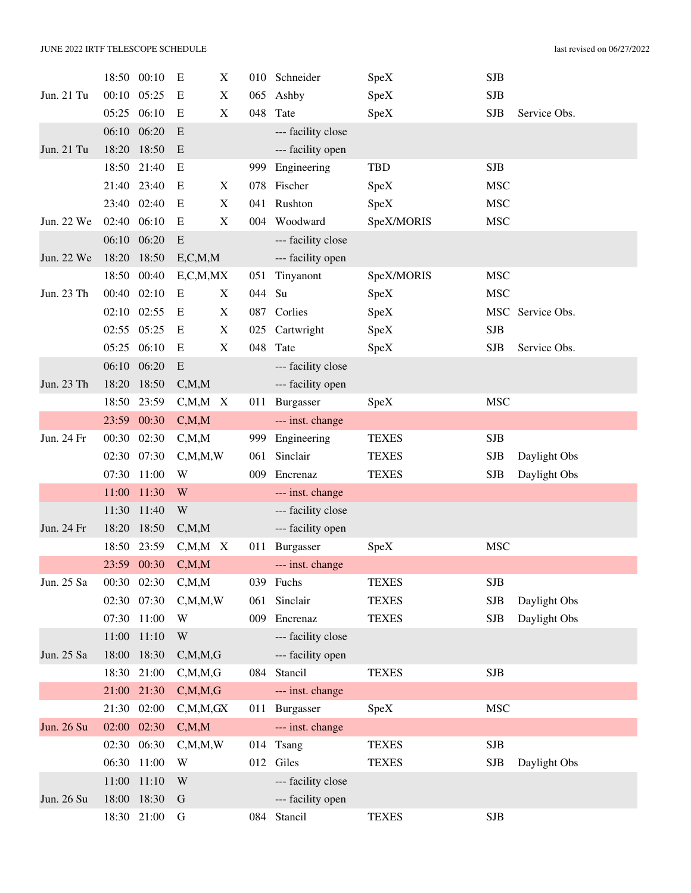|            |       | 18:50 00:10 | E                       | X                         |        | 010 Schneider      | SpeX         | <b>SJB</b> |              |
|------------|-------|-------------|-------------------------|---------------------------|--------|--------------------|--------------|------------|--------------|
| Jun. 21 Tu | 00:10 | 05:25       | E                       | $\boldsymbol{\mathrm{X}}$ | 065    | Ashby              | SpeX         | <b>SJB</b> |              |
|            | 05:25 | 06:10       | E                       | $\boldsymbol{\mathrm{X}}$ | 048    | Tate               | SpeX         | <b>SJB</b> | Service Obs. |
|            | 06:10 | 06:20       | E                       |                           |        | --- facility close |              |            |              |
| Jun. 21 Tu | 18:20 | 18:50       | E                       |                           |        | --- facility open  |              |            |              |
|            | 18:50 | 21:40       | E                       |                           | 999    | Engineering        | <b>TBD</b>   | <b>SJB</b> |              |
|            |       | 21:40 23:40 | E                       | X                         |        | 078 Fischer        | SpeX         | <b>MSC</b> |              |
|            | 23:40 | 02:40       | E                       | $\boldsymbol{\mathrm{X}}$ | 041    | Rushton            | SpeX         | <b>MSC</b> |              |
| Jun. 22 We | 02:40 | 06:10       | E                       | $\boldsymbol{\mathrm{X}}$ |        | 004 Woodward       | SpeX/MORIS   | <b>MSC</b> |              |
|            | 06:10 | 06:20       | E                       |                           |        | --- facility close |              |            |              |
| Jun. 22 We | 18:20 | 18:50       | E, C, M, M              |                           |        | --- facility open  |              |            |              |
|            | 18:50 | 00:40       | E, C, M, MX             |                           | 051    | Tinyanont          | SpeX/MORIS   | <b>MSC</b> |              |
| Jun. 23 Th | 00:40 | 02:10       | E                       | X                         | 044 Su |                    | SpeX         | <b>MSC</b> |              |
|            | 02:10 | 02:55       | E                       | X                         |        | 087 Corlies        | SpeX         | <b>MSC</b> | Service Obs. |
|            | 02:55 | 05:25       | Ε                       | X                         |        | 025 Cartwright     | SpeX         | <b>SJB</b> |              |
|            | 05:25 | 06:10       | Ε                       | X                         | 048    | Tate               | SpeX         | <b>SJB</b> | Service Obs. |
|            | 06:10 | 06:20       | ${\bf E}$               |                           |        | --- facility close |              |            |              |
| Jun. 23 Th | 18:20 | 18:50       | C, M, M                 |                           |        | --- facility open  |              |            |              |
|            | 18:50 | 23:59       | $C, M, M \ X$           |                           | 011    | Burgasser          | SpeX         | <b>MSC</b> |              |
|            | 23:59 | 00:30       | C, M, M                 |                           |        | --- inst. change   |              |            |              |
| Jun. 24 Fr | 00:30 | 02:30       | C, M, M                 |                           | 999    | Engineering        | <b>TEXES</b> | <b>SJB</b> |              |
|            | 02:30 | 07:30       | C, M, M, W              |                           | 061    | Sinclair           | <b>TEXES</b> | <b>SJB</b> | Daylight Obs |
|            | 07:30 | 11:00       | W                       |                           | 009    | Encrenaz           | <b>TEXES</b> | <b>SJB</b> | Daylight Obs |
|            | 11:00 | 11:30       | W                       |                           |        | --- inst. change   |              |            |              |
|            | 11:30 | 11:40       | $\ensuremath{\text{W}}$ |                           |        | --- facility close |              |            |              |
| Jun. 24 Fr | 18:20 | 18:50       | C, M, M                 |                           |        | --- facility open  |              |            |              |
|            | 18:50 | 23:59       | $C, M, M \ X$           |                           | 011    | Burgasser          | SpeX         | <b>MSC</b> |              |
|            |       | 23:59 00:30 | C, M, M                 |                           |        | --- inst. change   |              |            |              |
| Jun. 25 Sa |       | 00:30 02:30 | C, M, M                 |                           |        | 039 Fuchs          | <b>TEXES</b> | <b>SJB</b> |              |
|            |       | 02:30 07:30 | C, M, M, W              |                           | 061    | Sinclair           | <b>TEXES</b> | <b>SJB</b> | Daylight Obs |
|            |       | 07:30 11:00 | W                       |                           | 009    | Encrenaz           | <b>TEXES</b> | <b>SJB</b> | Daylight Obs |
|            | 11:00 | 11:10       | W                       |                           |        | --- facility close |              |            |              |
| Jun. 25 Sa | 18:00 | 18:30       | C, M, M, G              |                           |        | --- facility open  |              |            |              |
|            |       | 18:30 21:00 | C, M, M, G              |                           | 084    | Stancil            | <b>TEXES</b> | <b>SJB</b> |              |
|            | 21:00 | 21:30       | C, M, M, G              |                           |        | --- inst. change   |              |            |              |
|            | 21:30 | 02:00       | C, M, M, GX             |                           |        | 011 Burgasser      | SpeX         | <b>MSC</b> |              |
| Jun. 26 Su |       | 02:00 02:30 | C, M, M                 |                           |        | --- inst. change   |              |            |              |
|            | 02:30 | 06:30       | C, M, M, W              |                           |        | 014 Tsang          | <b>TEXES</b> | <b>SJB</b> |              |
|            | 06:30 | 11:00       | W                       |                           |        | 012 Giles          | <b>TEXES</b> | <b>SJB</b> | Daylight Obs |
|            | 11:00 | 11:10       | W                       |                           |        | --- facility close |              |            |              |
| Jun. 26 Su | 18:00 | 18:30       | G                       |                           |        | --- facility open  |              |            |              |
|            |       | 18:30 21:00 | G                       |                           |        | 084 Stancil        | <b>TEXES</b> | <b>SJB</b> |              |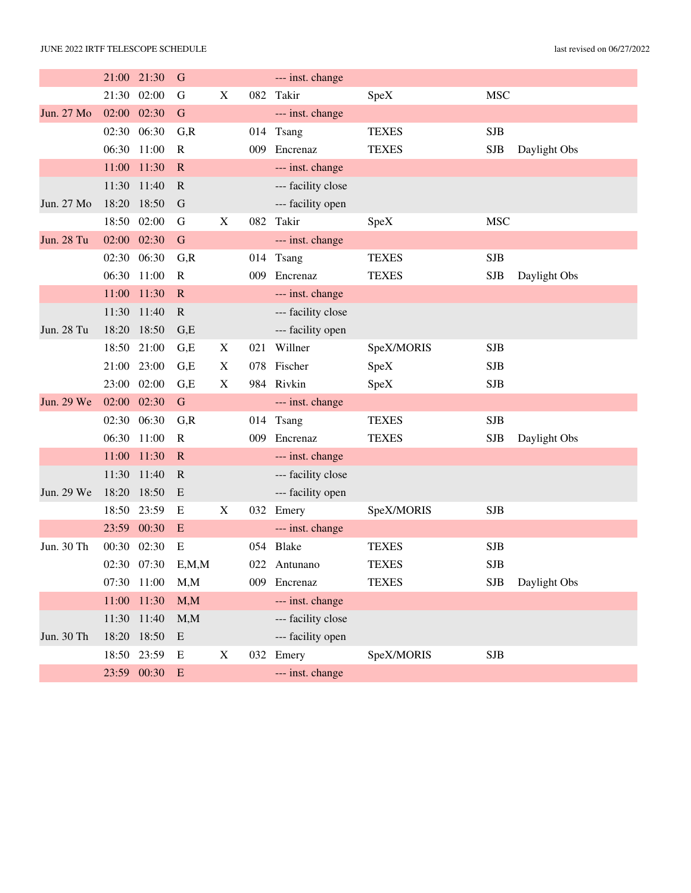|            |             | 21:00 21:30 | G            |                           |     | --- inst. change   |              |            |              |
|------------|-------------|-------------|--------------|---------------------------|-----|--------------------|--------------|------------|--------------|
|            | 21:30       | 02:00       | G            | $\boldsymbol{\mathrm{X}}$ |     | 082 Takir          | SpeX         | <b>MSC</b> |              |
| Jun. 27 Mo |             | 02:00 02:30 | $\mathbf G$  |                           |     | --- inst. change   |              |            |              |
|            |             | 02:30 06:30 | G, R         |                           | 014 | Tsang              | <b>TEXES</b> | <b>SJB</b> |              |
|            | 06:30       | 11:00       | $\mathbf R$  |                           | 009 | Encrenaz           | <b>TEXES</b> | <b>SJB</b> | Daylight Obs |
|            | 11:00       | 11:30       | $\mathbf R$  |                           |     | --- inst. change   |              |            |              |
|            | 11:30       | 11:40       | $\mathbf R$  |                           |     | --- facility close |              |            |              |
| Jun. 27 Mo | 18:20       | 18:50       | G            |                           |     | --- facility open  |              |            |              |
|            | 18:50       | 02:00       | ${\bf G}$    | $\mathbf X$               | 082 | Takir              | SpeX         | <b>MSC</b> |              |
| Jun. 28 Tu |             | 02:00 02:30 | $\mathbf G$  |                           |     | --- inst. change   |              |            |              |
|            | 02:30       | 06:30       | G, R         |                           |     | 014 Tsang          | <b>TEXES</b> | <b>SJB</b> |              |
|            | 06:30       | 11:00       | $\mathbf R$  |                           | 009 | Encrenaz           | <b>TEXES</b> | <b>SJB</b> | Daylight Obs |
|            | 11:00       | 11:30       | $\mathbf R$  |                           |     | --- inst. change   |              |            |              |
|            | 11:30       | 11:40       | $\mathbf R$  |                           |     | --- facility close |              |            |              |
| Jun. 28 Tu | 18:20       | 18:50       | G,E          |                           |     | --- facility open  |              |            |              |
|            | 18:50       | 21:00       | G,E          | X                         | 021 | Willner            | SpeX/MORIS   | <b>SJB</b> |              |
|            | 21:00       | 23:00       | G,E          | $\boldsymbol{\mathrm{X}}$ | 078 | Fischer            | SpeX         | <b>SJB</b> |              |
|            |             | 23:00 02:00 | G,E          | X                         |     | 984 Rivkin         | SpeX         | <b>SJB</b> |              |
| Jun. 29 We | 02:00 02:30 |             | $\mathbf G$  |                           |     | --- inst. change   |              |            |              |
|            | 02:30       | 06:30       | G, R         |                           |     | 014 Tsang          | <b>TEXES</b> | <b>SJB</b> |              |
|            | 06:30       | 11:00       | $\mathbf R$  |                           | 009 | Encrenaz           | <b>TEXES</b> | <b>SJB</b> | Daylight Obs |
|            | 11:00       | 11:30       | $\mathbf R$  |                           |     | --- inst. change   |              |            |              |
|            | 11:30       | 11:40       | $\mathbb{R}$ |                           |     | --- facility close |              |            |              |
| Jun. 29 We | 18:20       | 18:50       | E            |                           |     | --- facility open  |              |            |              |
|            |             | 18:50 23:59 | E            | X                         | 032 | Emery              | SpeX/MORIS   | <b>SJB</b> |              |
|            | 23:59       | 00:30       | E            |                           |     | --- inst. change   |              |            |              |
| Jun. 30 Th | 00:30       | 02:30       | E            |                           | 054 | Blake              | <b>TEXES</b> | <b>SJB</b> |              |
|            |             | 02:30 07:30 | E, M, M      |                           | 022 | Antunano           | <b>TEXES</b> | <b>SJB</b> |              |
|            |             | 07:30 11:00 | M, M         |                           |     | 009 Encrenaz       | <b>TEXES</b> | <b>SJB</b> | Daylight Obs |
|            |             | 11:00 11:30 | M, M         |                           |     | --- inst. change   |              |            |              |
|            |             | 11:30 11:40 | M, M         |                           |     | --- facility close |              |            |              |
| Jun. 30 Th |             | 18:20 18:50 | E            |                           |     | --- facility open  |              |            |              |
|            |             | 18:50 23:59 | Е            | X                         |     | 032 Emery          | SpeX/MORIS   | SJB        |              |
|            |             | 23:59 00:30 | E            |                           |     | --- inst. change   |              |            |              |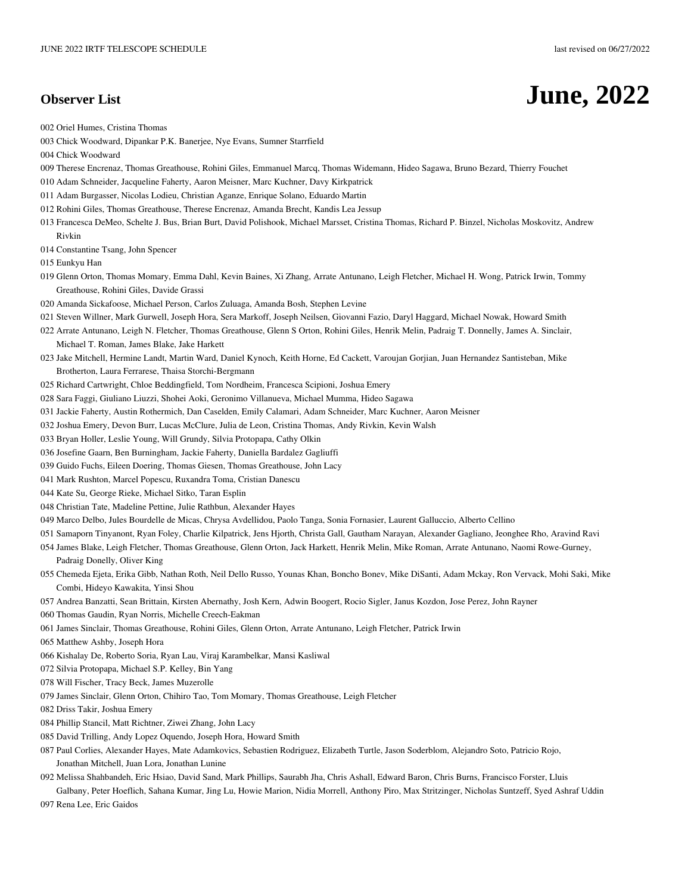## **Observer List June, 2022**

002 Oriel Humes, Cristina Thomas

003 Chick Woodward, Dipankar P.K. Banerjee, Nye Evans, Sumner Starrfield

004 Chick Woodward

- 009 Therese Encrenaz, Thomas Greathouse, Rohini Giles, Emmanuel Marcq, Thomas Widemann, Hideo Sagawa, Bruno Bezard, Thierry Fouchet
- 010 Adam Schneider, Jacqueline Faherty, Aaron Meisner, Marc Kuchner, Davy Kirkpatrick
- 011 Adam Burgasser, Nicolas Lodieu, Christian Aganze, Enrique Solano, Eduardo Martin
- 012 Rohini Giles, Thomas Greathouse, Therese Encrenaz, Amanda Brecht, Kandis Lea Jessup
- 013 Francesca DeMeo, Schelte J. Bus, Brian Burt, David Polishook, Michael Marsset, Cristina Thomas, Richard P. Binzel, Nicholas Moskovitz, Andrew Rivkin

014 Constantine Tsang, John Spencer

015 Eunkyu Han

- 019 Glenn Orton, Thomas Momary, Emma Dahl, Kevin Baines, Xi Zhang, Arrate Antunano, Leigh Fletcher, Michael H. Wong, Patrick Irwin, Tommy Greathouse, Rohini Giles, Davide Grassi
- 020 Amanda Sickafoose, Michael Person, Carlos Zuluaga, Amanda Bosh, Stephen Levine
- 021 Steven Willner, Mark Gurwell, Joseph Hora, Sera Markoff, Joseph Neilsen, Giovanni Fazio, Daryl Haggard, Michael Nowak, Howard Smith
- 022 Arrate Antunano, Leigh N. Fletcher, Thomas Greathouse, Glenn S Orton, Rohini Giles, Henrik Melin, Padraig T. Donnelly, James A. Sinclair, Michael T. Roman, James Blake, Jake Harkett
- 023 Jake Mitchell, Hermine Landt, Martin Ward, Daniel Kynoch, Keith Horne, Ed Cackett, Varoujan Gorjian, Juan Hernandez Santisteban, Mike Brotherton, Laura Ferrarese, Thaisa Storchi-Bergmann
- 025 Richard Cartwright, Chloe Beddingfield, Tom Nordheim, Francesca Scipioni, Joshua Emery
- 028 Sara Faggi, Giuliano Liuzzi, Shohei Aoki, Geronimo Villanueva, Michael Mumma, Hideo Sagawa
- 031 Jackie Faherty, Austin Rothermich, Dan Caselden, Emily Calamari, Adam Schneider, Marc Kuchner, Aaron Meisner
- 032 Joshua Emery, Devon Burr, Lucas McClure, Julia de Leon, Cristina Thomas, Andy Rivkin, Kevin Walsh
- 033 Bryan Holler, Leslie Young, Will Grundy, Silvia Protopapa, Cathy Olkin
- 036 Josefine Gaarn, Ben Burningham, Jackie Faherty, Daniella Bardalez Gagliuffi
- 039 Guido Fuchs, Eileen Doering, Thomas Giesen, Thomas Greathouse, John Lacy
- 041 Mark Rushton, Marcel Popescu, Ruxandra Toma, Cristian Danescu
- 044 Kate Su, George Rieke, Michael Sitko, Taran Esplin
- 048 Christian Tate, Madeline Pettine, Julie Rathbun, Alexander Hayes
- 049 Marco Delbo, Jules Bourdelle de Micas, Chrysa Avdellidou, Paolo Tanga, Sonia Fornasier, Laurent Galluccio, Alberto Cellino
- 051 Samaporn Tinyanont, Ryan Foley, Charlie Kilpatrick, Jens Hjorth, Christa Gall, Gautham Narayan, Alexander Gagliano, Jeonghee Rho, Aravind Ravi
- 054 James Blake, Leigh Fletcher, Thomas Greathouse, Glenn Orton, Jack Harkett, Henrik Melin, Mike Roman, Arrate Antunano, Naomi Rowe-Gurney, Padraig Donelly, Oliver King
- 055 Chemeda Ejeta, Erika Gibb, Nathan Roth, Neil Dello Russo, Younas Khan, Boncho Bonev, Mike DiSanti, Adam Mckay, Ron Vervack, Mohi Saki, Mike Combi, Hideyo Kawakita, Yinsi Shou
- 057 Andrea Banzatti, Sean Brittain, Kirsten Abernathy, Josh Kern, Adwin Boogert, Rocio Sigler, Janus Kozdon, Jose Perez, John Rayner
- 060 Thomas Gaudin, Ryan Norris, Michelle Creech-Eakman
- 061 James Sinclair, Thomas Greathouse, Rohini Giles, Glenn Orton, Arrate Antunano, Leigh Fletcher, Patrick Irwin
- 065 Matthew Ashby, Joseph Hora
- 066 Kishalay De, Roberto Soria, Ryan Lau, Viraj Karambelkar, Mansi Kasliwal
- 072 Silvia Protopapa, Michael S.P. Kelley, Bin Yang
- 078 Will Fischer, Tracy Beck, James Muzerolle
- 079 James Sinclair, Glenn Orton, Chihiro Tao, Tom Momary, Thomas Greathouse, Leigh Fletcher
- 082 Driss Takir, Joshua Emery
- 084 Phillip Stancil, Matt Richtner, Ziwei Zhang, John Lacy
- 085 David Trilling, Andy Lopez Oquendo, Joseph Hora, Howard Smith
- 087 Paul Corlies, Alexander Hayes, Mate Adamkovics, Sebastien Rodriguez, Elizabeth Turtle, Jason Soderblom, Alejandro Soto, Patricio Rojo, Jonathan Mitchell, Juan Lora, Jonathan Lunine
- 092 Melissa Shahbandeh, Eric Hsiao, David Sand, Mark Phillips, Saurabh Jha, Chris Ashall, Edward Baron, Chris Burns, Francisco Forster, Lluis Galbany, Peter Hoeflich, Sahana Kumar, Jing Lu, Howie Marion, Nidia Morrell, Anthony Piro, Max Stritzinger, Nicholas Suntzeff, Syed Ashraf Uddin
- 097 Rena Lee, Eric Gaidos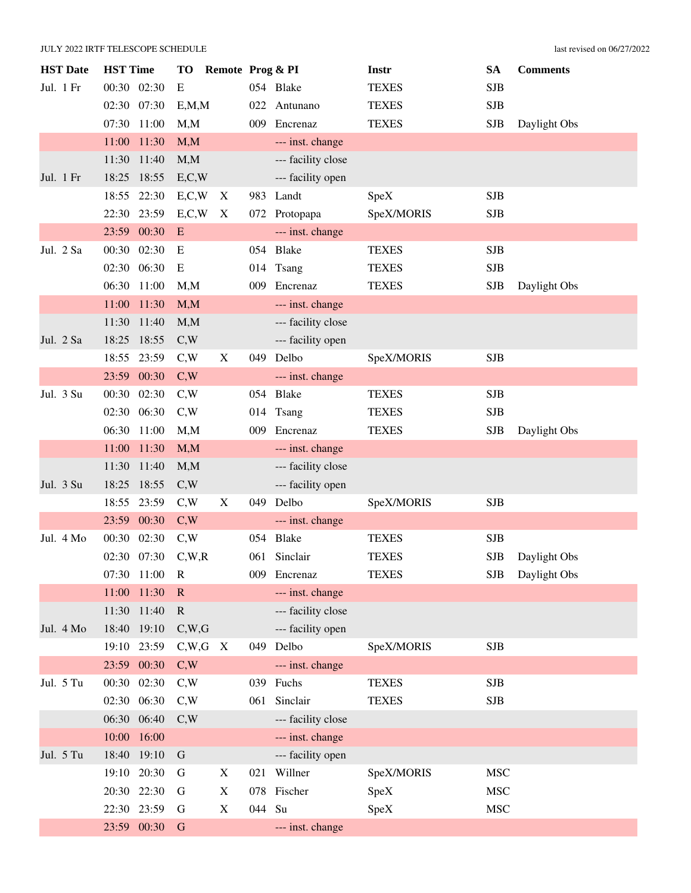| <b>HST</b> Date | <b>HST</b> Time |             | <b>TO</b>       | Remote Prog & PI |        |                    | Instr        | <b>SA</b>  | <b>Comments</b> |
|-----------------|-----------------|-------------|-----------------|------------------|--------|--------------------|--------------|------------|-----------------|
| Jul. 1 Fr       | 00:30 02:30     |             | E               |                  |        | 054 Blake          | <b>TEXES</b> | <b>SJB</b> |                 |
|                 | 02:30 07:30     |             | E, M, M         |                  | 022    | Antunano           | <b>TEXES</b> | <b>SJB</b> |                 |
|                 | 07:30 11:00     |             | M, M            |                  |        | 009 Encrenaz       | <b>TEXES</b> | <b>SJB</b> | Daylight Obs    |
|                 | 11:00           | 11:30       | M, M            |                  |        | --- inst. change   |              |            |                 |
|                 | 11:30 11:40     |             | M, M            |                  |        | --- facility close |              |            |                 |
| Jul. 1 Fr       | 18:25 18:55     |             | E, C, W         |                  |        | --- facility open  |              |            |                 |
|                 | 18:55           | 22:30       | E, C, W         | X                |        | 983 Landt          | SpeX         | <b>SJB</b> |                 |
|                 | 22:30 23:59     |             | E, C, W         | X                |        | 072 Protopapa      | SpeX/MORIS   | <b>SJB</b> |                 |
|                 | 23:59 00:30     |             | E               |                  |        | --- inst. change   |              |            |                 |
| Jul. 2 Sa       | 00:30           | 02:30       | Ε               |                  |        | 054 Blake          | <b>TEXES</b> | <b>SJB</b> |                 |
|                 | 02:30 06:30     |             | E               |                  |        | 014 Tsang          | <b>TEXES</b> | <b>SJB</b> |                 |
|                 | 06:30 11:00     |             | M, M            |                  |        | 009 Encrenaz       | <b>TEXES</b> | <b>SJB</b> | Daylight Obs    |
|                 | 11:00           | 11:30       | M, M            |                  |        | --- inst. change   |              |            |                 |
|                 | 11:30 11:40     |             | M,M             |                  |        | --- facility close |              |            |                 |
| Jul. 2 Sa       | 18:25 18:55     |             | C,W             |                  |        | --- facility open  |              |            |                 |
|                 | 18:55           | 23:59       | C,W             | X                |        | 049 Delbo          | SpeX/MORIS   | <b>SJB</b> |                 |
|                 | 23:59 00:30     |             | C,W             |                  |        | --- inst. change   |              |            |                 |
| Jul. 3 Su       | 00:30 02:30     |             | C,W             |                  |        | 054 Blake          | <b>TEXES</b> | <b>SJB</b> |                 |
|                 | 02:30 06:30     |             | C,W             |                  |        | 014 Tsang          | <b>TEXES</b> | <b>SJB</b> |                 |
|                 | 06:30 11:00     |             | M, M            |                  |        | 009 Encrenaz       | <b>TEXES</b> | <b>SJB</b> | Daylight Obs    |
|                 | 11:00           | 11:30       | M, M            |                  |        | --- inst. change   |              |            |                 |
|                 | 11:30           | 11:40       | M, M            |                  |        | --- facility close |              |            |                 |
| Jul. 3 Su       | 18:25           | 18:55       | C,W             |                  |        | --- facility open  |              |            |                 |
|                 | 18:55 23:59     |             | C,W             | X                |        | 049 Delbo          | SpeX/MORIS   | <b>SJB</b> |                 |
|                 | 23:59 00:30     |             | C,W             |                  |        | --- inst. change   |              |            |                 |
| Jul. 4 Mo       | 00:30 02:30     |             | C,W             |                  |        | 054 Blake          | <b>TEXES</b> | <b>SJB</b> |                 |
|                 | 02:30 07:30     |             | C,W,R           |                  |        | 061 Sinclair       | <b>TEXES</b> | <b>SJB</b> | Daylight Obs    |
|                 | 07:30 11:00     |             | $\mathbf R$     |                  |        | 009 Encrenaz       | <b>TEXES</b> | <b>SJB</b> | Daylight Obs    |
|                 |                 | 11:00 11:30 | $\mathbf R$     |                  |        | --- inst. change   |              |            |                 |
|                 | 11:30 11:40     |             | $\mathbf R$     |                  |        | --- facility close |              |            |                 |
| Jul. 4 Mo       | 18:40 19:10     |             | C,W,G           |                  |        | --- facility open  |              |            |                 |
|                 | 19:10 23:59     |             | $C,W,G \quad X$ |                  |        | 049 Delbo          | SpeX/MORIS   | <b>SJB</b> |                 |
|                 | 23:59 00:30     |             | C,W             |                  |        | --- inst. change   |              |            |                 |
| Jul. 5 Tu       | 00:30 02:30     |             | C,W             |                  |        | 039 Fuchs          | <b>TEXES</b> | <b>SJB</b> |                 |
|                 |                 | 02:30 06:30 | C,W             |                  |        | 061 Sinclair       | <b>TEXES</b> | SJB        |                 |
|                 | 06:30 06:40     |             | C,W             |                  |        | --- facility close |              |            |                 |
|                 | 10:00           | 16:00       |                 |                  |        | --- inst. change   |              |            |                 |
| Jul. 5 Tu       | 18:40 19:10     |             | $\mathbf G$     |                  |        | --- facility open  |              |            |                 |
|                 |                 | 19:10 20:30 | G               | X                |        | 021 Willner        | SpeX/MORIS   | <b>MSC</b> |                 |
|                 | 20:30 22:30     |             | G               | X                |        | 078 Fischer        | SpeX         | <b>MSC</b> |                 |
|                 | 22:30 23:59     |             | G               | X                | 044 Su |                    | SpeX         | <b>MSC</b> |                 |
|                 | 23:59 00:30     |             | $\mathbf G$     |                  |        | --- inst. change   |              |            |                 |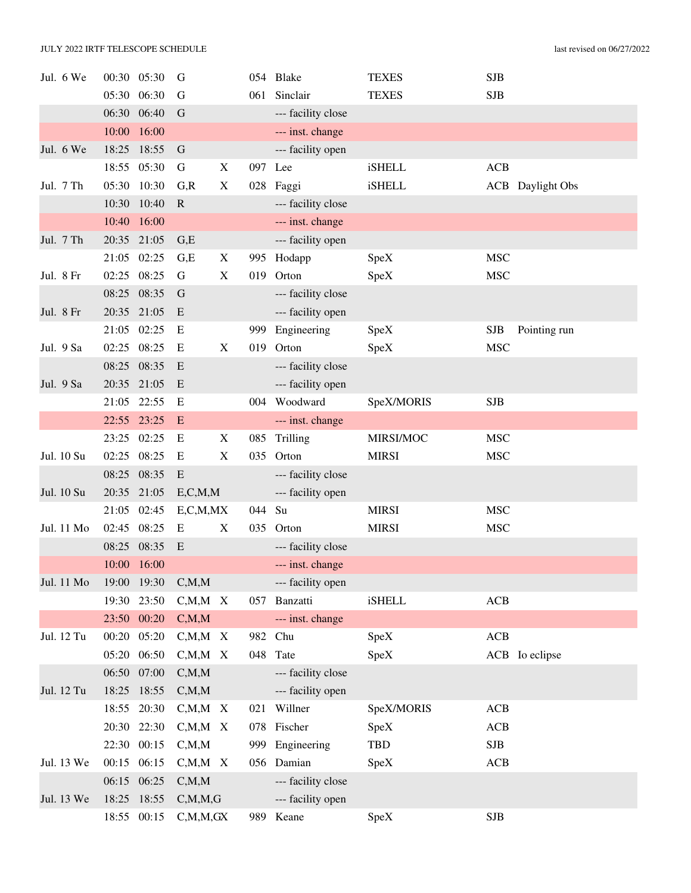| Jul. 6 We  |             | 00:30 05:30 | G             |   |         | 054 Blake          | <b>TEXES</b>  | <b>SJB</b>  |                         |
|------------|-------------|-------------|---------------|---|---------|--------------------|---------------|-------------|-------------------------|
|            |             | 05:30 06:30 | G             |   | 061     | Sinclair           | <b>TEXES</b>  | <b>SJB</b>  |                         |
|            |             | 06:30 06:40 | G             |   |         | --- facility close |               |             |                         |
|            |             | 10:00 16:00 |               |   |         | --- inst. change   |               |             |                         |
| Jul. 6 We  |             | 18:25 18:55 | G             |   |         | --- facility open  |               |             |                         |
|            |             | 18:55 05:30 | G             | X | 097 Lee |                    | <b>iSHELL</b> | ACB         |                         |
| Jul. 7 Th  |             | 05:30 10:30 | G, R          | X |         | 028 Faggi          | <b>iSHELL</b> |             | <b>ACB</b> Daylight Obs |
|            | 10:30       | 10:40       | $\mathbf R$   |   |         | --- facility close |               |             |                         |
|            |             | 10:40 16:00 |               |   |         | --- inst. change   |               |             |                         |
| Jul. 7 Th  |             | 20:35 21:05 | G,E           |   |         | --- facility open  |               |             |                         |
|            | 21:05       | 02:25       | G,E           | X |         | 995 Hodapp         | SpeX          | <b>MSC</b>  |                         |
| Jul. 8 Fr  | 02:25 08:25 |             | G             | X | 019     | Orton              | SpeX          | <b>MSC</b>  |                         |
|            |             | 08:25 08:35 | G             |   |         | --- facility close |               |             |                         |
| Jul. 8 Fr  | 20:35 21:05 |             | E             |   |         | --- facility open  |               |             |                         |
|            |             | 21:05 02:25 | E             |   |         | 999 Engineering    | SpeX          | <b>SJB</b>  | Pointing run            |
| Jul. 9 Sa  | 02:25 08:25 |             | E             | X |         | 019 Orton          | SpeX          | <b>MSC</b>  |                         |
|            | 08:25 08:35 |             | E             |   |         | --- facility close |               |             |                         |
| Jul. 9 Sa  |             | 20:35 21:05 | E             |   |         | --- facility open  |               |             |                         |
|            |             | 21:05 22:55 | E             |   |         | 004 Woodward       | SpeX/MORIS    | <b>SJB</b>  |                         |
|            | 22:55 23:25 |             | E             |   |         | --- inst. change   |               |             |                         |
|            | 23:25       | 02:25       | E             | X | 085     | Trilling           | MIRSI/MOC     | <b>MSC</b>  |                         |
| Jul. 10 Su | 02:25 08:25 |             | Ε             | X |         | 035 Orton          | <b>MIRSI</b>  | <b>MSC</b>  |                         |
|            | 08:25 08:35 |             | E             |   |         | --- facility close |               |             |                         |
| Jul. 10 Su |             | 20:35 21:05 | E, C, M, M    |   |         | --- facility open  |               |             |                         |
|            |             | 21:05 02:45 | E, C, M, MX   |   | 044 Su  |                    | <b>MIRSI</b>  | <b>MSC</b>  |                         |
| Jul. 11 Mo | 02:45       | 08:25       | E             | X | 035     | Orton              | <b>MIRSI</b>  | <b>MSC</b>  |                         |
|            | 08:25       | 08:35       | E             |   |         | --- facility close |               |             |                         |
|            |             | 10:00 16:00 |               |   |         | --- inst. change   |               |             |                         |
| Jul. 11 Mo |             | 19:00 19:30 | C, M, M       |   |         | --- facility open  |               |             |                         |
|            |             | 19:30 23:50 | $C, M, M \ X$ |   |         | 057 Banzatti       | <b>iSHELL</b> | ACB         |                         |
|            |             | 23:50 00:20 | C, M, M       |   |         | --- inst. change   |               |             |                         |
| Jul. 12 Tu |             | 00:20 05:20 | $C, M, M \ X$ |   |         | 982 Chu            | SpeX          | ACB         |                         |
|            |             | 05:20 06:50 | $C, M, M$ X   |   |         | 048 Tate           | SpeX          |             | ACB Io eclipse          |
|            |             | 06:50 07:00 | C, M, M       |   |         | --- facility close |               |             |                         |
| Jul. 12 Tu |             | 18:25 18:55 | C, M, M       |   |         | --- facility open  |               |             |                         |
|            |             | 18:55 20:30 | $C, M, M \ X$ |   |         | 021 Willner        | SpeX/MORIS    | ACB         |                         |
|            |             | 20:30 22:30 | $C, M, M \ X$ |   |         | 078 Fischer        | SpeX          | ACB         |                         |
|            |             | 22:30 00:15 | C, M, M       |   |         | 999 Engineering    | TBD           | ${\bf SJB}$ |                         |
| Jul. 13 We | 00:15 06:15 |             | $C, M, M \ X$ |   |         | 056 Damian         | SpeX          | ACB         |                         |
|            |             | 06:15 06:25 | C, M, M       |   |         | --- facility close |               |             |                         |
| Jul. 13 We |             | 18:25 18:55 | C, M, M, G    |   |         | --- facility open  |               |             |                         |
|            |             | 18:55 00:15 | C, M, M, GX   |   |         | 989 Keane          | SpeX          | <b>SJB</b>  |                         |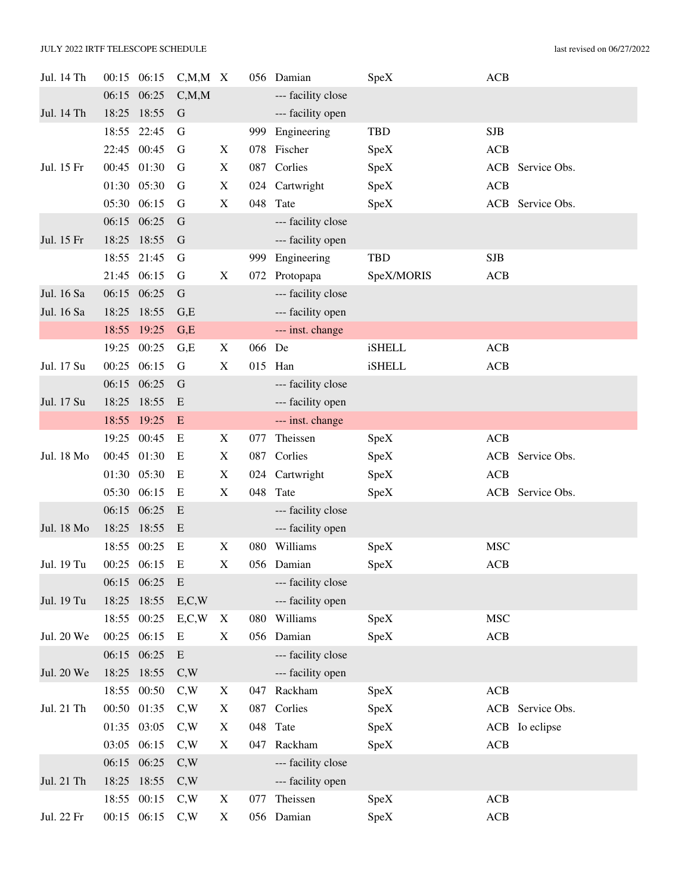| Jul. 14 Th |       | 00:15 06:15 | $C, M, M \ X$ |                           |        | 056 Damian         | SpeX          | <b>ACB</b> |                  |
|------------|-------|-------------|---------------|---------------------------|--------|--------------------|---------------|------------|------------------|
|            |       | 06:15 06:25 | C, M, M       |                           |        | --- facility close |               |            |                  |
| Jul. 14 Th | 18:25 | 18:55       | G             |                           |        | --- facility open  |               |            |                  |
|            | 18:55 | 22:45       | G             |                           | 999    | Engineering        | <b>TBD</b>    | <b>SJB</b> |                  |
|            |       | 22:45 00:45 | G             | X                         |        | 078 Fischer        | SpeX          | <b>ACB</b> |                  |
| Jul. 15 Fr |       | 00:45 01:30 | G             | X                         |        | 087 Corlies        | SpeX          | ACB        | Service Obs.     |
|            |       | 01:30 05:30 | G             | $\boldsymbol{\mathrm{X}}$ |        | 024 Cartwright     | SpeX          | <b>ACB</b> |                  |
|            |       | 05:30 06:15 | G             | $\boldsymbol{\mathrm{X}}$ | 048    | Tate               | SpeX          |            | ACB Service Obs. |
|            |       | 06:15 06:25 | G             |                           |        | --- facility close |               |            |                  |
| Jul. 15 Fr |       | 18:25 18:55 | G             |                           |        | --- facility open  |               |            |                  |
|            | 18:55 | 21:45       | G             |                           |        | 999 Engineering    | TBD           | <b>SJB</b> |                  |
|            |       | 21:45 06:15 | G             | X                         | 072    | Protopapa          | SpeX/MORIS    | ACB        |                  |
| Jul. 16 Sa |       | 06:15 06:25 | G             |                           |        | --- facility close |               |            |                  |
| Jul. 16 Sa |       | 18:25 18:55 | G,E           |                           |        | --- facility open  |               |            |                  |
|            | 18:55 | 19:25       | G,E           |                           |        | --- inst. change   |               |            |                  |
|            | 19:25 | 00:25       | G,E           | X                         | 066 De |                    | <b>iSHELL</b> | ACB        |                  |
| Jul. 17 Su |       | 00:25 06:15 | G             | $\mathbf X$               |        | 015 Han            | <b>iSHELL</b> | ACB        |                  |
|            |       | 06:15 06:25 | G             |                           |        | --- facility close |               |            |                  |
| Jul. 17 Su | 18:25 | 18:55       | E             |                           |        | --- facility open  |               |            |                  |
|            |       | 18:55 19:25 | E             |                           |        | --- inst. change   |               |            |                  |
|            |       | 19:25 00:45 | Ε             | X                         | 077    | Theissen           | SpeX          | ACB        |                  |
| Jul. 18 Mo |       | 00:45 01:30 | E             | X                         | 087    | Corlies            | SpeX          | ACB        | Service Obs.     |
|            | 01:30 | 05:30       | E             | $\boldsymbol{\mathrm{X}}$ |        | 024 Cartwright     | SpeX          | <b>ACB</b> |                  |
|            |       | 05:30 06:15 | E             | X                         | 048    | Tate               | SpeX          |            | ACB Service Obs. |
|            |       | 06:15 06:25 | E             |                           |        | --- facility close |               |            |                  |
| Jul. 18 Mo |       | 18:25 18:55 | E             |                           |        | --- facility open  |               |            |                  |
|            |       | 18:55 00:25 | E             | X                         | 080    | Williams           | SpeX          | <b>MSC</b> |                  |
| Jul. 19 Tu |       | 00:25 06:15 | E             | X                         |        | 056 Damian         | SpeX          | ACB        |                  |
|            |       | 06:15 06:25 | E             |                           |        | --- facility close |               |            |                  |
| Jul. 19 Tu |       | 18:25 18:55 | E, C, W       |                           |        | --- facility open  |               |            |                  |
|            |       | 18:55 00:25 | E, C, W       | X                         |        | 080 Williams       | SpeX          | <b>MSC</b> |                  |
| Jul. 20 We |       | 00:25 06:15 | E             | X                         |        | 056 Damian         | SpeX          | ACB        |                  |
|            |       | 06:15 06:25 | E             |                           |        | --- facility close |               |            |                  |
| Jul. 20 We |       | 18:25 18:55 | C,W           |                           |        | --- facility open  |               |            |                  |
|            |       | 18:55 00:50 | C,W           | X                         | 047    | Rackham            | SpeX          | ACB        |                  |
| Jul. 21 Th |       | 00:50 01:35 | C,W           | X                         |        | 087 Corlies        | SpeX          |            | ACB Service Obs. |
|            |       | 01:35 03:05 | C,W           | X                         |        | 048 Tate           | SpeX          |            | ACB Io eclipse   |
|            |       | 03:05 06:15 | C,W           | X                         | 047    | Rackham            | SpeX          | ACB        |                  |
|            |       | 06:15 06:25 | C,W           |                           |        | --- facility close |               |            |                  |
| Jul. 21 Th |       | 18:25 18:55 | C,W           |                           |        | --- facility open  |               |            |                  |
|            |       | 18:55 00:15 | C,W           | X                         | 077    | Theissen           | SpeX          | ACB        |                  |
| Jul. 22 Fr |       | 00:15 06:15 | C,W           | X                         |        | 056 Damian         | SpeX          | ACB        |                  |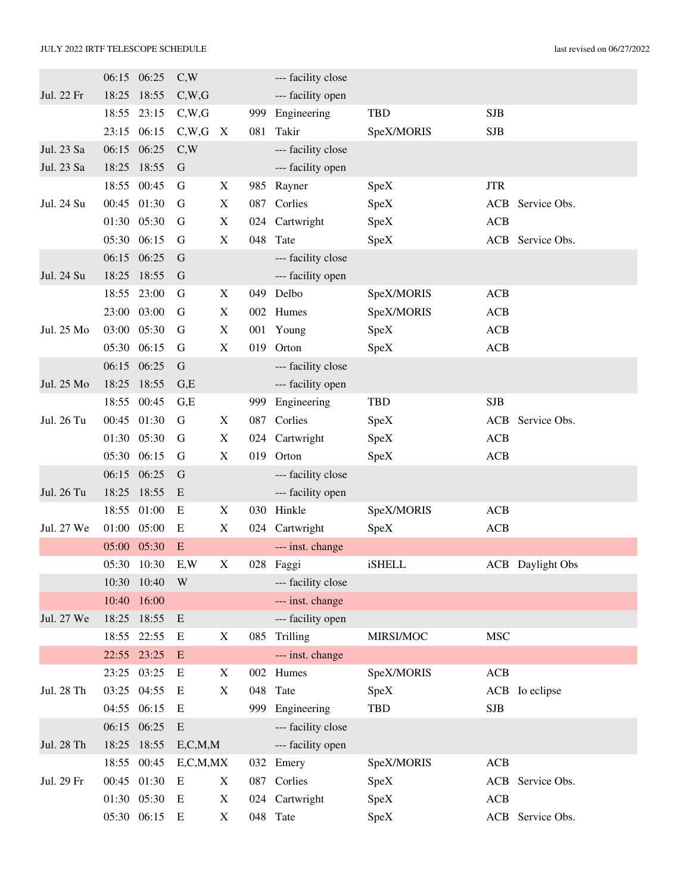|            |       | 06:15 06:25 | C,W         |                           |     | --- facility close |               |            |                         |
|------------|-------|-------------|-------------|---------------------------|-----|--------------------|---------------|------------|-------------------------|
| Jul. 22 Fr | 18:25 | 18:55       | C,W,G       |                           |     | --- facility open  |               |            |                         |
|            | 18:55 | 23:15       | C,W,G       |                           | 999 | Engineering        | <b>TBD</b>    | <b>SJB</b> |                         |
|            | 23:15 | 06:15       | C,W,G       | $\boldsymbol{\mathrm{X}}$ | 081 | Takir              | SpeX/MORIS    | <b>SJB</b> |                         |
| Jul. 23 Sa | 06:15 | 06:25       | C,W         |                           |     | --- facility close |               |            |                         |
| Jul. 23 Sa | 18:25 | 18:55       | G           |                           |     | --- facility open  |               |            |                         |
|            | 18:55 | 00:45       | G           | X                         |     | 985 Rayner         | SpeX          | <b>JTR</b> |                         |
| Jul. 24 Su | 00:45 | 01:30       | G           | $\boldsymbol{\mathrm{X}}$ | 087 | Corlies            | SpeX          | ACB        | Service Obs.            |
|            |       | 01:30 05:30 | G           | $\boldsymbol{\mathrm{X}}$ |     | 024 Cartwright     | SpeX          | <b>ACB</b> |                         |
|            |       | 05:30 06:15 | G           | $\mathbf X$               | 048 | Tate               | SpeX          |            | ACB Service Obs.        |
|            | 06:15 | 06:25       | G           |                           |     | --- facility close |               |            |                         |
| Jul. 24 Su | 18:25 | 18:55       | G           |                           |     | --- facility open  |               |            |                         |
|            | 18:55 | 23:00       | G           | X                         |     | 049 Delbo          | SpeX/MORIS    | ACB        |                         |
|            | 23:00 | 03:00       | G           | $\boldsymbol{\mathrm{X}}$ |     | 002 Humes          | SpeX/MORIS    | ACB        |                         |
| Jul. 25 Mo |       | 03:00 05:30 | G           | $\boldsymbol{\mathrm{X}}$ |     | 001 Young          | SpeX          | <b>ACB</b> |                         |
|            | 05:30 | 06:15       | G           | $\mathbf X$               | 019 | Orton              | SpeX          | ACB        |                         |
|            | 06:15 | 06:25       | $\mathbf G$ |                           |     | --- facility close |               |            |                         |
| Jul. 25 Mo | 18:25 | 18:55       | G,E         |                           |     | --- facility open  |               |            |                         |
|            | 18:55 | 00:45       | G.E         |                           | 999 | Engineering        | <b>TBD</b>    | <b>SJB</b> |                         |
| Jul. 26 Tu | 00:45 | 01:30       | G           | $\boldsymbol{\mathrm{X}}$ | 087 | Corlies            | SpeX          | ACB        | Service Obs.            |
|            |       | 01:30 05:30 | G           | $\boldsymbol{\mathrm{X}}$ | 024 | Cartwright         | SpeX          | <b>ACB</b> |                         |
|            | 05:30 | 06:15       | G           | $\mathbf X$               | 019 | Orton              | SpeX          | <b>ACB</b> |                         |
|            | 06:15 | 06:25       | G           |                           |     | --- facility close |               |            |                         |
| Jul. 26 Tu | 18:25 | 18:55       | E           |                           |     | --- facility open  |               |            |                         |
|            | 18:55 | 01:00       | E           | X                         |     | 030 Hinkle         | SpeX/MORIS    | ACB        |                         |
| Jul. 27 We | 01:00 | 05:00       | E           | $\mathbf X$               |     | 024 Cartwright     | SpeX          | <b>ACB</b> |                         |
|            | 05:00 | 05:30       | E           |                           |     | --- inst. change   |               |            |                         |
|            | 05:30 | 10:30       | E,W         | X                         |     | 028 Faggi          | <b>iSHELL</b> |            | <b>ACB</b> Daylight Obs |
|            |       | 10:30 10:40 | W           |                           |     | --- facility close |               |            |                         |
|            |       | 10:40 16:00 |             |                           |     | --- inst. change   |               |            |                         |
| Jul. 27 We |       | 18:25 18:55 | E           |                           |     | --- facility open  |               |            |                         |
|            |       | 18:55 22:55 | E           | $\boldsymbol{\mathrm{X}}$ |     | 085 Trilling       | MIRSI/MOC     | <b>MSC</b> |                         |
|            |       | 22:55 23:25 | E           |                           |     | --- inst. change   |               |            |                         |
|            |       | 23:25 03:25 | E           | X                         |     | 002 Humes          | SpeX/MORIS    | ACB        |                         |
| Jul. 28 Th |       | 03:25 04:55 | E           | $\boldsymbol{\mathrm{X}}$ |     | 048 Tate           | SpeX          |            | ACB Io eclipse          |
|            |       | 04:55 06:15 | E           |                           | 999 | Engineering        | TBD           | <b>SJB</b> |                         |
|            |       | 06:15 06:25 | E           |                           |     | --- facility close |               |            |                         |
| Jul. 28 Th |       | 18:25 18:55 | E, C, M, M  |                           |     | --- facility open  |               |            |                         |
|            | 18:55 | 00:45       | E, C, M, MX |                           |     | 032 Emery          | SpeX/MORIS    | ACB        |                         |
| Jul. 29 Fr |       | 00:45 01:30 | E           | X                         |     | 087 Corlies        | SpeX          |            | ACB Service Obs.        |
|            |       | 01:30 05:30 | E           | X                         |     | 024 Cartwright     | SpeX          | <b>ACB</b> |                         |
|            |       | 05:30 06:15 | E           | X                         |     | 048 Tate           | SpeX          |            | ACB Service Obs.        |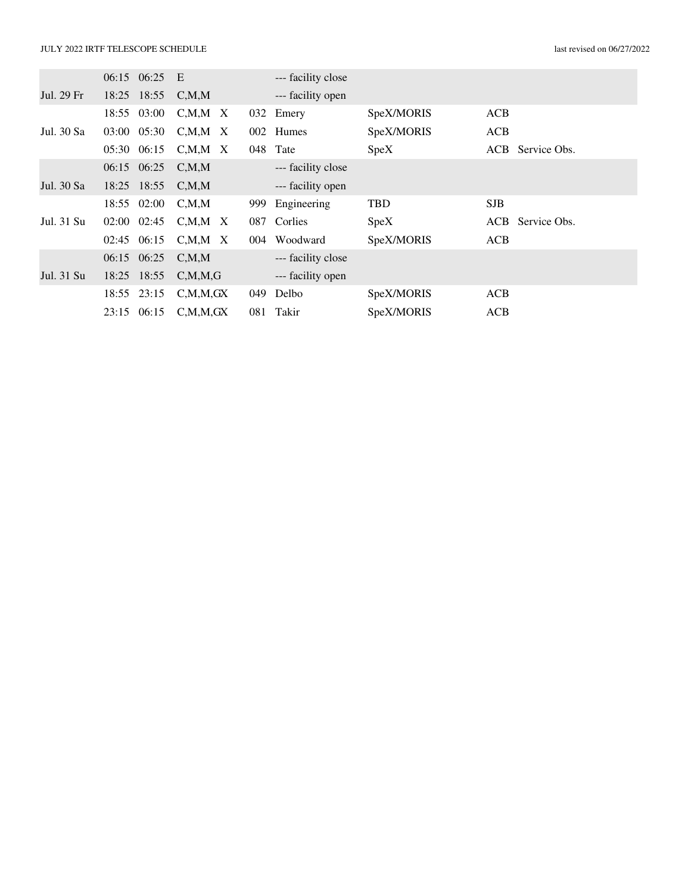|            | 06:15 06:25     | E                   |     | --- facility close |            |            |                  |
|------------|-----------------|---------------------|-----|--------------------|------------|------------|------------------|
| Jul. 29 Fr | 18:25 18:55     | C, M, M             |     | --- facility open  |            |            |                  |
|            | 18:55 03:00     | $C, M, M \times$    |     | 032 Emery          | SpeX/MORIS | ACB        |                  |
| Jul. 30 Sa | 03:00 05:30     | $C, M, M \times$    |     | 002 Humes          | SpeX/MORIS | <b>ACB</b> |                  |
|            | 05:30 06:15     | $C, M, M \times$    |     | 048 Tate           | Spec X     |            | ACB Service Obs. |
|            | 06:15 06:25     | C.M.M               |     | --- facility close |            |            |                  |
| Jul. 30 Sa | 18:25 18:55     | C, M, M             |     | --- facility open  |            |            |                  |
|            | 18:55 02:00     | $C_\cdot M_\cdot M$ | 999 | Engineering        | <b>TBD</b> | <b>SJB</b> |                  |
| Jul. 31 Su | $02:00$ $02:45$ | $C, M, M \times$    | 087 | Corlies            | Spec X     |            | ACB Service Obs. |
|            | 02:45 06:15     | C.M.M X             |     | 004 Woodward       | SpeX/MORIS | <b>ACB</b> |                  |
|            | 06:15 06:25     | C.M.M               |     | --- facility close |            |            |                  |
| Jul. 31 Su | 18:25 18:55     | C, M, M, G          |     | --- facility open  |            |            |                  |
|            | 18:55 23:15     | C, M, M, GX         | 049 | Delbo              | SpeX/MORIS | <b>ACB</b> |                  |
|            | 23:15 06:15     | C, M, M, GX         | 081 | Takir              | SpeX/MORIS | ACB        |                  |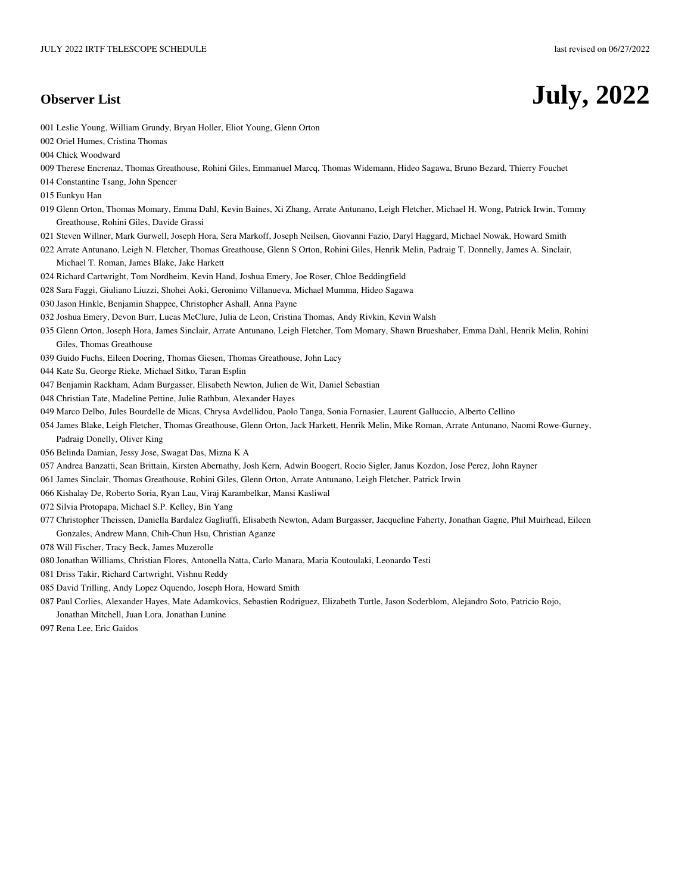# **Observer List July, 2022**

- 001 Leslie Young, William Grundy, Bryan Holler, Eliot Young, Glenn Orton
- 002 Oriel Humes, Cristina Thomas
- 004 Chick Woodward
- 009 Therese Encrenaz, Thomas Greathouse, Rohini Giles, Emmanuel Marcq, Thomas Widemann, Hideo Sagawa, Bruno Bezard, Thierry Fouchet
- 014 Constantine Tsang, John Spencer
- 015 Eunkyu Han
- 019 Glenn Orton, Thomas Momary, Emma Dahl, Kevin Baines, Xi Zhang, Arrate Antunano, Leigh Fletcher, Michael H. Wong, Patrick Irwin, Tommy Greathouse, Rohini Giles, Davide Grassi
- 021 Steven Willner, Mark Gurwell, Joseph Hora, Sera Markoff, Joseph Neilsen, Giovanni Fazio, Daryl Haggard, Michael Nowak, Howard Smith
- 022 Arrate Antunano, Leigh N. Fletcher, Thomas Greathouse, Glenn S Orton, Rohini Giles, Henrik Melin, Padraig T. Donnelly, James A. Sinclair, Michael T. Roman, James Blake, Jake Harkett
- 024 Richard Cartwright, Tom Nordheim, Kevin Hand, Joshua Emery, Joe Roser, Chloe Beddingfield
- 028 Sara Faggi, Giuliano Liuzzi, Shohei Aoki, Geronimo Villanueva, Michael Mumma, Hideo Sagawa
- 030 Jason Hinkle, Benjamin Shappee, Christopher Ashall, Anna Payne
- 032 Joshua Emery, Devon Burr, Lucas McClure, Julia de Leon, Cristina Thomas, Andy Rivkin, Kevin Walsh
- 035 Glenn Orton, Joseph Hora, James Sinclair, Arrate Antunano, Leigh Fletcher, Tom Momary, Shawn Brueshaber, Emma Dahl, Henrik Melin, Rohini Giles, Thomas Greathouse
- 039 Guido Fuchs, Eileen Doering, Thomas Giesen, Thomas Greathouse, John Lacy
- 044 Kate Su, George Rieke, Michael Sitko, Taran Esplin
- 047 Benjamin Rackham, Adam Burgasser, Elisabeth Newton, Julien de Wit, Daniel Sebastian
- 048 Christian Tate, Madeline Pettine, Julie Rathbun, Alexander Hayes
- 049 Marco Delbo, Jules Bourdelle de Micas, Chrysa Avdellidou, Paolo Tanga, Sonia Fornasier, Laurent Galluccio, Alberto Cellino
- 054 James Blake, Leigh Fletcher, Thomas Greathouse, Glenn Orton, Jack Harkett, Henrik Melin, Mike Roman, Arrate Antunano, Naomi Rowe-Gurney, Padraig Donelly, Oliver King
- 056 Belinda Damian, Jessy Jose, Swagat Das, Mizna K A
- 057 Andrea Banzatti, Sean Brittain, Kirsten Abernathy, Josh Kern, Adwin Boogert, Rocio Sigler, Janus Kozdon, Jose Perez, John Rayner
- 061 James Sinclair, Thomas Greathouse, Rohini Giles, Glenn Orton, Arrate Antunano, Leigh Fletcher, Patrick Irwin
- 066 Kishalay De, Roberto Soria, Ryan Lau, Viraj Karambelkar, Mansi Kasliwal
- 072 Silvia Protopapa, Michael S.P. Kelley, Bin Yang
- 077 Christopher Theissen, Daniella Bardalez Gagliuffi, Elisabeth Newton, Adam Burgasser, Jacqueline Faherty, Jonathan Gagne, Phil Muirhead, Eileen Gonzales, Andrew Mann, Chih-Chun Hsu, Christian Aganze
- 078 Will Fischer, Tracy Beck, James Muzerolle
- 080 Jonathan Williams, Christian Flores, Antonella Natta, Carlo Manara, Maria Koutoulaki, Leonardo Testi
- 081 Driss Takir, Richard Cartwright, Vishnu Reddy
- 085 David Trilling, Andy Lopez Oquendo, Joseph Hora, Howard Smith
- 087 Paul Corlies, Alexander Hayes, Mate Adamkovics, Sebastien Rodriguez, Elizabeth Turtle, Jason Soderblom, Alejandro Soto, Patricio Rojo, Jonathan Mitchell, Juan Lora, Jonathan Lunine
- 097 Rena Lee, Eric Gaidos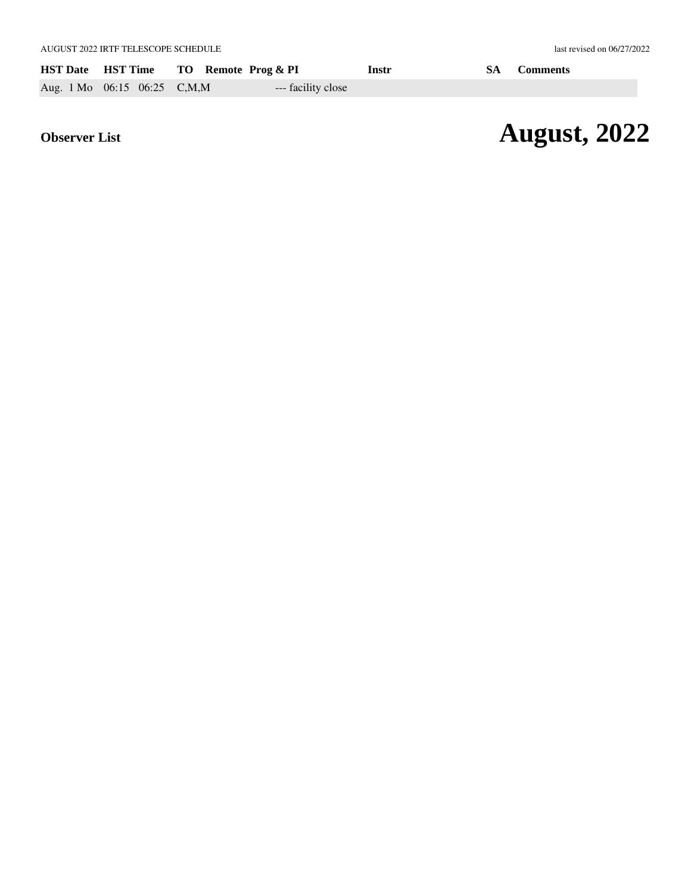|                             | HST Date HST Time TO Remote Prog & PI |                    | Instr | <b>SA</b> Comments |
|-----------------------------|---------------------------------------|--------------------|-------|--------------------|
| Aug. 1 Mo 06:15 06:25 C,M,M |                                       | --- facility close |       |                    |

# *Observer List* **August, 2022**